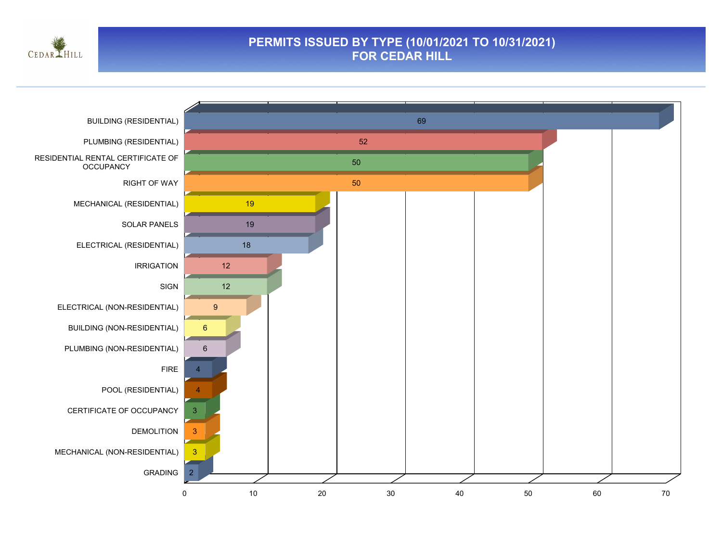

#### **PERMITS ISSUED BY TYPE (10/01/2021 TO 10/31/2021) FOR CEDAR HILL**

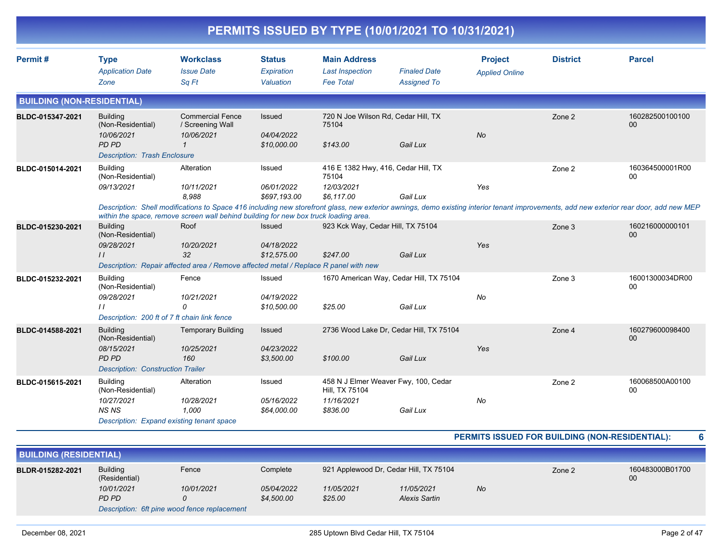| PERMITS ISSUED BY TYPE (10/01/2021 TO 10/31/2021) |                                                                                                                      |                                                                                                                                                                                                                                                                                                                      |                                            |                                                                                  |                                           |                                         |                 |                           |
|---------------------------------------------------|----------------------------------------------------------------------------------------------------------------------|----------------------------------------------------------------------------------------------------------------------------------------------------------------------------------------------------------------------------------------------------------------------------------------------------------------------|--------------------------------------------|----------------------------------------------------------------------------------|-------------------------------------------|-----------------------------------------|-----------------|---------------------------|
| Permit#                                           | <b>Type</b><br><b>Application Date</b><br>Zone                                                                       | <b>Workclass</b><br><b>Issue Date</b><br>Sq Ft                                                                                                                                                                                                                                                                       | <b>Status</b><br>Expiration<br>Valuation   | <b>Main Address</b><br><b>Last Inspection</b><br><b>Fee Total</b>                | <b>Finaled Date</b><br><b>Assigned To</b> | <b>Project</b><br><b>Applied Online</b> | <b>District</b> | <b>Parcel</b>             |
| <b>BUILDING (NON-RESIDENTIAL)</b>                 |                                                                                                                      |                                                                                                                                                                                                                                                                                                                      |                                            |                                                                                  |                                           |                                         |                 |                           |
| BLDC-015347-2021                                  | <b>Building</b><br>(Non-Residential)<br>10/06/2021<br><b>PD PD</b><br><b>Description: Trash Enclosure</b>            | <b>Commercial Fence</b><br>/ Screening Wall<br>10/06/2021<br>$\mathbf{1}$                                                                                                                                                                                                                                            | Issued<br>04/04/2022<br>\$10,000.00        | 720 N Joe Wilson Rd, Cedar Hill, TX<br>75104<br>\$143.00                         | Gail Lux                                  | <b>No</b>                               | Zone 2          | 160282500100100<br>$00\,$ |
| BLDC-015014-2021                                  | <b>Building</b><br>(Non-Residential)<br>09/13/2021                                                                   | Alteration<br>10/11/2021<br>8,988<br>Description: Shell modifications to Space 416 including new storefront glass, new exterior awnings, demo existing interior tenant improvements, add new exterior rear door, add new MEP<br>within the space, remove screen wall behind building for new box truck loading area. | Issued<br>06/01/2022<br>\$697.193.00       | 416 E 1382 Hwy, 416, Cedar Hill, TX<br>75104<br>12/03/2021<br>\$6.117.00         | Gail Lux                                  | Yes                                     | Zone 2          | 160364500001R00<br>00     |
| BLDC-015230-2021                                  | <b>Building</b><br>(Non-Residential)<br>09/28/2021<br>$\frac{1}{2}$                                                  | Roof<br>10/20/2021<br>32<br>Description: Repair affected area / Remove affected metal / Replace R panel with new                                                                                                                                                                                                     | <b>Issued</b><br>04/18/2022<br>\$12,575.00 | 923 Kck Way, Cedar Hill, TX 75104<br>\$247.00                                    | Gail Lux                                  | Yes                                     | Zone 3          | 160216000000101<br>00     |
| BLDC-015232-2021                                  | <b>Building</b><br>(Non-Residential)<br>09/28/2021<br>$\prime\prime$<br>Description: 200 ft of 7 ft chain link fence | Fence<br>10/21/2021<br>0                                                                                                                                                                                                                                                                                             | Issued<br>04/19/2022<br>\$10,500.00        | 1670 American Way, Cedar Hill, TX 75104<br>\$25.00                               | Gail Lux                                  | No                                      | Zone 3          | 16001300034DR00<br>00     |
| BLDC-014588-2021                                  | <b>Building</b><br>(Non-Residential)<br>08/15/2021<br><b>PD PD</b><br><b>Description: Construction Trailer</b>       | <b>Temporary Building</b><br>10/25/2021<br>160                                                                                                                                                                                                                                                                       | <b>Issued</b><br>04/23/2022<br>\$3,500.00  | 2736 Wood Lake Dr, Cedar Hill, TX 75104<br>\$100.00                              | Gail Lux                                  | Yes                                     | Zone 4          | 160279600098400<br>00     |
| BLDC-015615-2021                                  | <b>Building</b><br>(Non-Residential)<br>10/27/2021<br><b>NSNS</b><br>Description: Expand existing tenant space       | Alteration<br>10/28/2021<br>1.000                                                                                                                                                                                                                                                                                    | Issued<br>05/16/2022<br>\$64,000.00        | 458 N J Elmer Weaver Fwy, 100, Cedar<br>Hill, TX 75104<br>11/16/2021<br>\$836.00 | Gail Lux                                  | No                                      | Zone 2          | 160068500A00100<br>00     |

#### **PERMITS ISSUED FOR BUILDING (NON-RESIDENTIAL): 6**

| <b>BUILDING (RESIDENTIAL)</b>                |                                  |            |                          |                       |                                        |    |        |                       |  |
|----------------------------------------------|----------------------------------|------------|--------------------------|-----------------------|----------------------------------------|----|--------|-----------------------|--|
| BLDR-015282-2021                             | <b>Building</b><br>(Residential) | Fence      | Complete                 |                       | 921 Applewood Dr, Cedar Hill, TX 75104 |    | Zone 2 | 160483000B01700<br>00 |  |
|                                              | 10/01/2021<br>PD PD              | 10/01/2021 | 05/04/2022<br>\$4.500.00 | 11/05/2021<br>\$25.00 | 11/05/2021<br>Alexis Sartin            | No |        |                       |  |
| Description: 6ft pine wood fence replacement |                                  |            |                          |                       |                                        |    |        |                       |  |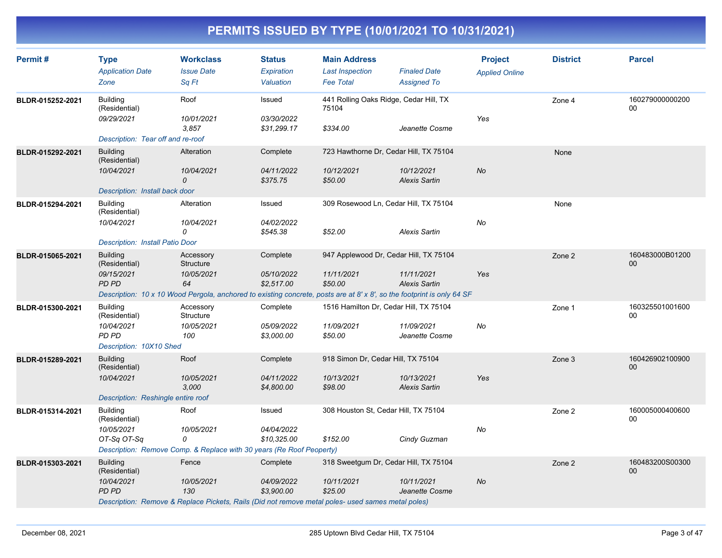| Permit#          | <b>Type</b><br><b>Application Date</b><br>Zone                                       | <b>Workclass</b><br><b>Issue Date</b><br>Sa Ft                                                                                                                       | <b>Status</b><br>Expiration<br>Valuation | <b>Main Address</b><br><b>Last Inspection</b><br><b>Fee Total</b> | <b>Finaled Date</b><br><b>Assigned To</b> | <b>Project</b><br><b>Applied Online</b> | <b>District</b> | <b>Parcel</b>         |
|------------------|--------------------------------------------------------------------------------------|----------------------------------------------------------------------------------------------------------------------------------------------------------------------|------------------------------------------|-------------------------------------------------------------------|-------------------------------------------|-----------------------------------------|-----------------|-----------------------|
| BLDR-015252-2021 | <b>Building</b><br>(Residential)<br>09/29/2021<br>Description: Tear off and re-roof  | Roof<br>10/01/2021<br>3,857                                                                                                                                          | Issued<br>03/30/2022<br>\$31,299.17      | 441 Rolling Oaks Ridge, Cedar Hill, TX<br>75104<br>\$334.00       | Jeanette Cosme                            | Yes                                     | Zone 4          | 160279000000200<br>00 |
| BLDR-015292-2021 | <b>Building</b><br>(Residential)<br>10/04/2021<br>Description: Install back door     | Alteration<br>10/04/2021<br>0                                                                                                                                        | Complete<br>04/11/2022<br>\$375.75       | 723 Hawthorne Dr, Cedar Hill, TX 75104<br>10/12/2021<br>\$50.00   | 10/12/2021<br><b>Alexis Sartin</b>        | <b>No</b>                               | None            |                       |
| BLDR-015294-2021 | <b>Building</b><br>(Residential)<br>10/04/2021<br>Description: Install Patio Door    | Alteration<br>10/04/2021<br>0                                                                                                                                        | Issued<br>04/02/2022<br>\$545.38         | 309 Rosewood Ln, Cedar Hill, TX 75104<br>\$52.00                  | <b>Alexis Sartin</b>                      | No                                      | None            |                       |
| BLDR-015065-2021 | <b>Building</b><br>(Residential)<br>09/15/2021<br><b>PD PD</b>                       | Accessory<br>Structure<br>10/05/2021<br>64<br>Description: 10 x 10 Wood Pergola, anchored to existing concrete, posts are at 8' x 8', so the footprint is only 64 SF | Complete<br>05/10/2022<br>\$2,517.00     | 947 Applewood Dr, Cedar Hill, TX 75104<br>11/11/2021<br>\$50.00   | 11/11/2021<br><b>Alexis Sartin</b>        | Yes                                     | Zone 2          | 160483000B01200<br>00 |
| BLDR-015300-2021 | <b>Building</b><br>(Residential)<br>10/04/2021<br>PD PD<br>Description: 10X10 Shed   | Accessory<br>Structure<br>10/05/2021<br>100                                                                                                                          | Complete<br>05/09/2022<br>\$3,000.00     | 1516 Hamilton Dr, Cedar Hill, TX 75104<br>11/09/2021<br>\$50.00   | 11/09/2021<br>Jeanette Cosme              | No                                      | Zone 1          | 160325501001600<br>00 |
| BLDR-015289-2021 | <b>Building</b><br>(Residential)<br>10/04/2021<br>Description: Reshingle entire roof | Roof<br>10/05/2021<br>3,000                                                                                                                                          | Complete<br>04/11/2022<br>\$4,800.00     | 918 Simon Dr, Cedar Hill, TX 75104<br>10/13/2021<br>\$98.00       | 10/13/2021<br><b>Alexis Sartin</b>        | Yes                                     | Zone 3          | 160426902100900<br>00 |
| BLDR-015314-2021 | <b>Building</b><br>(Residential)<br>10/05/2021<br>OT-Sq OT-Sq                        | Roof<br>10/05/2021<br>0<br>Description: Remove Comp. & Replace with 30 years (Re Roof Peoperty)                                                                      | Issued<br>04/04/2022<br>\$10,325.00      | 308 Houston St, Cedar Hill, TX 75104<br>\$152.00                  | Cindy Guzman                              | No                                      | Zone 2          | 160005000400600<br>00 |
| BLDR-015303-2021 | <b>Building</b><br>(Residential)<br>10/04/2021<br>PD PD                              | Fence<br>10/05/2021<br>130<br>Description: Remove & Replace Pickets, Rails (Did not remove metal poles- used sames metal poles)                                      | Complete<br>04/09/2022<br>\$3,900.00     | 318 Sweetgum Dr, Cedar Hill, TX 75104<br>10/11/2021<br>\$25.00    | 10/11/2021<br>Jeanette Cosme              | No                                      | Zone 2          | 160483200S00300<br>00 |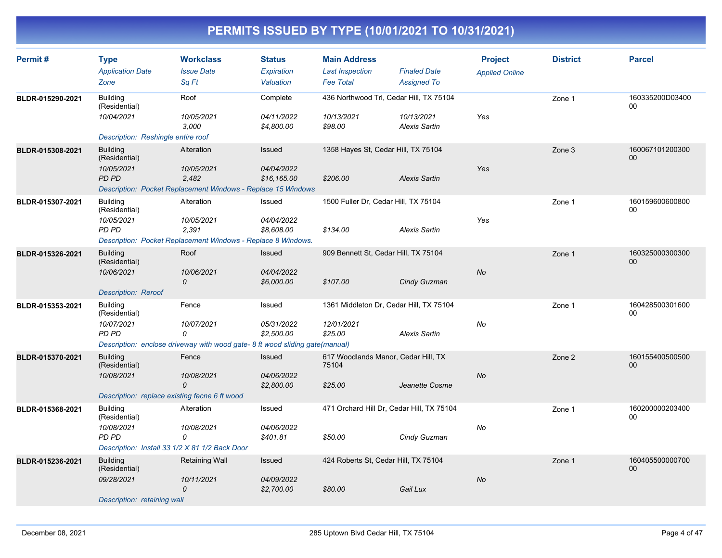| Permit#          | <b>Type</b><br><b>Application Date</b><br>Zone                                                                   | <b>Workclass</b><br><b>Issue Date</b><br>Sa Ft                                                           | <b>Status</b><br>Expiration<br>Valuation | <b>Main Address</b><br><b>Last Inspection</b><br><b>Fee Total</b> | <b>Finaled Date</b><br><b>Assigned To</b> | <b>Project</b><br><b>Applied Online</b> | <b>District</b> | <b>Parcel</b>                     |
|------------------|------------------------------------------------------------------------------------------------------------------|----------------------------------------------------------------------------------------------------------|------------------------------------------|-------------------------------------------------------------------|-------------------------------------------|-----------------------------------------|-----------------|-----------------------------------|
| BLDR-015290-2021 | <b>Building</b><br>(Residential)<br>10/04/2021<br>Description: Reshingle entire roof                             | Roof<br>10/05/2021<br>3,000                                                                              | Complete<br>04/11/2022<br>\$4,800.00     | 436 Northwood Trl, Cedar Hill, TX 75104<br>10/13/2021<br>\$98.00  | 10/13/2021<br><b>Alexis Sartin</b>        | Yes                                     | Zone 1          | 160335200D03400<br>00             |
| BLDR-015308-2021 | <b>Building</b><br>(Residential)<br>10/05/2021<br>PD PD                                                          | Alteration<br>10/05/2021<br>2,482<br>Description: Pocket Replacement Windows - Replace 15 Windows        | Issued<br>04/04/2022<br>\$16,165.00      | 1358 Hayes St, Cedar Hill, TX 75104<br>\$206.00                   | <b>Alexis Sartin</b>                      | Yes                                     | Zone 3          | 160067101200300<br>00             |
| BLDR-015307-2021 | <b>Building</b><br>(Residential)<br>10/05/2021<br>PD PD                                                          | Alteration<br>10/05/2021<br>2,391<br>Description: Pocket Replacement Windows - Replace 8 Windows.        | Issued<br>04/04/2022<br>\$8,608.00       | 1500 Fuller Dr, Cedar Hill, TX 75104<br>\$134.00                  | <b>Alexis Sartin</b>                      | Yes                                     | Zone 1          | 160159600600800<br>00             |
| BLDR-015326-2021 | <b>Building</b><br>(Residential)<br>10/06/2021<br><b>Description: Reroof</b>                                     | Roof<br>10/06/2021<br>0                                                                                  | Issued<br>04/04/2022<br>\$6,000.00       | 909 Bennett St, Cedar Hill, TX 75104<br>\$107.00                  | Cindy Guzman                              | No                                      | Zone 1          | 160325000300300<br>0 <sub>0</sub> |
| BLDR-015353-2021 | <b>Building</b><br>(Residential)<br>10/07/2021<br><b>PD PD</b>                                                   | Fence<br>10/07/2021<br>0<br>Description: enclose driveway with wood gate- 8 ft wood sliding gate(manual) | Issued<br>05/31/2022<br>\$2,500.00       | 1361 Middleton Dr, Cedar Hill, TX 75104<br>12/01/2021<br>\$25.00  | <b>Alexis Sartin</b>                      | No                                      | Zone 1          | 160428500301600<br>$00\,$         |
| BLDR-015370-2021 | <b>Building</b><br>(Residential)<br>10/08/2021<br>Description: replace existing fecne 6 ft wood                  | Fence<br>10/08/2021<br>$\Omega$                                                                          | Issued<br>04/06/2022<br>\$2,800.00       | 617 Woodlands Manor, Cedar Hill, TX<br>75104<br>\$25.00           | Jeanette Cosme                            | <b>No</b>                               | Zone 2          | 160155400500500<br>00             |
| BLDR-015368-2021 | <b>Building</b><br>(Residential)<br>10/08/2021<br><b>PD PD</b><br>Description: Install 33 1/2 X 81 1/2 Back Door | Alteration<br>10/08/2021<br>0                                                                            | Issued<br>04/06/2022<br>\$401.81         | 471 Orchard Hill Dr, Cedar Hill, TX 75104<br>\$50.00              | Cindy Guzman                              | No                                      | Zone 1          | 160200000203400<br>00             |
| BLDR-015236-2021 | <b>Building</b><br>(Residential)<br>09/28/2021<br>Description: retaining wall                                    | <b>Retaining Wall</b><br>10/11/2021<br>$\mathcal{O}$                                                     | Issued<br>04/09/2022<br>\$2,700.00       | 424 Roberts St, Cedar Hill, TX 75104<br>\$80.00                   | Gail Lux                                  | <b>No</b>                               | Zone 1          | 160405500000700<br>00             |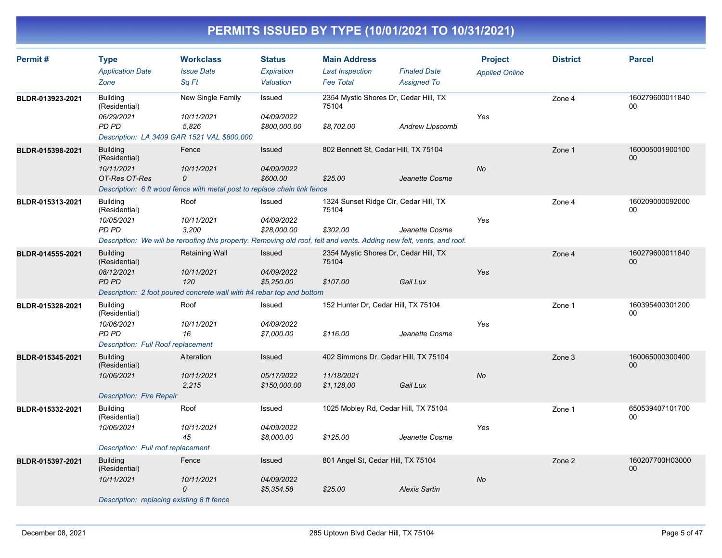| Permit#          | <b>Type</b><br><b>Application Date</b><br>Zone                                                                                                                                   | <b>Workclass</b><br><b>Issue Date</b><br>Sa Ft | <b>Status</b><br><b>Expiration</b><br>Valuation | <b>Main Address</b><br><b>Last Inspection</b><br><b>Fee Total</b> | <b>Finaled Date</b><br><b>Assigned To</b> | <b>Project</b><br><b>Applied Online</b> | <b>District</b> | <b>Parcel</b>         |
|------------------|----------------------------------------------------------------------------------------------------------------------------------------------------------------------------------|------------------------------------------------|-------------------------------------------------|-------------------------------------------------------------------|-------------------------------------------|-----------------------------------------|-----------------|-----------------------|
| BLDR-013923-2021 | <b>Building</b><br>(Residential)<br>06/29/2021<br><b>PD PD</b><br>Description: LA 3409 GAR 1521 VAL \$800,000                                                                    | New Single Family<br>10/11/2021<br>5,826       | Issued<br>04/09/2022<br>\$800,000.00            | 2354 Mystic Shores Dr, Cedar Hill, TX<br>75104<br>\$8,702.00      | <b>Andrew Lipscomb</b>                    | Yes                                     | Zone 4          | 160279600011840<br>00 |
| BLDR-015398-2021 | <b>Building</b><br>(Residential)<br>10/11/2021<br>OT-Res OT-Res<br>Description: 6 ft wood fence with metal post to replace chain link fence                                      | Fence<br>10/11/2021<br>0                       | <b>Issued</b><br>04/09/2022<br>\$600.00         | 802 Bennett St, Cedar Hill, TX 75104<br>\$25.00                   | Jeanette Cosme                            | No                                      | Zone 1          | 160005001900100<br>00 |
| BLDR-015313-2021 | <b>Building</b><br>(Residential)<br>10/05/2021<br>PD PD<br>Description: We will be reroofing this property. Removing old roof, felt and vents. Adding new felt, vents, and roof. | Roof<br>10/11/2021<br>3,200                    | Issued<br>04/09/2022<br>\$28,000.00             | 1324 Sunset Ridge Cir, Cedar Hill, TX<br>75104<br>\$302.00        | Jeanette Cosme                            | Yes                                     | Zone 4          | 160209000092000<br>00 |
| BLDR-014555-2021 | <b>Building</b><br>(Residential)<br>08/12/2021<br>PD PD<br>Description: 2 foot poured concrete wall with #4 rebar top and bottom                                                 | <b>Retaining Wall</b><br>10/11/2021<br>120     | Issued<br>04/09/2022<br>\$5,250.00              | 2354 Mystic Shores Dr, Cedar Hill, TX<br>75104<br>\$107.00        | Gail Lux                                  | Yes                                     | Zone 4          | 160279600011840<br>00 |
| BLDR-015328-2021 | <b>Building</b><br>(Residential)<br>10/06/2021<br>PD PD<br><b>Description: Full Roof replacement</b>                                                                             | Roof<br>10/11/2021<br>16                       | Issued<br>04/09/2022<br>\$7,000.00              | 152 Hunter Dr, Cedar Hill, TX 75104<br>\$116.00                   | Jeanette Cosme                            | Yes                                     | Zone 1          | 160395400301200<br>00 |
| BLDR-015345-2021 | <b>Building</b><br>(Residential)<br>10/06/2021<br><b>Description: Fire Repair</b>                                                                                                | Alteration<br>10/11/2021<br>2,215              | <b>Issued</b><br>05/17/2022<br>\$150,000.00     | 402 Simmons Dr, Cedar Hill, TX 75104<br>11/18/2021<br>\$1,128.00  | Gail Lux                                  | No                                      | Zone 3          | 160065000300400<br>00 |
| BLDR-015332-2021 | <b>Building</b><br>(Residential)<br>10/06/2021<br>Description: Full roof replacement                                                                                             | Roof<br>10/11/2021<br>45                       | Issued<br>04/09/2022<br>\$8,000.00              | 1025 Mobley Rd, Cedar Hill, TX 75104<br>\$125.00                  | Jeanette Cosme                            | Yes                                     | Zone 1          | 650539407101700<br>00 |
| BLDR-015397-2021 | <b>Building</b><br>(Residential)<br>10/11/2021<br>Description: replacing existing 8 ft fence                                                                                     | Fence<br>10/11/2021<br>$\Omega$                | <b>Issued</b><br>04/09/2022<br>\$5,354.58       | 801 Angel St, Cedar Hill, TX 75104<br>\$25.00                     | <b>Alexis Sartin</b>                      | <b>No</b>                               | Zone 2          | 160207700H03000<br>00 |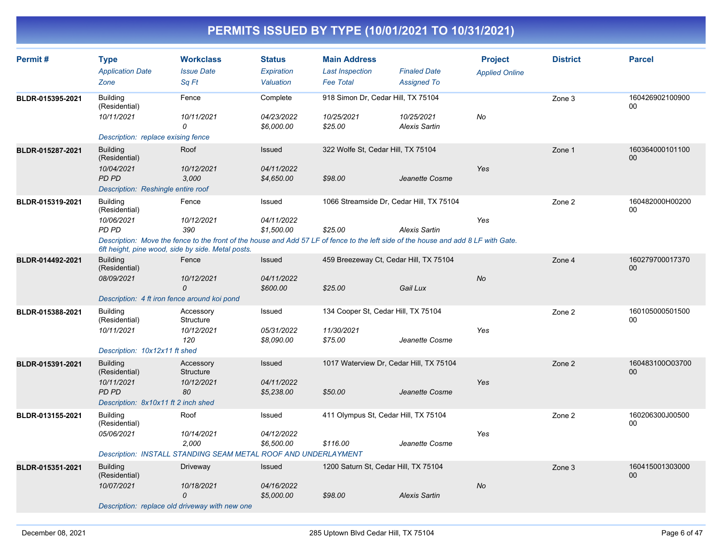| Permit#          | <b>Type</b><br><b>Application Date</b><br>Zone                                                 | <b>Workclass</b><br><b>Issue Date</b><br>Sq Ft                                                                                                                                                                        | <b>Status</b><br><b>Expiration</b><br>Valuation | <b>Main Address</b><br><b>Last Inspection</b><br><b>Fee Total</b> | <b>Finaled Date</b><br><b>Assigned To</b> | <b>Project</b><br><b>Applied Online</b> | <b>District</b> | <b>Parcel</b>                      |
|------------------|------------------------------------------------------------------------------------------------|-----------------------------------------------------------------------------------------------------------------------------------------------------------------------------------------------------------------------|-------------------------------------------------|-------------------------------------------------------------------|-------------------------------------------|-----------------------------------------|-----------------|------------------------------------|
| BLDR-015395-2021 | <b>Building</b><br>(Residential)<br>10/11/2021<br>Description: replace exising fence           | Fence<br>10/11/2021<br>0                                                                                                                                                                                              | Complete<br>04/23/2022<br>\$6,000.00            | 918 Simon Dr, Cedar Hill, TX 75104<br>10/25/2021<br>\$25.00       | 10/25/2021<br><b>Alexis Sartin</b>        | No                                      | Zone 3          | 160426902100900<br>$00\,$          |
| BLDR-015287-2021 | <b>Building</b><br>(Residential)<br>10/04/2021<br>PD PD<br>Description: Reshingle entire roof  | Roof<br>10/12/2021<br>3,000                                                                                                                                                                                           | Issued<br>04/11/2022<br>\$4,650.00              | 322 Wolfe St, Cedar Hill, TX 75104<br>\$98.00                     | Jeanette Cosme                            | Yes                                     | Zone 1          | 160364000101100<br>$00\,$          |
| BLDR-015319-2021 | <b>Building</b><br>(Residential)<br>10/06/2021<br>PD PD                                        | Fence<br>10/12/2021<br>390<br>Description: Move the fence to the front of the house and Add 57 LF of fence to the left side of the house and add 8 LF with Gate.<br>6ft height, pine wood, side by side. Metal posts. | Issued<br>04/11/2022<br>\$1,500.00              | 1066 Streamside Dr, Cedar Hill, TX 75104<br>\$25.00               | <b>Alexis Sartin</b>                      | Yes                                     | Zone 2          | 160482000H00200<br>$00\,$          |
| BLDR-014492-2021 | <b>Building</b><br>(Residential)<br>08/09/2021<br>Description: 4 ft iron fence around koi pond | Fence<br>10/12/2021<br>0                                                                                                                                                                                              | <b>Issued</b><br>04/11/2022<br>\$600.00         | 459 Breezeway Ct, Cedar Hill, TX 75104<br>\$25.00                 | Gail Lux                                  | <b>No</b>                               | Zone 4          | 160279700017370<br>$00\,$          |
| BLDR-015388-2021 | <b>Building</b><br>(Residential)<br>10/11/2021<br>Description: 10x12x11 ft shed                | Accessory<br>Structure<br>10/12/2021<br>120                                                                                                                                                                           | Issued<br>05/31/2022<br>\$8,090.00              | 134 Cooper St, Cedar Hill, TX 75104<br>11/30/2021<br>\$75.00      | Jeanette Cosme                            | Yes                                     | Zone 2          | 160105000501500<br>$00\,$          |
| BLDR-015391-2021 | <b>Building</b><br>(Residential)<br>10/11/2021<br>PD PD<br>Description: 8x10x11 ft 2 inch shed | Accessory<br><b>Structure</b><br>10/12/2021<br>80                                                                                                                                                                     | <b>Issued</b><br>04/11/2022<br>\$5,238.00       | 1017 Waterview Dr, Cedar Hill, TX 75104<br>\$50.00                | Jeanette Cosme                            | Yes                                     | Zone 2          | 160483100O03700<br>00 <sup>°</sup> |
| BLDR-013155-2021 | <b>Building</b><br>(Residential)<br>05/06/2021                                                 | Roof<br>10/14/2021<br>2.000<br>Description: INSTALL STANDING SEAM METAL ROOF AND UNDERLAYMENT                                                                                                                         | Issued<br>04/12/2022<br>\$6,500.00              | 411 Olympus St, Cedar Hill, TX 75104<br>\$116.00                  | Jeanette Cosme                            | Yes                                     | Zone 2          | 160206300J00500<br>00              |
| BLDR-015351-2021 | <b>Building</b><br>(Residential)<br>10/07/2021                                                 | Driveway<br>10/18/2021<br>0<br>Description: replace old driveway with new one                                                                                                                                         | Issued<br>04/16/2022<br>\$5,000.00              | 1200 Saturn St, Cedar Hill, TX 75104<br>\$98.00                   | <b>Alexis Sartin</b>                      | <b>No</b>                               | Zone 3          | 160415001303000<br>$00\,$          |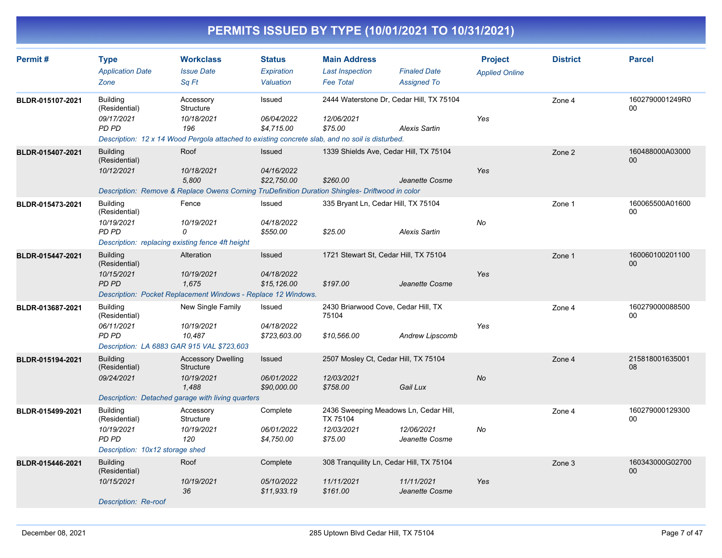| Permit#          | <b>Type</b><br><b>Application Date</b>         | <b>Workclass</b><br><b>Issue Date</b>                                                           | <b>Status</b><br>Expiration | <b>Main Address</b><br><b>Last Inspection</b>                | <b>Finaled Date</b>          | <b>Project</b><br><b>Applied Online</b> | <b>District</b> | <b>Parcel</b>             |
|------------------|------------------------------------------------|-------------------------------------------------------------------------------------------------|-----------------------------|--------------------------------------------------------------|------------------------------|-----------------------------------------|-----------------|---------------------------|
| BLDR-015107-2021 | Zone<br><b>Building</b>                        | Sa Ft<br>Accessory                                                                              | Valuation<br>Issued         | <b>Fee Total</b><br>2444 Waterstone Dr, Cedar Hill, TX 75104 | <b>Assigned To</b>           |                                         | Zone 4          | 1602790001249R0           |
|                  | (Residential)<br>09/17/2021<br><b>PD PD</b>    | Structure<br>10/18/2021<br>196                                                                  | 06/04/2022<br>\$4,715.00    | 12/06/2021<br>\$75.00                                        | <b>Alexis Sartin</b>         | Yes                                     |                 | 00                        |
|                  |                                                | Description: 12 x 14 Wood Pergola attached to existing concrete slab, and no soil is disturbed. |                             |                                                              |                              |                                         |                 |                           |
| BLDR-015407-2021 | <b>Building</b><br>(Residential)               | Roof                                                                                            | <b>Issued</b>               | 1339 Shields Ave, Cedar Hill, TX 75104                       |                              |                                         | Zone 2          | 160488000A03000<br>00     |
|                  | 10/12/2021                                     | 10/18/2021<br>5,800                                                                             | 04/16/2022<br>\$22,750.00   | \$260.00                                                     | Jeanette Cosme               | Yes                                     |                 |                           |
|                  |                                                | Description: Remove & Replace Owens Corning TruDefinition Duration Shingles- Driftwood in color |                             |                                                              |                              |                                         |                 |                           |
| BLDR-015473-2021 | <b>Building</b><br>(Residential)               | Fence                                                                                           | Issued                      | 335 Bryant Ln, Cedar Hill, TX 75104                          |                              |                                         | Zone 1          | 160065500A01600<br>00     |
|                  | 10/19/2021<br>PD PD                            | 10/19/2021<br>0<br>Description: replacing existing fence 4ft height                             | 04/18/2022<br>\$550.00      | \$25.00                                                      | <b>Alexis Sartin</b>         | No                                      |                 |                           |
| BLDR-015447-2021 | <b>Building</b><br>(Residential)               | Alteration                                                                                      | Issued                      | 1721 Stewart St, Cedar Hill, TX 75104                        |                              |                                         | Zone 1          | 160060100201100<br>00     |
|                  | 10/15/2021<br><b>PD PD</b>                     | 10/19/2021<br>1,675                                                                             | 04/18/2022<br>\$15,126.00   | \$197.00                                                     | Jeanette Cosme               | Yes                                     |                 |                           |
|                  |                                                | Description: Pocket Replacement Windows - Replace 12 Windows.                                   |                             |                                                              |                              |                                         |                 |                           |
| BLDR-013687-2021 | <b>Building</b><br>(Residential)<br>06/11/2021 | New Single Family<br>10/19/2021                                                                 | Issued<br>04/18/2022        | 2430 Briarwood Cove, Cedar Hill, TX<br>75104                 |                              | Yes                                     | Zone 4          | 160279000088500<br>$00\,$ |
|                  | PD PD                                          | 10,487<br>Description: LA 6883 GAR 915 VAL \$723,603                                            | \$723,603.00                | \$10,566.00                                                  | Andrew Lipscomb              |                                         |                 |                           |
| BLDR-015194-2021 | <b>Building</b>                                | <b>Accessory Dwelling</b>                                                                       | Issued                      | 2507 Mosley Ct, Cedar Hill, TX 75104                         |                              |                                         | Zone 4          | 215818001635001           |
|                  | (Residential)                                  | <b>Structure</b>                                                                                |                             |                                                              |                              |                                         |                 | 08                        |
|                  | 09/24/2021                                     | 10/19/2021<br>1.488                                                                             | 06/01/2022<br>\$90,000.00   | 12/03/2021<br>\$758.00                                       | Gail Lux                     | <b>No</b>                               |                 |                           |
|                  |                                                | Description: Detached garage with living quarters                                               |                             |                                                              |                              |                                         |                 |                           |
| BLDR-015499-2021 | <b>Building</b><br>(Residential)               | Accessory<br>Structure                                                                          | Complete                    | 2436 Sweeping Meadows Ln, Cedar Hill,<br>TX 75104            |                              |                                         | Zone 4          | 160279000129300<br>00     |
|                  | 10/19/2021<br>PD PD                            | 10/19/2021<br>120                                                                               | 06/01/2022<br>\$4,750.00    | 12/03/2021<br>\$75.00                                        | 12/06/2021<br>Jeanette Cosme | <b>No</b>                               |                 |                           |
|                  | Description: 10x12 storage shed                |                                                                                                 |                             |                                                              |                              |                                         |                 |                           |
| BLDR-015446-2021 | <b>Building</b><br>(Residential)               | Roof                                                                                            | Complete                    | 308 Tranquility Ln, Cedar Hill, TX 75104                     |                              |                                         | Zone 3          | 160343000G02700<br>$00\,$ |
|                  | 10/15/2021                                     | 10/19/2021<br>36                                                                                | 05/10/2022<br>\$11,933.19   | 11/11/2021<br>\$161.00                                       | 11/11/2021<br>Jeanette Cosme | Yes                                     |                 |                           |
|                  | Description: Re-roof                           |                                                                                                 |                             |                                                              |                              |                                         |                 |                           |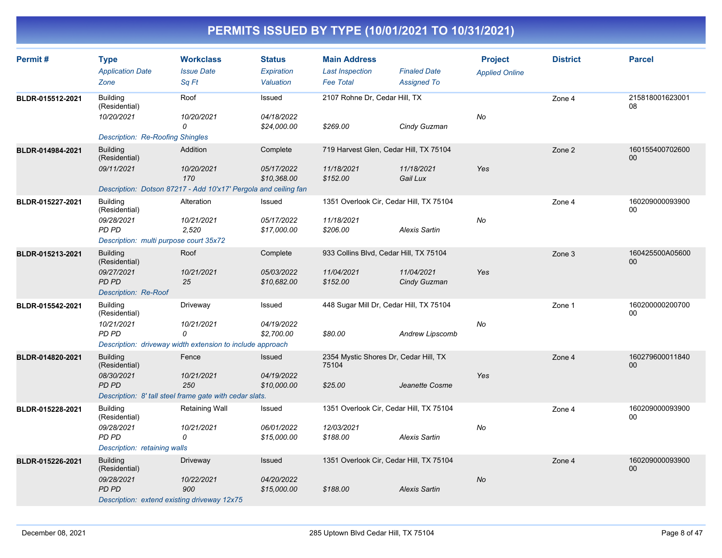| Permit#          | <b>Type</b><br><b>Application Date</b><br>Zone                                                                | <b>Workclass</b><br><b>Issue Date</b><br>Sq Ft                                                   | <b>Status</b><br>Expiration<br>Valuation   | <b>Main Address</b><br><b>Last Inspection</b><br><b>Fee Total</b> | <b>Finaled Date</b><br><b>Assigned To</b> | <b>Project</b><br><b>Applied Online</b> | <b>District</b> | <b>Parcel</b>         |
|------------------|---------------------------------------------------------------------------------------------------------------|--------------------------------------------------------------------------------------------------|--------------------------------------------|-------------------------------------------------------------------|-------------------------------------------|-----------------------------------------|-----------------|-----------------------|
| BLDR-015512-2021 | <b>Building</b><br>(Residential)<br>10/20/2021<br><b>Description: Re-Roofing Shingles</b>                     | Roof<br>10/20/2021<br>0                                                                          | Issued<br>04/18/2022<br>\$24,000.00        | 2107 Rohne Dr, Cedar Hill, TX<br>\$269.00                         | Cindy Guzman                              | No                                      | Zone 4          | 215818001623001<br>08 |
| BLDR-014984-2021 | <b>Building</b><br>(Residential)<br>09/11/2021                                                                | Addition<br>10/20/2021<br>170<br>Description: Dotson 87217 - Add 10'x17' Pergola and ceiling fan | Complete<br>05/17/2022<br>\$10,368.00      | 719 Harvest Glen, Cedar Hill, TX 75104<br>11/18/2021<br>\$152.00  | 11/18/2021<br>Gail Lux                    | Yes                                     | Zone 2          | 160155400702600<br>00 |
| BLDR-015227-2021 | <b>Building</b><br>(Residential)<br>09/28/2021<br>PD PD<br>Description: multi purpose court 35x72             | Alteration<br>10/21/2021<br>2,520                                                                | Issued<br>05/17/2022<br>\$17,000.00        | 1351 Overlook Cir, Cedar Hill, TX 75104<br>11/18/2021<br>\$206.00 | <b>Alexis Sartin</b>                      | No                                      | Zone 4          | 160209000093900<br>00 |
| BLDR-015213-2021 | <b>Building</b><br>(Residential)<br>09/27/2021<br>PD PD<br><b>Description: Re-Roof</b>                        | Roof<br>10/21/2021<br>25                                                                         | Complete<br>05/03/2022<br>\$10,682.00      | 933 Collins Blvd, Cedar Hill, TX 75104<br>11/04/2021<br>\$152.00  | 11/04/2021<br>Cindy Guzman                | Yes                                     | Zone 3          | 160425500A05600<br>00 |
| BLDR-015542-2021 | <b>Building</b><br>(Residential)<br>10/21/2021<br>PD PD                                                       | Driveway<br>10/21/2021<br>0<br>Description: driveway width extension to include approach         | Issued<br>04/19/2022<br>\$2,700.00         | 448 Sugar Mill Dr, Cedar Hill, TX 75104<br>\$80.00                | Andrew Lipscomb                           | No                                      | Zone 1          | 160200000200700<br>00 |
| BLDR-014820-2021 | <b>Building</b><br>(Residential)<br>08/30/2021<br>PD PD                                                       | Fence<br>10/21/2021<br>250<br>Description: 8' tall steel frame gate with cedar slats.            | <b>Issued</b><br>04/19/2022<br>\$10,000.00 | 2354 Mystic Shores Dr, Cedar Hill, TX<br>75104<br>\$25.00         | Jeanette Cosme                            | Yes                                     | Zone 4          | 160279600011840<br>00 |
| BLDR-015228-2021 | <b>Building</b><br>(Residential)<br>09/28/2021<br>PD PD<br>Description: retaining walls                       | Retaining Wall<br>10/21/2021<br>0                                                                | Issued<br>06/01/2022<br>\$15,000.00        | 1351 Overlook Cir, Cedar Hill, TX 75104<br>12/03/2021<br>\$188.00 | <b>Alexis Sartin</b>                      | No                                      | Zone 4          | 160209000093900<br>00 |
| BLDR-015226-2021 | <b>Building</b><br>(Residential)<br>09/28/2021<br><b>PD PD</b><br>Description: extend existing driveway 12x75 | Driveway<br>10/22/2021<br>900                                                                    | <b>Issued</b><br>04/20/2022<br>\$15,000.00 | 1351 Overlook Cir, Cedar Hill, TX 75104<br>\$188.00               | <b>Alexis Sartin</b>                      | <b>No</b>                               | Zone 4          | 160209000093900<br>00 |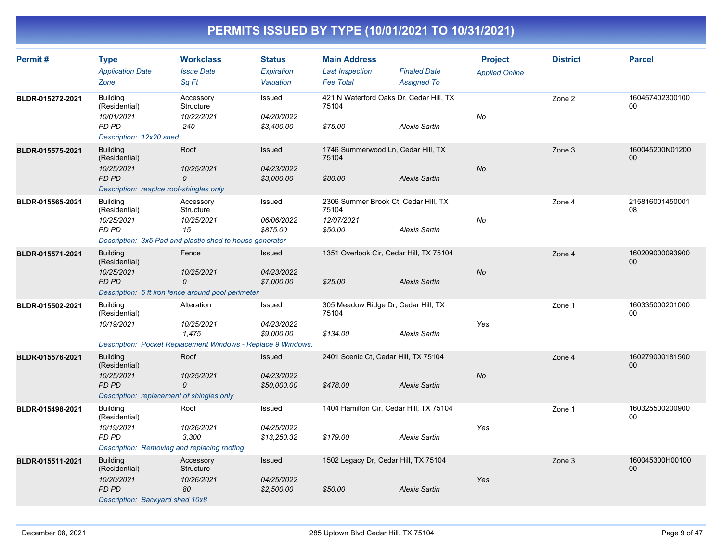| Permit#          | <b>Type</b><br><b>Application Date</b><br>Zone                                                                      | <b>Workclass</b><br><b>Issue Date</b><br>Sa Ft | <b>Status</b><br>Expiration<br>Valuation  | <b>Main Address</b><br><b>Last Inspection</b><br><b>Fee Total</b>      | <b>Finaled Date</b><br><b>Assigned To</b> | <b>Project</b><br><b>Applied Online</b> | <b>District</b> | <b>Parcel</b>         |
|------------------|---------------------------------------------------------------------------------------------------------------------|------------------------------------------------|-------------------------------------------|------------------------------------------------------------------------|-------------------------------------------|-----------------------------------------|-----------------|-----------------------|
| BLDR-015272-2021 | <b>Building</b><br>(Residential)<br>10/01/2021<br>PD PD<br>Description: 12x20 shed                                  | Accessory<br>Structure<br>10/22/2021<br>240    | Issued<br>04/20/2022<br>\$3,400.00        | 421 N Waterford Oaks Dr, Cedar Hill, TX<br>75104<br>\$75.00            | <b>Alexis Sartin</b>                      | No                                      | Zone 2          | 160457402300100<br>00 |
| BLDR-015575-2021 | <b>Building</b><br>(Residential)<br>10/25/2021<br>PD PD<br>Description: reapice roof-shingles only                  | Roof<br>10/25/2021<br>0                        | Issued<br>04/23/2022<br>\$3,000.00        | 1746 Summerwood Ln, Cedar Hill, TX<br>75104<br>\$80.00                 | <b>Alexis Sartin</b>                      | <b>No</b>                               | Zone 3          | 160045200N01200<br>00 |
| BLDR-015565-2021 | <b>Building</b><br>(Residential)<br>10/25/2021<br>PD PD<br>Description: 3x5 Pad and plastic shed to house generator | Accessory<br>Structure<br>10/25/2021<br>15     | Issued<br>06/06/2022<br>\$875.00          | 2306 Summer Brook Ct, Cedar Hill, TX<br>75104<br>12/07/2021<br>\$50.00 | <b>Alexis Sartin</b>                      | No                                      | Zone 4          | 215816001450001<br>08 |
| BLDR-015571-2021 | <b>Building</b><br>(Residential)<br>10/25/2021<br>PD PD<br>Description: 5 ft iron fence around pool perimeter       | Fence<br>10/25/2021<br>0                       | <b>Issued</b><br>04/23/2022<br>\$7,000.00 | 1351 Overlook Cir, Cedar Hill, TX 75104<br>\$25.00                     | <b>Alexis Sartin</b>                      | <b>No</b>                               | Zone 4          | 160209000093900<br>00 |
| BLDR-015502-2021 | <b>Building</b><br>(Residential)<br>10/19/2021<br>Description: Pocket Replacement Windows - Replace 9 Windows.      | Alteration<br>10/25/2021<br>1.475              | Issued<br>04/23/2022<br>\$9,000.00        | 305 Meadow Ridge Dr, Cedar Hill, TX<br>75104<br>\$134.00               | <b>Alexis Sartin</b>                      | Yes                                     | Zone 1          | 160335000201000<br>00 |
| BLDR-015576-2021 | <b>Building</b><br>(Residential)<br>10/25/2021<br><b>PD PD</b><br>Description: replacement of shingles only         | Roof<br>10/25/2021<br>0                        | Issued<br>04/23/2022<br>\$50,000.00       | 2401 Scenic Ct, Cedar Hill, TX 75104<br>\$478.00                       | <b>Alexis Sartin</b>                      | No                                      | Zone 4          | 160279000181500<br>00 |
| BLDR-015498-2021 | <b>Building</b><br>(Residential)<br>10/19/2021<br>PD PD<br>Description: Removing and replacing roofing              | Roof<br>10/26/2021<br>3,300                    | Issued<br>04/25/2022<br>\$13,250.32       | 1404 Hamilton Cir, Cedar Hill, TX 75104<br>\$179.00                    | <b>Alexis Sartin</b>                      | Yes                                     | Zone 1          | 160325500200900<br>00 |
| BLDR-015511-2021 | <b>Building</b><br>(Residential)<br>10/20/2021<br><b>PD PD</b><br>Description: Backyard shed 10x8                   | Accessory<br>Structure<br>10/26/2021<br>80     | Issued<br>04/25/2022<br>\$2,500.00        | 1502 Legacy Dr, Cedar Hill, TX 75104<br>\$50.00                        | <b>Alexis Sartin</b>                      | Yes                                     | Zone 3          | 160045300H00100<br>00 |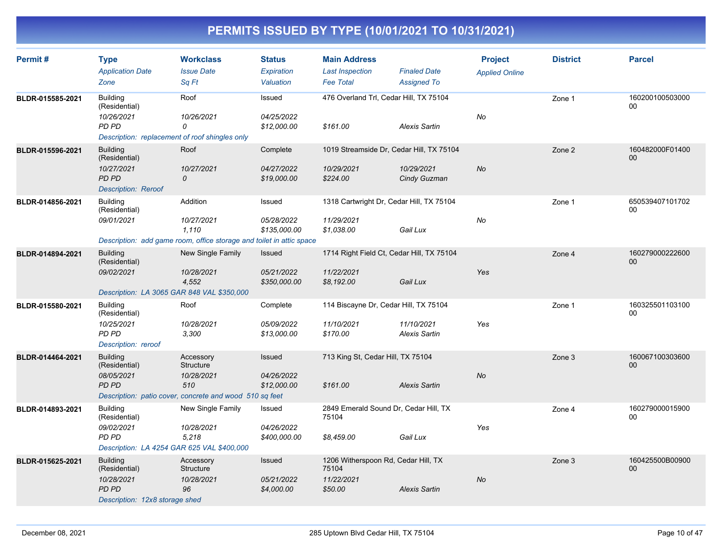| Permit#          | <b>Type</b><br><b>Application Date</b><br>Zone                                                               | <b>Workclass</b><br><b>Issue Date</b><br>Sq Ft                                                          | <b>Status</b><br>Expiration<br>Valuation | <b>Main Address</b><br><b>Last Inspection</b><br><b>Fee Total</b>     | <b>Finaled Date</b><br><b>Assigned To</b> | <b>Project</b><br><b>Applied Online</b> | <b>District</b> | <b>Parcel</b>             |
|------------------|--------------------------------------------------------------------------------------------------------------|---------------------------------------------------------------------------------------------------------|------------------------------------------|-----------------------------------------------------------------------|-------------------------------------------|-----------------------------------------|-----------------|---------------------------|
| BLDR-015585-2021 | <b>Building</b><br>(Residential)<br>10/26/2021<br>PD PD<br>Description: replacement of roof shingles only    | Roof<br>10/26/2021<br>0                                                                                 | Issued<br>04/25/2022<br>\$12,000.00      | 476 Overland Trl, Cedar Hill, TX 75104<br>\$161.00                    | <b>Alexis Sartin</b>                      | No                                      | Zone 1          | 160200100503000<br>00     |
| BLDR-015596-2021 | <b>Building</b><br>(Residential)<br>10/27/2021<br><b>PD PD</b><br><b>Description: Reroof</b>                 | Roof<br>10/27/2021<br>0                                                                                 | Complete<br>04/27/2022<br>\$19,000.00    | 1019 Streamside Dr, Cedar Hill, TX 75104<br>10/29/2021<br>\$224.00    | 10/29/2021<br>Cindy Guzman                | <b>No</b>                               | Zone 2          | 160482000F01400<br>00     |
| BLDR-014856-2021 | <b>Building</b><br>(Residential)<br>09/01/2021                                                               | Addition<br>10/27/2021<br>1.110<br>Description: add game room, office storage and toilet in attic space | Issued<br>05/28/2022<br>\$135,000.00     | 1318 Cartwright Dr, Cedar Hill, TX 75104<br>11/29/2021<br>\$1,038.00  | Gail Lux                                  | No                                      | Zone 1          | 650539407101702<br>00     |
| BLDR-014894-2021 | <b>Building</b><br>(Residential)<br>09/02/2021<br>Description: LA 3065 GAR 848 VAL \$350,000                 | <b>New Single Family</b><br>10/28/2021<br>4,552                                                         | Issued<br>05/21/2022<br>\$350,000.00     | 1714 Right Field Ct, Cedar Hill, TX 75104<br>11/22/2021<br>\$8,192.00 | Gail Lux                                  | Yes                                     | Zone 4          | 160279000222600<br>$00\,$ |
| BLDR-015580-2021 | <b>Building</b><br>(Residential)<br>10/25/2021<br><b>PD PD</b><br>Description: reroof                        | Roof<br>10/28/2021<br>3,300                                                                             | Complete<br>05/09/2022<br>\$13,000.00    | 114 Biscayne Dr, Cedar Hill, TX 75104<br>11/10/2021<br>\$170.00       | 11/10/2021<br><b>Alexis Sartin</b>        | Yes                                     | Zone 1          | 160325501103100<br>00     |
| BLDR-014464-2021 | <b>Building</b><br>(Residential)<br>08/05/2021<br>PD PD                                                      | Accessory<br>Structure<br>10/28/2021<br>510<br>Description: patio cover, concrete and wood 510 sq feet  | Issued<br>04/26/2022<br>\$12,000.00      | 713 King St, Cedar Hill, TX 75104<br>\$161.00                         | <b>Alexis Sartin</b>                      | No                                      | Zone 3          | 160067100303600<br>00     |
| BLDR-014893-2021 | <b>Building</b><br>(Residential)<br>09/02/2021<br><b>PD PD</b><br>Description: LA 4254 GAR 625 VAL \$400,000 | New Single Family<br>10/28/2021<br>5,218                                                                | Issued<br>04/26/2022<br>\$400,000.00     | 2849 Emerald Sound Dr, Cedar Hill, TX<br>75104<br>\$8,459.00          | Gail Lux                                  | Yes                                     | Zone 4          | 160279000015900<br>00     |
| BLDR-015625-2021 | <b>Building</b><br>(Residential)<br>10/28/2021<br><b>PD PD</b><br>Description: 12x8 storage shed             | Accessory<br>Structure<br>10/28/2021<br>96                                                              | Issued<br>05/21/2022<br>\$4,000.00       | 1206 Witherspoon Rd, Cedar Hill, TX<br>75104<br>11/22/2021<br>\$50.00 | <b>Alexis Sartin</b>                      | <b>No</b>                               | Zone 3          | 160425500B00900<br>00     |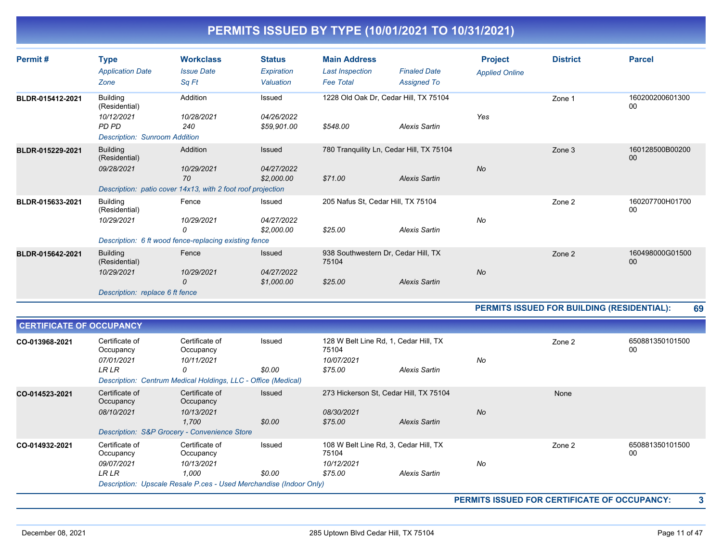| Permit#          | <b>Type</b><br><b>Application Date</b><br>Zone                                                  | <b>Workclass</b><br><b>Issue Date</b><br>Sq Ft                                              | <b>Status</b><br>Expiration<br>Valuation | <b>Main Address</b><br><b>Last Inspection</b><br><b>Fee Total</b> | <b>Finaled Date</b><br><b>Assigned To</b>                     | <b>Project</b><br><b>Applied Online</b> | <b>District</b> | <b>Parcel</b>         |
|------------------|-------------------------------------------------------------------------------------------------|---------------------------------------------------------------------------------------------|------------------------------------------|-------------------------------------------------------------------|---------------------------------------------------------------|-----------------------------------------|-----------------|-----------------------|
| BLDR-015412-2021 | <b>Building</b><br>(Residential)<br>10/12/2021<br>PD PD<br><b>Description: Sunroom Addition</b> | Addition<br>10/28/2021<br>240                                                               | Issued<br>04/26/2022<br>\$59,901.00      | \$548.00                                                          | 1228 Old Oak Dr, Cedar Hill, TX 75104<br><b>Alexis Sartin</b> | Yes                                     | Zone 1          | 160200200601300<br>00 |
| BLDR-015229-2021 | <b>Building</b><br>(Residential)<br>09/28/2021                                                  | Addition<br>10/29/2021<br>70<br>Description: patio cover 14x13, with 2 foot roof projection | Issued<br>04/27/2022<br>\$2,000.00       | \$71.00                                                           | 780 Tranquility Ln, Cedar Hill, TX 75104<br>Alexis Sartin     | <b>No</b>                               | Zone 3          | 160128500B00200<br>00 |
| BLDR-015633-2021 | <b>Building</b><br>(Residential)<br>10/29/2021                                                  | Fence<br>10/29/2021<br>0<br>Description: 6 ft wood fence-replacing existing fence           | Issued<br>04/27/2022<br>\$2,000.00       | 205 Nafus St, Cedar Hill, TX 75104<br>\$25.00                     | <b>Alexis Sartin</b>                                          | <b>No</b>                               | Zone 2          | 160207700H01700<br>00 |
| BLDR-015642-2021 | <b>Building</b><br>(Residential)<br>10/29/2021<br>Description: replace 6 ft fence               | Fence<br>10/29/2021<br>0                                                                    | Issued<br>04/27/2022<br>\$1,000.00       | 938 Southwestern Dr, Cedar Hill, TX<br>75104<br>\$25.00           | <b>Alexis Sartin</b>                                          | <b>No</b>                               | Zone 2          | 160498000G01500<br>00 |

**PERMITS ISSUED FOR BUILDING (RESIDENTIAL): 69**

| <b>CERTIFICATE OF OCCUPANCY</b> |                                                           |                                                                                                                          |                  |                                |                                                                |           |                                              |                       |
|---------------------------------|-----------------------------------------------------------|--------------------------------------------------------------------------------------------------------------------------|------------------|--------------------------------|----------------------------------------------------------------|-----------|----------------------------------------------|-----------------------|
| CO-013968-2021                  | Certificate of<br>Occupancy<br>07/01/2021<br>LR LR        | Certificate of<br>Occupancy<br>10/11/2021<br>0<br>Description: Centrum Medical Holdings, LLC - Office (Medical)          | Issued<br>\$0.00 | 75104<br>10/07/2021<br>\$75.00 | 128 W Belt Line Rd, 1, Cedar Hill, TX<br>Alexis Sartin         | No        | Zone 2                                       | 650881350101500<br>00 |
| CO-014523-2021                  | Certificate of<br>Occupancy<br>08/10/2021                 | Certificate of<br>Occupancy<br>10/13/2021<br>1,700<br>Description: S&P Grocery - Convenience Store                       | Issued<br>\$0.00 | 08/30/2021<br>\$75.00          | 273 Hickerson St. Cedar Hill, TX 75104<br><b>Alexis Sartin</b> | <b>No</b> | None                                         |                       |
| CO-014932-2021                  | Certificate of<br>Occupancy<br>09/07/2021<br><b>LR LR</b> | Certificate of<br>Occupancy<br>10/13/2021<br>1.000<br>Description: Upscale Resale P.ces - Used Merchandise (Indoor Only) | Issued<br>\$0.00 | 75104<br>10/12/2021<br>\$75.00 | 108 W Belt Line Rd, 3, Cedar Hill, TX<br>Alexis Sartin         | No        | Zone 2                                       | 650881350101500<br>00 |
|                                 |                                                           |                                                                                                                          |                  |                                |                                                                |           | PERMITS ISSUED FOR CERTIFICATE OF OCCUPANCY: | 3                     |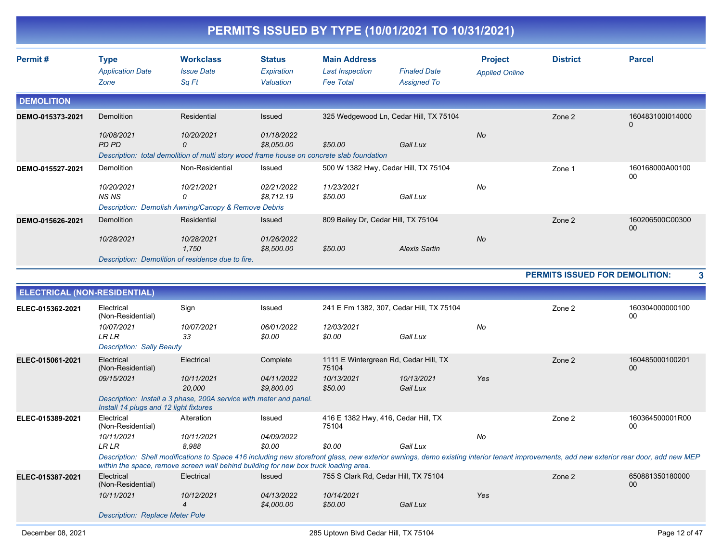|                                     |                                                           |                                                                                           |                                          |                                                                   | PERMITS ISSUED BY TYPE (10/01/2021 TO 10/31/2021) |                                         |                                |                                                                                                                                                                                         |
|-------------------------------------|-----------------------------------------------------------|-------------------------------------------------------------------------------------------|------------------------------------------|-------------------------------------------------------------------|---------------------------------------------------|-----------------------------------------|--------------------------------|-----------------------------------------------------------------------------------------------------------------------------------------------------------------------------------------|
| Permit#                             | <b>Type</b><br><b>Application Date</b><br>Zone            | <b>Workclass</b><br><b>Issue Date</b><br>Sq Ft                                            | <b>Status</b><br>Expiration<br>Valuation | <b>Main Address</b><br><b>Last Inspection</b><br><b>Fee Total</b> | <b>Finaled Date</b><br><b>Assigned To</b>         | <b>Project</b><br><b>Applied Online</b> | <b>District</b>                | <b>Parcel</b>                                                                                                                                                                           |
| <b>DEMOLITION</b>                   |                                                           |                                                                                           |                                          |                                                                   |                                                   |                                         |                                |                                                                                                                                                                                         |
| DEMO-015373-2021                    | Demolition<br>10/08/2021                                  | Residential<br>10/20/2021                                                                 | Issued<br>01/18/2022                     |                                                                   | 325 Wedgewood Ln, Cedar Hill, TX 75104            | No                                      | Zone 2                         | 160483100l014000<br>$\Omega$                                                                                                                                                            |
|                                     | PD PD                                                     | 0                                                                                         | \$8,050.00                               | \$50.00                                                           | Gail Lux                                          |                                         |                                |                                                                                                                                                                                         |
|                                     |                                                           | Description: total demolition of multi story wood frame house on concrete slab foundation |                                          |                                                                   |                                                   |                                         |                                |                                                                                                                                                                                         |
| DEMO-015527-2021                    | Demolition                                                | Non-Residential                                                                           | Issued                                   |                                                                   | 500 W 1382 Hwy, Cedar Hill, TX 75104              |                                         | Zone 1                         | 160168000A00100<br>00                                                                                                                                                                   |
|                                     | 10/20/2021<br><b>NS NS</b>                                | 10/21/2021<br>$\Omega$<br>Description: Demolish Awning/Canopy & Remove Debris             | 02/21/2022<br>\$8,712.19                 | 11/23/2021<br>\$50.00                                             | Gail Lux                                          | No                                      |                                |                                                                                                                                                                                         |
| DEMO-015626-2021                    | Demolition                                                | Residential                                                                               | Issued                                   | 809 Bailey Dr, Cedar Hill, TX 75104                               |                                                   |                                         | Zone 2                         | 160206500C00300<br>00                                                                                                                                                                   |
|                                     | 10/28/2021                                                | 10/28/2021<br>1,750                                                                       | 01/26/2022<br>\$8,500.00                 | \$50.00                                                           | <b>Alexis Sartin</b>                              | No                                      |                                |                                                                                                                                                                                         |
|                                     |                                                           | Description: Demolition of residence due to fire.                                         |                                          |                                                                   |                                                   |                                         |                                |                                                                                                                                                                                         |
|                                     |                                                           |                                                                                           |                                          |                                                                   |                                                   |                                         | PERMITS ISSUED FOR DEMOLITION: | 3                                                                                                                                                                                       |
| <b>ELECTRICAL (NON-RESIDENTIAL)</b> |                                                           |                                                                                           |                                          |                                                                   |                                                   |                                         |                                |                                                                                                                                                                                         |
| ELEC-015362-2021                    | Electrical<br>(Non-Residential)                           | Sign                                                                                      | Issued                                   |                                                                   | 241 E Fm 1382, 307, Cedar Hill, TX 75104          |                                         | Zone 2                         | 160304000000100<br>00                                                                                                                                                                   |
|                                     | 10/07/2021                                                | 10/07/2021                                                                                | 06/01/2022                               | 12/03/2021                                                        |                                                   | No                                      |                                |                                                                                                                                                                                         |
|                                     | ${\it LR}$ ${\it LR}$<br><b>Description: Sally Beauty</b> | 33                                                                                        | \$0.00                                   | \$0.00                                                            | Gail Lux                                          |                                         |                                |                                                                                                                                                                                         |
| ELEC-015061-2021                    | Electrical<br>(Non-Residential)                           | Electrical                                                                                | Complete                                 | 75104                                                             | 1111 E Wintergreen Rd, Cedar Hill, TX             |                                         | Zone 2                         | 160485000100201<br>00                                                                                                                                                                   |
|                                     | 09/15/2021                                                | 10/11/2021<br>20,000                                                                      | 04/11/2022<br>\$9,800.00                 | 10/13/2021<br>\$50.00                                             | 10/13/2021<br>Gail Lux                            | Yes                                     |                                |                                                                                                                                                                                         |
|                                     | Install 14 plugs and 12 light fixtures                    | Description: Install a 3 phase, 200A service with meter and panel.                        |                                          |                                                                   |                                                   |                                         |                                |                                                                                                                                                                                         |
| ELEC-015389-2021                    | Electrical<br>(Non-Residential)                           | Alteration                                                                                | Issued                                   | 75104                                                             | 416 E 1382 Hwy, 416, Cedar Hill, TX               |                                         | Zone 2                         | 160364500001R00<br>00                                                                                                                                                                   |
|                                     | 10/11/2021<br><b>LR LR</b>                                | 10/11/2021<br>8,988                                                                       | 04/09/2022<br>\$0.00                     | \$0.00                                                            | Gail Lux                                          | No                                      |                                |                                                                                                                                                                                         |
|                                     |                                                           | within the space, remove screen wall behind building for new box truck loading area.      |                                          |                                                                   |                                                   |                                         |                                | Description: Shell modifications to Space 416 including new storefront glass, new exterior awnings, demo existing interior tenant improvements, add new exterior rear door, add new MEP |
| ELEC-015387-2021                    | Electrical<br>(Non-Residential)                           | Electrical                                                                                | Issued                                   |                                                                   | 755 S Clark Rd, Cedar Hill, TX 75104              |                                         | Zone 2                         | 650881350180000<br>00 <sup>°</sup>                                                                                                                                                      |
|                                     | 10/11/2021                                                | 10/12/2021<br>$\overline{4}$                                                              | <i>04/13/2022</i><br>\$4,000.00          | 10/14/2021<br>\$50.00                                             | Gail Lux                                          | Yes                                     |                                |                                                                                                                                                                                         |
|                                     | <b>Description: Replace Meter Pole</b>                    |                                                                                           |                                          |                                                                   |                                                   |                                         |                                |                                                                                                                                                                                         |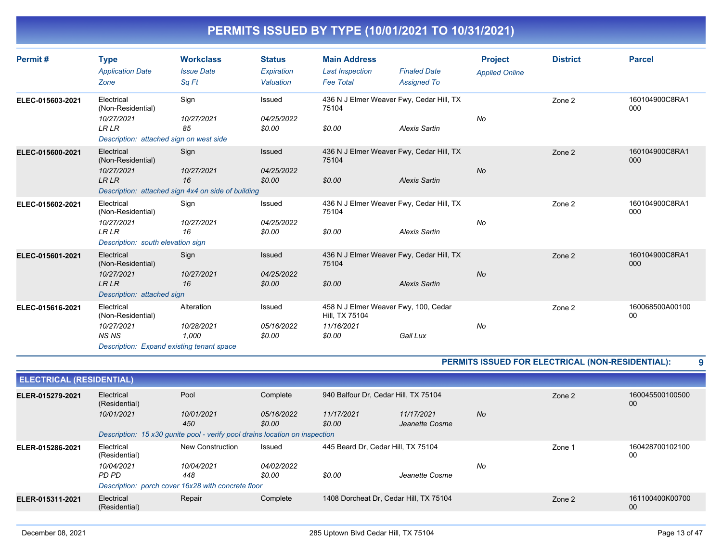| Permit#          | <b>Type</b><br><b>Application Date</b><br>Zone                                                                    | <b>Workclass</b><br><b>Issue Date</b><br>Sq Ft                                 | <b>Status</b><br>Expiration<br>Valuation | <b>Main Address</b><br><b>Last Inspection</b><br><b>Fee Total</b>              | <b>Finaled Date</b><br><b>Assigned To</b> | <b>Project</b><br><b>Applied Online</b> | <b>District</b> | <b>Parcel</b>         |
|------------------|-------------------------------------------------------------------------------------------------------------------|--------------------------------------------------------------------------------|------------------------------------------|--------------------------------------------------------------------------------|-------------------------------------------|-----------------------------------------|-----------------|-----------------------|
| ELEC-015603-2021 | Electrical<br>(Non-Residential)<br>10/27/2021<br><b>LRLR</b><br>Description: attached sign on west side           | Sign<br>10/27/2021<br>85                                                       | Issued<br>04/25/2022<br>\$0.00           | 436 N J Elmer Weaver Fwy, Cedar Hill, TX<br>75104<br>\$0.00                    | <b>Alexis Sartin</b>                      | No                                      | Zone 2          | 160104900C8RA1<br>000 |
| ELEC-015600-2021 | Electrical<br>(Non-Residential)<br>10/27/2021<br><b>LRLR</b>                                                      | Sign<br>10/27/2021<br>16<br>Description: attached sign 4x4 on side of building | <b>Issued</b><br>04/25/2022<br>\$0.00    | 436 N J Elmer Weaver Fwy, Cedar Hill, TX<br>75104<br>\$0.00                    | <b>Alexis Sartin</b>                      | No                                      | Zone 2          | 160104900C8RA1<br>000 |
| ELEC-015602-2021 | Electrical<br>(Non-Residential)<br>10/27/2021<br><b>LRLR</b><br>Description: south elevation sign                 | Sign<br>10/27/2021<br>16                                                       | Issued<br>04/25/2022<br>\$0.00           | 436 N J Elmer Weaver Fwy, Cedar Hill, TX<br>75104<br>\$0.00                    | <b>Alexis Sartin</b>                      | No                                      | Zone 2          | 160104900C8RA1<br>000 |
| ELEC-015601-2021 | Electrical<br>(Non-Residential)<br>10/27/2021<br><b>LRLR</b><br>Description: attached sign                        | Sign<br>10/27/2021<br>16                                                       | <b>Issued</b><br>04/25/2022<br>\$0.00    | 436 N J Elmer Weaver Fwy, Cedar Hill, TX<br>75104<br>\$0.00                    | <b>Alexis Sartin</b>                      | No                                      | Zone 2          | 160104900C8RA1<br>000 |
| ELEC-015616-2021 | Electrical<br>(Non-Residential)<br>10/27/2021<br><b>NS NS</b><br><b>Description: Expand existing tenant space</b> | Alteration<br>10/28/2021<br>1,000                                              | Issued<br>05/16/2022<br>\$0.00           | 458 N J Elmer Weaver Fwy, 100, Cedar<br>Hill, TX 75104<br>11/16/2021<br>\$0.00 | Gail Lux                                  | No                                      | Zone 2          | 160068500A00100<br>00 |

**PERMITS ISSUED FOR ELECTRICAL (NON-RESIDENTIAL): 9**

| <b>ELECTRICAL (RESIDENTIAL)</b> |                                                                                         |                                                                             |                      |                                        |                              |    |        |                        |
|---------------------------------|-----------------------------------------------------------------------------------------|-----------------------------------------------------------------------------|----------------------|----------------------------------------|------------------------------|----|--------|------------------------|
| ELER-015279-2021                | Pool<br>Complete<br>940 Balfour Dr. Cedar Hill, TX 75104<br>Electrical<br>(Residential) |                                                                             |                      | Zone 2                                 | 160045500100500<br>00        |    |        |                        |
|                                 | 10/01/2021                                                                              | 10/01/2021<br>450                                                           | 05/16/2022<br>\$0.00 | 11/17/2021<br>\$0.00                   | 11/17/2021<br>Jeanette Cosme | No |        |                        |
|                                 |                                                                                         | Description: 15 x30 gunite pool - verify pool drains location on inspection |                      |                                        |                              |    |        |                        |
| ELER-015286-2021                | Electrical<br>(Residential)                                                             | New Construction                                                            | Issued               | 445 Beard Dr, Cedar Hill, TX 75104     |                              |    | Zone 1 | 160428700102100<br>00  |
|                                 | 10/04/2021                                                                              | 10/04/2021                                                                  | 04/02/2022           |                                        |                              | No |        |                        |
|                                 | PD PD                                                                                   | 448                                                                         | \$0.00               | \$0.00                                 | Jeanette Cosme               |    |        |                        |
|                                 |                                                                                         | Description: porch cover 16x28 with concrete floor                          |                      |                                        |                              |    |        |                        |
| ELER-015311-2021                | Electrical<br>(Residential)                                                             | Repair                                                                      | Complete             | 1408 Dorcheat Dr. Cedar Hill, TX 75104 |                              |    | Zone 2 | 161100400K00700<br>-00 |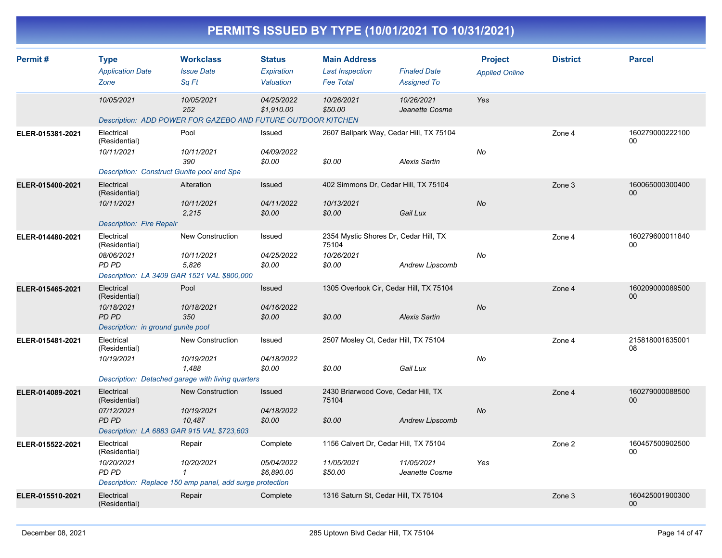|                  |                                                                                                 |                                                                                                  |                                          |                                                                        | PERMITS ISSUED BY TYPE (10/01/2021 TO 10/31/2021)               |                                         |                 |                           |
|------------------|-------------------------------------------------------------------------------------------------|--------------------------------------------------------------------------------------------------|------------------------------------------|------------------------------------------------------------------------|-----------------------------------------------------------------|-----------------------------------------|-----------------|---------------------------|
| Permit#          | <b>Type</b><br><b>Application Date</b><br>Zone                                                  | <b>Workclass</b><br><b>Issue Date</b><br>Sq Ft                                                   | <b>Status</b><br>Expiration<br>Valuation | <b>Main Address</b><br><b>Last Inspection</b><br><b>Fee Total</b>      | <b>Finaled Date</b><br><b>Assigned To</b>                       | <b>Project</b><br><b>Applied Online</b> | <b>District</b> | <b>Parcel</b>             |
|                  | 10/05/2021                                                                                      | 10/05/2021<br>252<br>Description: ADD POWER FOR GAZEBO AND FUTURE OUTDOOR KITCHEN                | 04/25/2022<br>\$1,910.00                 | 10/26/2021<br>\$50.00                                                  | 10/26/2021<br>Jeanette Cosme                                    | Yes                                     |                 |                           |
| ELER-015381-2021 | Electrical<br>(Residential)<br>10/11/2021<br>Description: Construct Gunite pool and Spa         | Pool<br>10/11/2021<br>390                                                                        | Issued<br>04/09/2022<br>\$0.00           | \$0.00                                                                 | 2607 Ballpark Way, Cedar Hill, TX 75104<br><b>Alexis Sartin</b> | No                                      | Zone 4          | 160279000222100<br>00     |
| ELER-015400-2021 | Electrical<br>(Residential)<br>10/11/2021<br><b>Description: Fire Repair</b>                    | Alteration<br>10/11/2021<br>2,215                                                                | Issued<br>04/11/2022<br>\$0.00           | 402 Simmons Dr, Cedar Hill, TX 75104<br>10/13/2021<br>\$0.00           | Gail Lux                                                        | No                                      | Zone 3          | 160065000300400<br>$00\,$ |
| ELER-014480-2021 | Electrical<br>(Residential)<br>08/06/2021<br>PD PD                                              | New Construction<br>10/11/2021<br>5,826<br>Description: LA 3409 GAR 1521 VAL \$800,000           | Issued<br>04/25/2022<br>\$0.00           | 2354 Mystic Shores Dr, Cedar Hill, TX<br>75104<br>10/26/2021<br>\$0.00 | Andrew Lipscomb                                                 | No                                      | Zone 4          | 160279600011840<br>00     |
| ELER-015465-2021 | Electrical<br>(Residential)<br>10/18/2021<br><b>PD PD</b><br>Description: in ground gunite pool | Pool<br>10/18/2021<br>350                                                                        | Issued<br>04/16/2022<br>\$0.00           | 1305 Overlook Cir, Cedar Hill, TX 75104<br>\$0.00                      | <b>Alexis Sartin</b>                                            | No                                      | Zone 4          | 160209000089500<br>00     |
| ELER-015481-2021 | Electrical<br>(Residential)<br>10/19/2021                                                       | New Construction<br>10/19/2021<br>1,488<br>Description: Detached garage with living quarters     | Issued<br>04/18/2022<br>\$0.00           | 2507 Mosley Ct, Cedar Hill, TX 75104<br>\$0.00                         | Gail Lux                                                        | No                                      | Zone 4          | 215818001635001<br>08     |
| ELER-014089-2021 | Electrical<br>(Residential)<br>07/12/2021<br><b>PD PD</b>                                       | <b>New Construction</b><br>10/19/2021<br>10,487<br>Description: LA 6883 GAR 915 VAL \$723,603    | <b>Issued</b><br>04/18/2022<br>\$0.00    | 2430 Briarwood Cove, Cedar Hill, TX<br>75104<br>\$0.00                 | Andrew Lipscomb                                                 | No                                      | Zone 4          | 160279000088500<br>00     |
| ELER-015522-2021 | Electrical<br>(Residential)<br>10/20/2021<br>PD PD                                              | Repair<br>10/20/2021<br>$\mathcal I$<br>Description: Replace 150 amp panel, add surge protection | Complete<br>05/04/2022<br>\$6,890.00     | 1156 Calvert Dr, Cedar Hill, TX 75104<br>11/05/2021<br>\$50.00         | 11/05/2021<br>Jeanette Cosme                                    | Yes                                     | Zone 2          | 160457500902500<br>00     |
| ELER-015510-2021 | Electrical<br>(Residential)                                                                     | Repair                                                                                           | Complete                                 | 1316 Saturn St, Cedar Hill, TX 75104                                   |                                                                 |                                         | Zone 3          | 160425001900300<br>00     |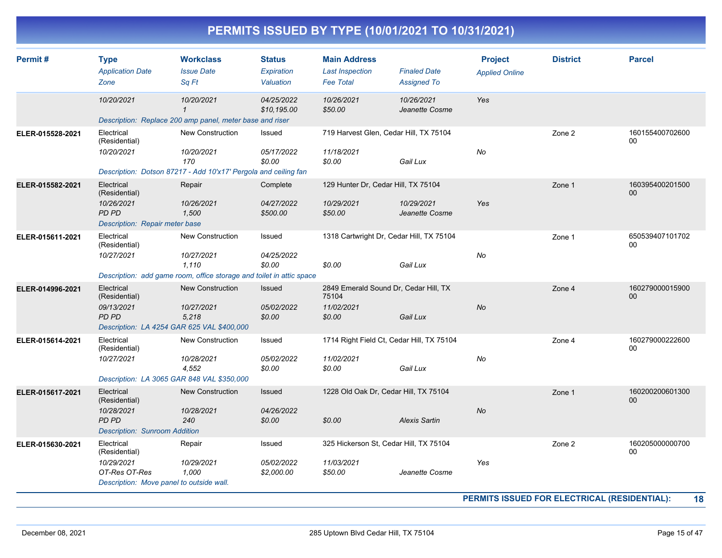| Permit#          | <b>Type</b>                              | <b>Workclass</b>                                                     | <b>Status</b>             | <b>Main Address</b>                 |                                           | <b>Project</b>                               | <b>District</b> | <b>Parcel</b>                      |
|------------------|------------------------------------------|----------------------------------------------------------------------|---------------------------|-------------------------------------|-------------------------------------------|----------------------------------------------|-----------------|------------------------------------|
|                  | <b>Application Date</b>                  | <b>Issue Date</b>                                                    | Expiration                | <b>Last Inspection</b>              | <b>Finaled Date</b>                       | <b>Applied Online</b>                        |                 |                                    |
|                  | Zone                                     | Sa Ft                                                                | Valuation                 | <b>Fee Total</b>                    | <b>Assigned To</b>                        |                                              |                 |                                    |
|                  | 10/20/2021                               | 10/20/2021<br>$\mathcal{I}$                                          | 04/25/2022<br>\$10,195.00 | 10/26/2021<br>\$50.00               | 10/26/2021<br>Jeanette Cosme              | Yes                                          |                 |                                    |
|                  |                                          | Description: Replace 200 amp panel, meter base and riser             |                           |                                     |                                           |                                              |                 |                                    |
| ELER-015528-2021 | Electrical<br>(Residential)              | New Construction                                                     | Issued                    |                                     | 719 Harvest Glen, Cedar Hill, TX 75104    |                                              | Zone 2          | 160155400702600<br>00              |
|                  | 10/20/2021                               | 10/20/2021<br>170                                                    | 05/17/2022<br>\$0.00      | 11/18/2021<br>\$0.00                | Gail Lux                                  | No                                           |                 |                                    |
|                  |                                          | Description: Dotson 87217 - Add 10'x17' Pergola and ceiling fan      |                           |                                     |                                           |                                              |                 |                                    |
| ELER-015582-2021 | Electrical<br>(Residential)              | Repair                                                               | Complete                  | 129 Hunter Dr, Cedar Hill, TX 75104 |                                           |                                              | Zone 1          | 160395400201500<br>00 <sup>°</sup> |
|                  | 10/26/2021<br>PD PD                      | 10/26/2021<br>1,500                                                  | 04/27/2022<br>\$500.00    | 10/29/2021<br>\$50.00               | 10/29/2021<br>Jeanette Cosme              | Yes                                          |                 |                                    |
|                  | Description: Repair meter base           |                                                                      |                           |                                     |                                           |                                              |                 |                                    |
| ELER-015611-2021 | Electrical<br>(Residential)              | New Construction                                                     | Issued                    |                                     | 1318 Cartwright Dr, Cedar Hill, TX 75104  |                                              | Zone 1          | 650539407101702<br>00              |
|                  | 10/27/2021                               | 10/27/2021<br>1.110                                                  | 04/25/2022<br>\$0.00      | \$0.00                              | Gail Lux                                  | No                                           |                 |                                    |
|                  |                                          | Description: add game room, office storage and toilet in attic space |                           |                                     |                                           |                                              |                 |                                    |
| ELER-014996-2021 | Electrical<br>(Residential)              | <b>New Construction</b>                                              | Issued                    | 75104                               | 2849 Emerald Sound Dr, Cedar Hill, TX     |                                              | Zone 4          | 160279000015900<br>00 <sup>°</sup> |
|                  | 09/13/2021                               | 10/27/2021                                                           | 05/02/2022                | 11/02/2021                          |                                           | No                                           |                 |                                    |
|                  | <b>PD PD</b>                             | 5,218<br>Description: LA 4254 GAR 625 VAL \$400,000                  | \$0.00                    | \$0.00                              | Gail Lux                                  |                                              |                 |                                    |
| ELER-015614-2021 | Electrical<br>(Residential)              | New Construction                                                     | Issued                    |                                     | 1714 Right Field Ct, Cedar Hill, TX 75104 |                                              | Zone 4          | 160279000222600<br>$00\,$          |
|                  | 10/27/2021                               | 10/28/2021                                                           | 05/02/2022                | 11/02/2021                          |                                           | No                                           |                 |                                    |
|                  |                                          | 4,552<br>Description: LA 3065 GAR 848 VAL \$350,000                  | \$0.00                    | \$0.00                              | Gail Lux                                  |                                              |                 |                                    |
| ELER-015617-2021 | Electrical                               | <b>New Construction</b>                                              | Issued                    |                                     | 1228 Old Oak Dr, Cedar Hill, TX 75104     |                                              | Zone 1          | 160200200601300                    |
|                  | (Residential)<br>10/28/2021              | 10/28/2021                                                           | 04/26/2022                |                                     |                                           | No                                           |                 | 00 <sup>°</sup>                    |
|                  | <b>PD PD</b>                             | 240                                                                  | \$0.00                    | \$0.00                              | <b>Alexis Sartin</b>                      |                                              |                 |                                    |
|                  | <b>Description: Sunroom Addition</b>     |                                                                      |                           |                                     |                                           |                                              |                 |                                    |
| ELER-015630-2021 | Electrical<br>(Residential)              | Repair                                                               | Issued                    |                                     | 325 Hickerson St, Cedar Hill, TX 75104    |                                              | Zone 2          | 160205000000700<br>$00\,$          |
|                  | 10/29/2021                               | 10/29/2021                                                           | 05/02/2022                | 11/03/2021                          |                                           | Yes                                          |                 |                                    |
|                  | OT-Res OT-Res                            | 1,000                                                                | \$2,000.00                | \$50.00                             | Jeanette Cosme                            |                                              |                 |                                    |
|                  | Description: Move panel to outside wall. |                                                                      |                           |                                     |                                           |                                              |                 |                                    |
|                  |                                          |                                                                      |                           |                                     |                                           | PERMITS ISSUED FOR ELECTRICAL (RESIDENTIAL): |                 | 18                                 |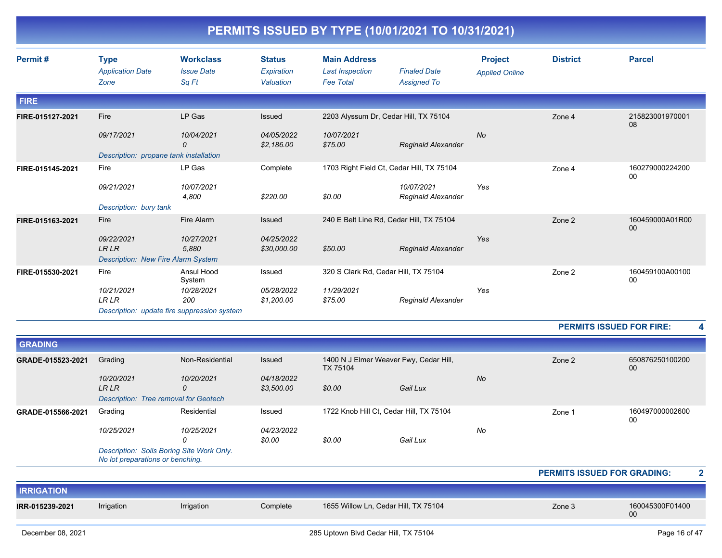|                  |                                                                                |                                                |                                          |                                                                   | PERMITS ISSUED BY TYPE (10/01/2021 TO 10/31/2021) |                                         |                 |                       |
|------------------|--------------------------------------------------------------------------------|------------------------------------------------|------------------------------------------|-------------------------------------------------------------------|---------------------------------------------------|-----------------------------------------|-----------------|-----------------------|
| Permit#          | <b>Type</b><br><b>Application Date</b><br>Zone                                 | <b>Workclass</b><br><b>Issue Date</b><br>Sq Ft | <b>Status</b><br>Expiration<br>Valuation | <b>Main Address</b><br><b>Last Inspection</b><br><b>Fee Total</b> | <b>Finaled Date</b><br><b>Assigned To</b>         | <b>Project</b><br><b>Applied Online</b> | <b>District</b> | <b>Parcel</b>         |
| <b>FIRE</b>      |                                                                                |                                                |                                          |                                                                   |                                                   |                                         |                 |                       |
| FIRE-015127-2021 | Fire<br>09/17/2021<br>Description: propane tank installation                   | LP Gas<br>10/04/2021<br>0                      | Issued<br>04/05/2022<br>\$2,186.00       | 2203 Alyssum Dr, Cedar Hill, TX 75104<br>10/07/2021<br>\$75.00    | <b>Reginald Alexander</b>                         | <b>No</b>                               | Zone 4          | 215823001970001<br>08 |
| FIRE-015145-2021 | Fire<br>09/21/2021<br>Description: bury tank                                   | LP Gas<br>10/07/2021<br>4,800                  | Complete<br>\$220.00                     | 1703 Right Field Ct, Cedar Hill, TX 75104<br>\$0.00               | 10/07/2021<br>Reginald Alexander                  | Yes                                     | Zone 4          | 160279000224200<br>00 |
| FIRE-015163-2021 | Fire<br>09/22/2021<br><b>LRLR</b><br><b>Description: New Fire Alarm System</b> | Fire Alarm<br>10/27/2021<br>5,880              | Issued<br>04/25/2022<br>\$30,000.00      | 240 E Belt Line Rd, Cedar Hill, TX 75104<br>\$50.00               | <b>Reginald Alexander</b>                         | Yes                                     | Zone 2          | 160459000A01R00<br>00 |
| FIRE-015530-2021 | Fire<br>10/21/2021<br><b>LR LR</b>                                             | Ansul Hood<br>System<br>10/28/2021<br>200      | Issued<br>05/28/2022<br>\$1,200.00       | 320 S Clark Rd, Cedar Hill, TX 75104<br>11/29/2021<br>\$75.00     | Reginald Alexander                                | Yes                                     | Zone 2          | 160459100A00100<br>00 |

*Description: update fire suppression system*

**PERMITS ISSUED FOR FIRE: 4**

| <b>GRADING</b>    |                                                                               |                 |                          |                                                    |          |           |                                    |                       |
|-------------------|-------------------------------------------------------------------------------|-----------------|--------------------------|----------------------------------------------------|----------|-----------|------------------------------------|-----------------------|
| GRADE-015523-2021 | Grading                                                                       | Non-Residential | Issued                   | 1400 N J Elmer Weaver Fwy, Cedar Hill,<br>TX 75104 |          |           | Zone 2                             | 650876250100200<br>00 |
|                   | 10/20/2021<br><b>LRLR</b><br>Description: Tree removal for Geotech            | 10/20/2021<br>0 | 04/18/2022<br>\$3,500.00 | \$0.00                                             | Gail Lux | <b>No</b> |                                    |                       |
| GRADE-015566-2021 | Grading                                                                       | Residential     | Issued                   | 1722 Knob Hill Ct, Cedar Hill, TX 75104            |          |           | Zone 1                             | 160497000002600<br>00 |
|                   | 10/25/2021                                                                    | 10/25/2021<br>0 | 04/23/2022<br>\$0.00     | \$0.00                                             | Gail Lux | No        |                                    |                       |
|                   | Description: Soils Boring Site Work Only.<br>No lot preparations or benching. |                 |                          |                                                    |          |           |                                    |                       |
|                   |                                                                               |                 |                          |                                                    |          |           | <b>PERMITS ISSUED FOR GRADING:</b> | $\mathbf{2}$          |
| <b>IRRIGATION</b> |                                                                               |                 |                          |                                                    |          |           |                                    |                       |
| IRR-015239-2021   | Irrigation                                                                    | Irrigation      | Complete                 | 1655 Willow Ln, Cedar Hill, TX 75104               |          |           | Zone 3                             | 160045300F01400<br>00 |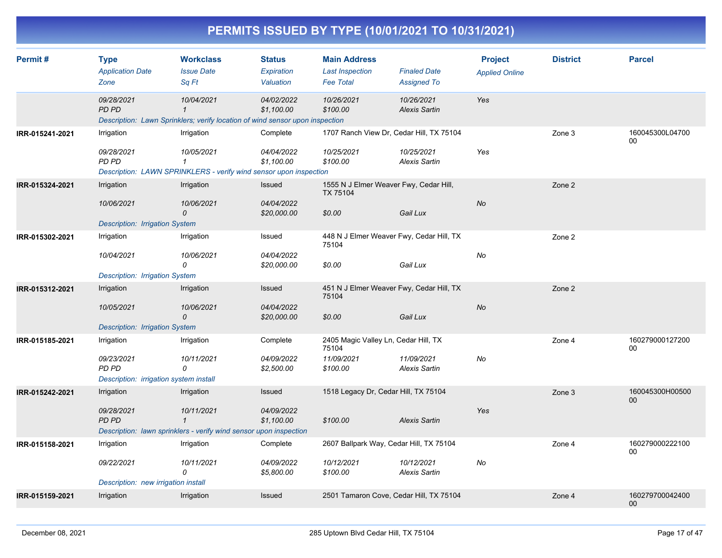|  |  |  | PERMITS ISSUED BY TYPE (10/01/2021 TO 10/31/2021) |
|--|--|--|---------------------------------------------------|
|--|--|--|---------------------------------------------------|

| Permit#         | <b>Type</b><br><b>Application Date</b> | <b>Workclass</b><br><b>Issue Date</b>                                        | <b>Status</b><br>Expiration | <b>Main Address</b><br><b>Last Inspection</b> | <b>Finaled Date</b>                      | <b>Project</b><br><b>Applied Online</b> | <b>District</b> | <b>Parcel</b>             |
|-----------------|----------------------------------------|------------------------------------------------------------------------------|-----------------------------|-----------------------------------------------|------------------------------------------|-----------------------------------------|-----------------|---------------------------|
|                 | Zone                                   | Sq Ft                                                                        | Valuation                   | <b>Fee Total</b>                              | <b>Assigned To</b>                       |                                         |                 |                           |
|                 | 09/28/2021<br>PD PD                    | 10/04/2021<br>$\mathcal I$                                                   | 04/02/2022<br>\$1,100.00    | 10/26/2021<br>\$100.00                        | 10/26/2021<br><b>Alexis Sartin</b>       | Yes                                     |                 |                           |
|                 |                                        | Description: Lawn Sprinklers; verify location of wind sensor upon inspection |                             |                                               |                                          |                                         |                 |                           |
| IRR-015241-2021 | Irrigation                             | Irrigation                                                                   | Complete                    |                                               | 1707 Ranch View Dr, Cedar Hill, TX 75104 |                                         | Zone 3          | 160045300L04700<br>$00\,$ |
|                 | 09/28/2021<br>PD PD                    | 10/05/2021<br>$\mathbf{1}$                                                   | 04/04/2022<br>\$1,100.00    | 10/25/2021<br>\$100.00                        | 10/25/2021<br><b>Alexis Sartin</b>       | Yes                                     |                 |                           |
|                 |                                        | Description: LAWN SPRINKLERS - verify wind sensor upon inspection            |                             |                                               |                                          |                                         |                 |                           |
| IRR-015324-2021 | Irrigation                             | Irrigation                                                                   | Issued                      | TX 75104                                      | 1555 N J Elmer Weaver Fwy, Cedar Hill,   |                                         | Zone 2          |                           |
|                 | 10/06/2021                             | 10/06/2021<br>0                                                              | 04/04/2022<br>\$20,000.00   | \$0.00                                        | Gail Lux                                 | No                                      |                 |                           |
|                 | <b>Description: Irrigation System</b>  |                                                                              |                             |                                               |                                          |                                         |                 |                           |
| IRR-015302-2021 | Irrigation                             | Irrigation                                                                   | Issued                      | 75104                                         | 448 N J Elmer Weaver Fwy, Cedar Hill, TX |                                         | Zone 2          |                           |
|                 | 10/04/2021                             | 10/06/2021<br>0                                                              | 04/04/2022<br>\$20,000.00   | \$0.00                                        | Gail Lux                                 | No                                      |                 |                           |
|                 | <b>Description: Irrigation System</b>  |                                                                              |                             |                                               |                                          |                                         |                 |                           |
| IRR-015312-2021 | Irrigation                             | Irrigation                                                                   | Issued                      | 75104                                         | 451 N J Elmer Weaver Fwy, Cedar Hill, TX |                                         | Zone 2          |                           |
|                 | 10/05/2021                             | 10/06/2021<br>0                                                              | 04/04/2022<br>\$20,000.00   | \$0.00                                        | Gail Lux                                 | No                                      |                 |                           |
|                 | <b>Description: Irrigation System</b>  |                                                                              |                             |                                               |                                          |                                         |                 |                           |
| IRR-015185-2021 | Irrigation                             | Irrigation                                                                   | Complete                    | 75104                                         | 2405 Magic Valley Ln, Cedar Hill, TX     |                                         | Zone 4          | 160279000127200<br>00     |
|                 | 09/23/2021<br>PD PD                    | 10/11/2021<br>0                                                              | 04/09/2022<br>\$2,500.00    | 11/09/2021<br>\$100.00                        | 11/09/2021<br><b>Alexis Sartin</b>       | No                                      |                 |                           |
|                 | Description: irrigation system install |                                                                              |                             |                                               |                                          |                                         |                 |                           |
| IRR-015242-2021 | Irrigation                             | Irrigation                                                                   | Issued                      |                                               | 1518 Legacy Dr, Cedar Hill, TX 75104     |                                         | Zone 3          | 160045300H00500<br>$00\,$ |
|                 | 09/28/2021<br>PD PD                    | 10/11/2021<br>$\mathbf{1}$                                                   | 04/09/2022<br>\$1,100.00    | \$100.00                                      | <b>Alexis Sartin</b>                     | Yes                                     |                 |                           |
|                 |                                        | Description: lawn sprinklers - verify wind sensor upon inspection            |                             |                                               |                                          |                                         |                 |                           |
| IRR-015158-2021 | Irrigation                             | Irrigation                                                                   | Complete                    |                                               | 2607 Ballpark Way, Cedar Hill, TX 75104  |                                         | Zone 4          | 160279000222100<br>00     |
|                 | 09/22/2021                             | 10/11/2021<br>$\Omega$                                                       | 04/09/2022<br>\$5,800.00    | 10/12/2021<br>\$100.00                        | 10/12/2021<br><b>Alexis Sartin</b>       | No                                      |                 |                           |
|                 | Description: new irrigation install    |                                                                              |                             |                                               |                                          |                                         |                 |                           |
| IRR-015159-2021 | Irrigation                             | Irrigation                                                                   | <b>Issued</b>               |                                               | 2501 Tamaron Cove, Cedar Hill, TX 75104  |                                         | Zone 4          | 160279700042400<br>$00\,$ |
|                 |                                        |                                                                              |                             |                                               |                                          |                                         |                 |                           |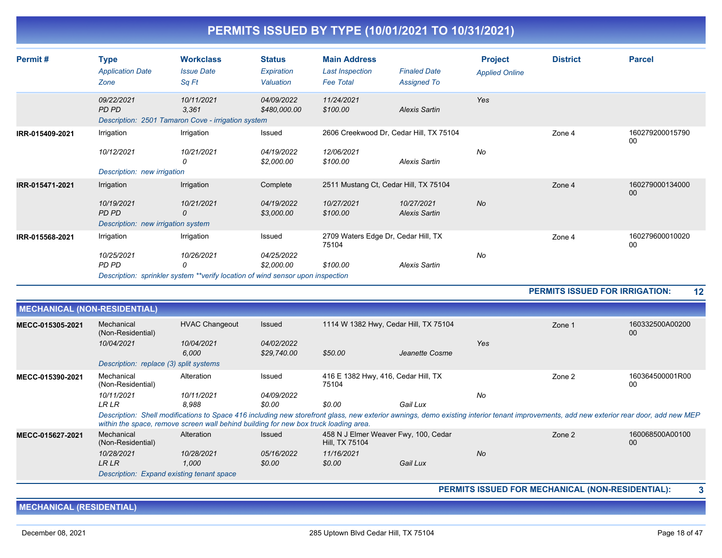| Permit#         | <b>Type</b><br><b>Application Date</b><br>Zone            | <b>Workclass</b><br><b>Issue Date</b><br>Sq Ft                                                    | <b>Status</b><br>Expiration<br>Valuation | <b>Main Address</b><br><b>Last Inspection</b><br><b>Fee Total</b> | <b>Finaled Date</b><br><b>Assigned To</b> | <b>Project</b><br><b>Applied Online</b> | <b>District</b> | <b>Parcel</b>         |
|-----------------|-----------------------------------------------------------|---------------------------------------------------------------------------------------------------|------------------------------------------|-------------------------------------------------------------------|-------------------------------------------|-----------------------------------------|-----------------|-----------------------|
|                 | 09/22/2021<br>PD PD                                       | 10/11/2021<br>3,361<br>Description: 2501 Tamaron Cove - irrigation system                         | 04/09/2022<br>\$480,000.00               | 11/24/2021<br>\$100.00                                            | <b>Alexis Sartin</b>                      | Yes                                     |                 |                       |
| IRR-015409-2021 | Irrigation                                                | Irrigation                                                                                        | Issued                                   |                                                                   | 2606 Creekwood Dr, Cedar Hill, TX 75104   |                                         | Zone 4          | 160279200015790<br>00 |
|                 | 10/12/2021                                                | 10/21/2021<br>0                                                                                   | 04/19/2022<br>\$2,000.00                 | 12/06/2021<br>\$100.00                                            | Alexis Sartin                             | No                                      |                 |                       |
|                 | Description: new irrigation                               |                                                                                                   |                                          |                                                                   |                                           |                                         |                 |                       |
| IRR-015471-2021 | Irrigation                                                | Irrigation                                                                                        | Complete                                 | 2511 Mustang Ct, Cedar Hill, TX 75104                             |                                           |                                         | Zone 4          | 160279000134000<br>00 |
|                 | 10/19/2021<br>PD PD<br>Description: new irrigation system | 10/21/2021<br>0                                                                                   | 04/19/2022<br>\$3,000.00                 | 10/27/2021<br>\$100.00                                            | 10/27/2021<br>Alexis Sartin               | <b>No</b>                               |                 |                       |
| IRR-015568-2021 | Irrigation                                                | Irrigation                                                                                        | Issued                                   | 2709 Waters Edge Dr, Cedar Hill, TX<br>75104                      |                                           |                                         | Zone 4          | 160279600010020<br>00 |
|                 | 10/25/2021<br>PD PD                                       | 10/26/2021<br>0<br>Description: sprinkler system **verify location of wind sensor upon inspection | 04/25/2022<br>\$2,000.00                 | \$100.00                                                          | Alexis Sartin                             | No                                      |                 |                       |
|                 |                                                           |                                                                                                   |                                          |                                                                   |                                           |                                         |                 |                       |

**PERMITS ISSUED FOR IRRIGATION: 12**

| <b>MECHANICAL (NON-RESIDENTIAL)</b> |                                                                                                                                                                                                                                                                                 |                       |                           |                                                        |                |           |                                               |                       |  |  |
|-------------------------------------|---------------------------------------------------------------------------------------------------------------------------------------------------------------------------------------------------------------------------------------------------------------------------------|-----------------------|---------------------------|--------------------------------------------------------|----------------|-----------|-----------------------------------------------|-----------------------|--|--|
| MECC-015305-2021                    | Mechanical<br>(Non-Residential)                                                                                                                                                                                                                                                 | <b>HVAC Changeout</b> | Issued                    | 1114 W 1382 Hwy, Cedar Hill, TX 75104                  |                |           | Zone 1                                        | 160332500A00200<br>00 |  |  |
|                                     | 10/04/2021                                                                                                                                                                                                                                                                      | 10/04/2021<br>6,000   | 04/02/2022<br>\$29,740.00 | \$50.00                                                | Jeanette Cosme | Yes       |                                               |                       |  |  |
|                                     | Description: replace (3) split systems                                                                                                                                                                                                                                          |                       |                           |                                                        |                |           |                                               |                       |  |  |
| MECC-015390-2021                    | Mechanical<br>(Non-Residential)                                                                                                                                                                                                                                                 | Alteration            | Issued                    | 416 E 1382 Hwy, 416, Cedar Hill, TX<br>75104           |                |           | Zone 2                                        | 160364500001R00<br>00 |  |  |
|                                     | 10/11/2021                                                                                                                                                                                                                                                                      | 10/11/2021            | 04/09/2022                |                                                        |                | No        |                                               |                       |  |  |
|                                     | LR LR                                                                                                                                                                                                                                                                           | 8,988                 | \$0.00                    | \$0.00                                                 | Gail Lux       |           |                                               |                       |  |  |
|                                     | Description: Shell modifications to Space 416 including new storefront glass, new exterior awnings, demo existing interior tenant improvements, add new exterior rear door, add new MEP<br>within the space, remove screen wall behind building for new box truck loading area. |                       |                           |                                                        |                |           |                                               |                       |  |  |
| MECC-015627-2021                    | Mechanical<br>(Non-Residential)                                                                                                                                                                                                                                                 | Alteration            | <b>Issued</b>             | 458 N J Elmer Weaver Fwy, 100, Cedar<br>Hill, TX 75104 |                |           | Zone 2                                        | 160068500A00100<br>00 |  |  |
|                                     | 10/28/2021                                                                                                                                                                                                                                                                      | 10/28/2021            | 05/16/2022                | 11/16/2021                                             |                | <b>No</b> |                                               |                       |  |  |
|                                     | LR LR                                                                                                                                                                                                                                                                           | 1.000                 | \$0.00                    | \$0.00                                                 | Gail Lux       |           |                                               |                       |  |  |
|                                     | Description: Expand existing tenant space                                                                                                                                                                                                                                       |                       |                           |                                                        |                |           |                                               |                       |  |  |
|                                     |                                                                                                                                                                                                                                                                                 |                       |                           |                                                        |                |           | BEBUTA IAAUEB FAB UFAU LUALL (UAU BEAIBEUTLU) |                       |  |  |

**PERMITS ISSUED FOR MECHANICAL (NON-RESIDENTIAL): 3**

**MECHANICAL (RESIDENTIAL)**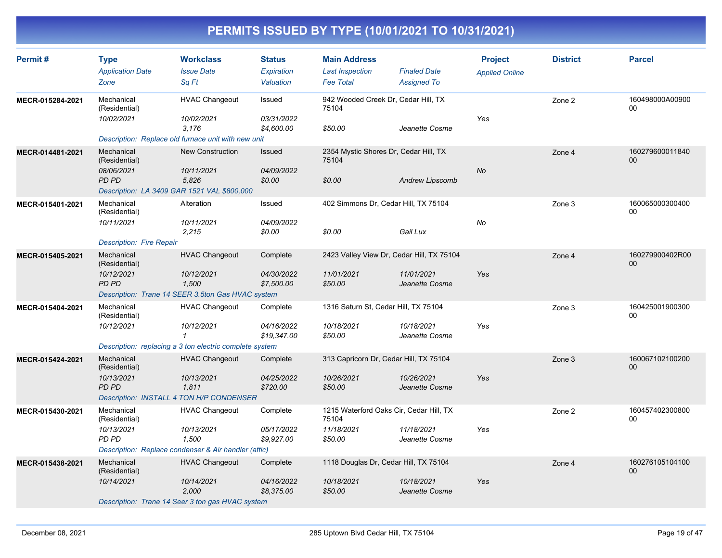| Permit#          | <b>Type</b><br><b>Application Date</b>                         | <b>Workclass</b><br><b>Issue Date</b>                           | <b>Status</b><br>Expiration | <b>Main Address</b><br><b>Last Inspection</b>                    | <b>Finaled Date</b>          | <b>Project</b><br><b>Applied Online</b> | <b>District</b> | <b>Parcel</b>             |
|------------------|----------------------------------------------------------------|-----------------------------------------------------------------|-----------------------------|------------------------------------------------------------------|------------------------------|-----------------------------------------|-----------------|---------------------------|
| MECR-015284-2021 | Zone<br>Mechanical<br>(Residential)                            | Sq Ft<br><b>HVAC Changeout</b>                                  | Valuation<br>Issued         | <b>Fee Total</b><br>942 Wooded Creek Dr, Cedar Hill, TX<br>75104 | <b>Assigned To</b>           |                                         | Zone 2          | 160498000A00900<br>$00\,$ |
|                  | 10/02/2021                                                     | 10/02/2021<br>3,176                                             | 03/31/2022<br>\$4,600.00    | \$50.00                                                          | Jeanette Cosme               | Yes                                     |                 |                           |
|                  |                                                                | Description: Replace old furnace unit with new unit             |                             |                                                                  |                              |                                         |                 |                           |
| MECR-014481-2021 | Mechanical<br>(Residential)<br>08/06/2021                      | <b>New Construction</b><br>10/11/2021                           | Issued<br>04/09/2022        | 2354 Mystic Shores Dr, Cedar Hill, TX<br>75104                   |                              | <b>No</b>                               | Zone 4          | 160279600011840<br>00     |
|                  | PD PD                                                          | 5,826<br>Description: LA 3409 GAR 1521 VAL \$800,000            | \$0.00                      | \$0.00                                                           | <b>Andrew Lipscomb</b>       |                                         |                 |                           |
| MECR-015401-2021 | Mechanical                                                     | Alteration                                                      | Issued                      | 402 Simmons Dr, Cedar Hill, TX 75104                             |                              |                                         | Zone 3          | 160065000300400<br>00     |
|                  | (Residential)<br>10/11/2021<br><b>Description: Fire Repair</b> | 10/11/2021<br>2,215                                             | 04/09/2022<br>\$0.00        | \$0.00                                                           | Gail Lux                     | No                                      |                 |                           |
| MECR-015405-2021 | Mechanical<br>(Residential)                                    | <b>HVAC Changeout</b>                                           | Complete                    | 2423 Valley View Dr, Cedar Hill, TX 75104                        |                              |                                         | Zone 4          | 160279900402R00<br>00     |
|                  | 10/12/2021<br>PD PD                                            | 10/12/2021<br>1,500                                             | 04/30/2022<br>\$7,500.00    | 11/01/2021<br>\$50.00                                            | 11/01/2021<br>Jeanette Cosme | Yes                                     |                 |                           |
|                  |                                                                | Description: Trane 14 SEER 3.5ton Gas HVAC system               |                             |                                                                  |                              |                                         |                 |                           |
| MECR-015404-2021 | Mechanical<br>(Residential)                                    | <b>HVAC Changeout</b>                                           | Complete                    | 1316 Saturn St, Cedar Hill, TX 75104                             |                              |                                         | Zone 3          | 160425001900300<br>$00\,$ |
|                  | 10/12/2021                                                     | 10/12/2021<br>$\mathbf{1}$                                      | 04/16/2022<br>\$19,347.00   | 10/18/2021<br>\$50.00                                            | 10/18/2021<br>Jeanette Cosme | Yes                                     |                 |                           |
|                  |                                                                | Description: replacing a 3 ton electric complete system         |                             |                                                                  |                              |                                         |                 |                           |
| MECR-015424-2021 | Mechanical<br>(Residential)                                    | <b>HVAC Changeout</b>                                           | Complete                    | 313 Capricorn Dr, Cedar Hill, TX 75104                           |                              |                                         | Zone 3          | 160067102100200<br>$00\,$ |
|                  | 10/13/2021<br>PD PD                                            | 10/13/2021<br>1,811<br>Description: INSTALL 4 TON H/P CONDENSER | 04/25/2022<br>\$720.00      | 10/26/2021<br>\$50.00                                            | 10/26/2021<br>Jeanette Cosme | Yes                                     |                 |                           |
| MECR-015430-2021 | Mechanical<br>(Residential)                                    | <b>HVAC Changeout</b>                                           | Complete                    | 1215 Waterford Oaks Cir, Cedar Hill, TX<br>75104                 |                              |                                         | Zone 2          | 160457402300800<br>00     |
|                  | 10/13/2021<br>PD PD                                            | 10/13/2021<br>1,500                                             | 05/17/2022<br>\$9,927.00    | 11/18/2021<br>\$50.00                                            | 11/18/2021<br>Jeanette Cosme | Yes                                     |                 |                           |
|                  | Description: Replace condenser & Air handler (attic)           |                                                                 |                             |                                                                  |                              |                                         |                 |                           |
| MECR-015438-2021 | Mechanical<br>(Residential)                                    | <b>HVAC Changeout</b>                                           | Complete                    | 1118 Douglas Dr, Cedar Hill, TX 75104                            |                              |                                         | Zone 4          | 160276105104100<br>00     |
|                  | 10/14/2021                                                     | 10/14/2021<br>2,000                                             | 04/16/2022<br>\$8,375.00    | 10/18/2021<br>\$50.00                                            | 10/18/2021<br>Jeanette Cosme | Yes                                     |                 |                           |
|                  |                                                                | Description: Trane 14 Seer 3 ton gas HVAC system                |                             |                                                                  |                              |                                         |                 |                           |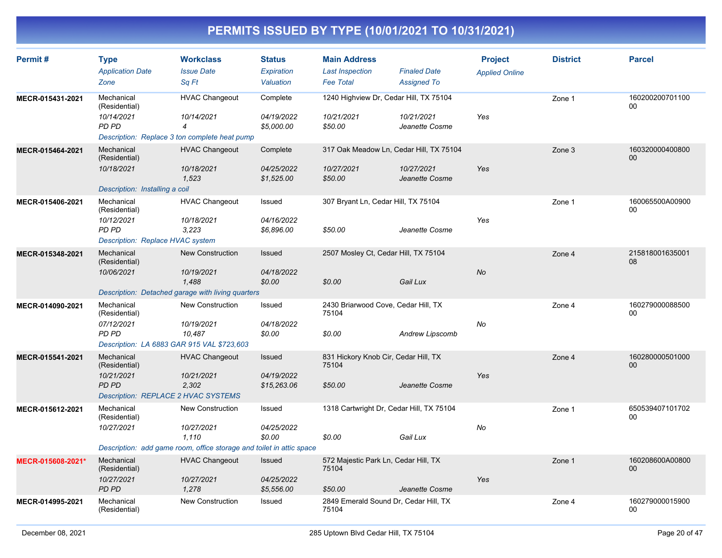| Permit#           | <b>Type</b><br><b>Application Date</b>                            | <b>Workclass</b><br><b>Issue Date</b>                                | <b>Status</b><br><b>Expiration</b> | <b>Main Address</b><br><b>Last Inspection</b>  | <b>Finaled Date</b>          | <b>Project</b><br><b>Applied Online</b> | <b>District</b> | <b>Parcel</b>         |
|-------------------|-------------------------------------------------------------------|----------------------------------------------------------------------|------------------------------------|------------------------------------------------|------------------------------|-----------------------------------------|-----------------|-----------------------|
|                   | Zone                                                              | Sq Ft                                                                | Valuation                          | <b>Fee Total</b>                               | <b>Assigned To</b>           |                                         |                 |                       |
| MECR-015431-2021  | Mechanical<br>(Residential)                                       | <b>HVAC Changeout</b>                                                | Complete                           | 1240 Highview Dr. Cedar Hill, TX 75104         |                              |                                         | Zone 1          | 160200200701100<br>00 |
|                   | 10/14/2021<br>PD PD                                               | 10/14/2021<br>$\overline{4}$                                         | 04/19/2022<br>\$5,000.00           | 10/21/2021<br>\$50.00                          | 10/21/2021<br>Jeanette Cosme | Yes                                     |                 |                       |
|                   |                                                                   | Description: Replace 3 ton complete heat pump                        |                                    |                                                |                              |                                         |                 |                       |
| MECR-015464-2021  | Mechanical<br>(Residential)                                       | <b>HVAC Changeout</b>                                                | Complete                           | 317 Oak Meadow Ln, Cedar Hill, TX 75104        |                              |                                         | Zone 3          | 160320000400800<br>00 |
|                   | 10/18/2021<br>Description: Installing a coil                      | 10/18/2021<br>1,523                                                  | 04/25/2022<br>\$1,525.00           | 10/27/2021<br>\$50.00                          | 10/27/2021<br>Jeanette Cosme | Yes                                     |                 |                       |
| MECR-015406-2021  | Mechanical<br>(Residential)                                       | <b>HVAC Changeout</b>                                                | Issued                             | 307 Bryant Ln, Cedar Hill, TX 75104            |                              |                                         | Zone 1          | 160065500A00900<br>00 |
|                   | 10/12/2021<br>PD PD<br>Description: Replace HVAC system           | 10/18/2021<br>3,223                                                  | 04/16/2022<br>\$6,896.00           | \$50.00                                        | Jeanette Cosme               | Yes                                     |                 |                       |
| MECR-015348-2021  | Mechanical                                                        | <b>New Construction</b>                                              | Issued                             | 2507 Mosley Ct, Cedar Hill, TX 75104           |                              |                                         | Zone 4          | 215818001635001       |
|                   | (Residential)<br>10/06/2021                                       | 10/19/2021<br>1,488                                                  | 04/18/2022<br>\$0.00               | \$0.00                                         | Gail Lux                     | No                                      |                 | 08                    |
|                   |                                                                   | Description: Detached garage with living quarters                    |                                    |                                                |                              |                                         |                 |                       |
| MECR-014090-2021  | Mechanical<br>(Residential)                                       | New Construction                                                     | Issued                             | 2430 Briarwood Cove, Cedar Hill, TX<br>75104   |                              |                                         | Zone 4          | 160279000088500<br>00 |
|                   | 07/12/2021<br>PD PD                                               | 10/19/2021<br>10,487                                                 | 04/18/2022<br>\$0.00               | \$0.00                                         | <b>Andrew Lipscomb</b>       | No                                      |                 |                       |
|                   | Description: LA 6883 GAR 915 VAL \$723,603                        |                                                                      |                                    |                                                |                              |                                         |                 |                       |
| MECR-015541-2021  | Mechanical<br>(Residential)                                       | <b>HVAC Changeout</b>                                                | <b>Issued</b>                      | 831 Hickory Knob Cir, Cedar Hill, TX<br>75104  |                              |                                         | Zone 4          | 160280000501000<br>00 |
|                   | 10/21/2021<br>PD PD<br><b>Description: REPLACE 2 HVAC SYSTEMS</b> | 10/21/2021<br>2,302                                                  | 04/19/2022<br>\$15,263.06          | \$50.00                                        | Jeanette Cosme               | Yes                                     |                 |                       |
| MECR-015612-2021  | Mechanical<br>(Residential)                                       | New Construction                                                     | Issued                             | 1318 Cartwright Dr, Cedar Hill, TX 75104       |                              |                                         | Zone 1          | 650539407101702<br>00 |
|                   | 10/27/2021                                                        | 10/27/2021<br>1,110                                                  | 04/25/2022<br>\$0.00               | \$0.00                                         | Gail Lux                     | No                                      |                 |                       |
|                   |                                                                   | Description: add game room, office storage and toilet in attic space |                                    |                                                |                              |                                         |                 |                       |
| MECR-015608-2021* | Mechanical<br>(Residential)                                       | <b>HVAC Changeout</b>                                                | <b>Issued</b>                      | 572 Majestic Park Ln, Cedar Hill, TX<br>75104  |                              |                                         | Zone 1          | 160208600A00800<br>00 |
|                   | 10/27/2021<br>PD PD                                               | 10/27/2021<br>1,278                                                  | 04/25/2022<br>\$5,556.00           | \$50.00                                        | Jeanette Cosme               | Yes                                     |                 |                       |
| MECR-014995-2021  | Mechanical<br>(Residential)                                       | <b>New Construction</b>                                              | Issued                             | 2849 Emerald Sound Dr. Cedar Hill, TX<br>75104 |                              |                                         | Zone 4          | 160279000015900<br>00 |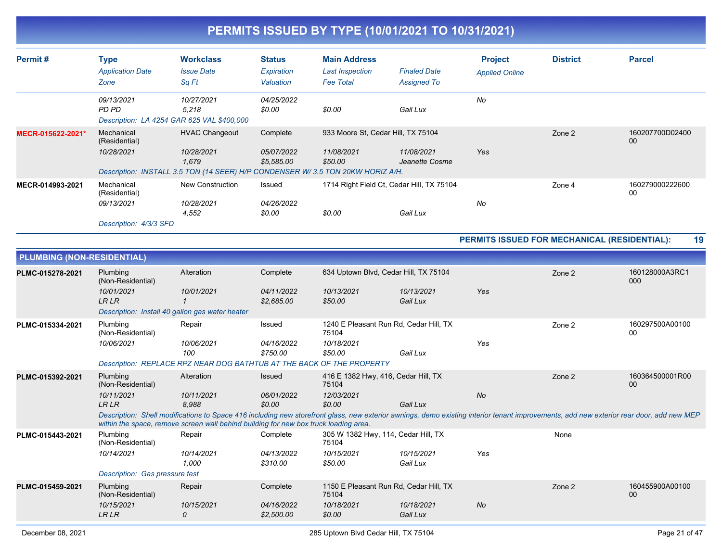| Permit#           | <b>Type</b><br><b>Application Date</b><br>Zone                      | <b>Workclass</b><br><b>Issue Date</b><br>Sq Ft                                                                                 | <b>Status</b><br>Expiration<br>Valuation | <b>Main Address</b><br><b>Last Inspection</b><br><b>Fee Total</b> | <b>Finaled Date</b><br><b>Assigned To</b> | <b>Project</b><br><b>Applied Online</b> | <b>District</b> | <b>Parcel</b>         |
|-------------------|---------------------------------------------------------------------|--------------------------------------------------------------------------------------------------------------------------------|------------------------------------------|-------------------------------------------------------------------|-------------------------------------------|-----------------------------------------|-----------------|-----------------------|
|                   | 09/13/2021<br>PD PD<br>Description: LA 4254 GAR 625 VAL \$400,000   | 10/27/2021<br>5,218                                                                                                            | 04/25/2022<br>\$0.00                     | \$0.00                                                            | Gail Lux                                  | No                                      |                 |                       |
| MECR-015622-2021* | Mechanical<br>(Residential)<br>10/28/2021                           | <b>HVAC Changeout</b><br>10/28/2021<br>1,679<br>Description: INSTALL 3.5 TON (14 SEER) H/P CONDENSER W/3.5 TON 20KW HORIZ A/H. | Complete<br>05/07/2022<br>\$5,585.00     | 933 Moore St, Cedar Hill, TX 75104<br>11/08/2021<br>\$50.00       | 11/08/2021<br>Jeanette Cosme              | Yes                                     | Zone 2          | 160207700D02400<br>00 |
| MECR-014993-2021  | Mechanical<br>(Residential)<br>09/13/2021<br>Description: 4/3/3 SFD | New Construction<br>10/28/2021<br>4,552                                                                                        | Issued<br>04/26/2022<br>\$0.00           | 1714 Right Field Ct, Cedar Hill, TX 75104<br>\$0.00               | Gail Lux                                  | No                                      | Zone 4          | 160279000222600<br>00 |

**PERMITS ISSUED FOR MECHANICAL (RESIDENTIAL): 19**

|                  | <b>PLUMBING (NON-RESIDENTIAL)</b>                                                                                                                                                                                                                                               |                                                                       |                          |                                                 |                        |           |        |                       |  |  |
|------------------|---------------------------------------------------------------------------------------------------------------------------------------------------------------------------------------------------------------------------------------------------------------------------------|-----------------------------------------------------------------------|--------------------------|-------------------------------------------------|------------------------|-----------|--------|-----------------------|--|--|
| PLMC-015278-2021 | Plumbing<br>(Non-Residential)                                                                                                                                                                                                                                                   | Alteration                                                            | Complete                 | 634 Uptown Blvd, Cedar Hill, TX 75104           |                        |           | Zone 2 | 160128000A3RC1<br>000 |  |  |
|                  | 10/01/2021<br><b>LR LR</b>                                                                                                                                                                                                                                                      | 10/01/2021                                                            | 04/11/2022<br>\$2,685.00 | 10/13/2021<br>\$50.00                           | 10/13/2021<br>Gail Lux | Yes       |        |                       |  |  |
|                  | Description: Install 40 gallon gas water heater                                                                                                                                                                                                                                 |                                                                       |                          |                                                 |                        |           |        |                       |  |  |
| PLMC-015334-2021 | Plumbing<br>(Non-Residential)                                                                                                                                                                                                                                                   | Repair                                                                | Issued                   | 1240 E Pleasant Run Rd, Cedar Hill, TX<br>75104 |                        |           | Zone 2 | 160297500A00100<br>00 |  |  |
|                  | 10/06/2021                                                                                                                                                                                                                                                                      | 10/06/2021<br>100                                                     | 04/16/2022<br>\$750.00   | 10/18/2021<br>\$50.00                           | Gail Lux               | Yes       |        |                       |  |  |
|                  |                                                                                                                                                                                                                                                                                 | Description: REPLACE RPZ NEAR DOG BATHTUB AT THE BACK OF THE PROPERTY |                          |                                                 |                        |           |        |                       |  |  |
| PLMC-015392-2021 | Plumbing<br>(Non-Residential)                                                                                                                                                                                                                                                   | Alteration                                                            | <b>Issued</b>            | 416 E 1382 Hwy, 416, Cedar Hill, TX<br>75104    |                        |           | Zone 2 | 160364500001R00<br>00 |  |  |
|                  | 10/11/2021<br><b>LRLR</b>                                                                                                                                                                                                                                                       | 10/11/2021<br>8,988                                                   | 06/01/2022<br>\$0.00     | 12/03/2021<br>\$0.00                            | Gail Lux               | <b>No</b> |        |                       |  |  |
|                  | Description: Shell modifications to Space 416 including new storefront glass, new exterior awnings, demo existing interior tenant improvements, add new exterior rear door, add new MEP<br>within the space, remove screen wall behind building for new box truck loading area. |                                                                       |                          |                                                 |                        |           |        |                       |  |  |
| PLMC-015443-2021 | Plumbing<br>(Non-Residential)                                                                                                                                                                                                                                                   | Repair                                                                | Complete                 | 305 W 1382 Hwy, 114, Cedar Hill, TX<br>75104    |                        |           | None   |                       |  |  |
|                  | 10/14/2021                                                                                                                                                                                                                                                                      | 10/14/2021<br>1.000                                                   | 04/13/2022<br>\$310.00   | 10/15/2021<br>\$50.00                           | 10/15/2021<br>Gail Lux | Yes       |        |                       |  |  |
|                  | Description: Gas pressure test                                                                                                                                                                                                                                                  |                                                                       |                          |                                                 |                        |           |        |                       |  |  |
| PLMC-015459-2021 | Plumbing<br>(Non-Residential)                                                                                                                                                                                                                                                   | Repair                                                                | Complete                 | 1150 E Pleasant Run Rd, Cedar Hill, TX<br>75104 |                        |           | Zone 2 | 160455900A00100<br>00 |  |  |
|                  | 10/15/2021<br><b>LRLR</b>                                                                                                                                                                                                                                                       | 10/15/2021<br>0                                                       | 04/16/2022<br>\$2,500.00 | 10/18/2021<br>\$0.00                            | 10/18/2021<br>Gail Lux | No        |        |                       |  |  |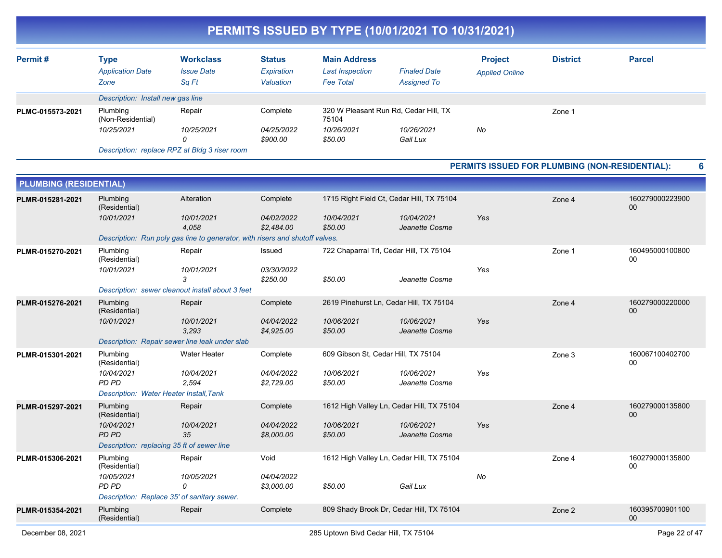|                               |                                                                   |                                                                              |                                          |                                                                   | PERMITS ISSUED BY TYPE (10/01/2021 TO 10/31/2021) |                                         |                                                |                       |
|-------------------------------|-------------------------------------------------------------------|------------------------------------------------------------------------------|------------------------------------------|-------------------------------------------------------------------|---------------------------------------------------|-----------------------------------------|------------------------------------------------|-----------------------|
| Permit#                       | <b>Type</b><br><b>Application Date</b><br>Zone                    | <b>Workclass</b><br><b>Issue Date</b><br>Sq Ft                               | <b>Status</b><br>Expiration<br>Valuation | <b>Main Address</b><br><b>Last Inspection</b><br><b>Fee Total</b> | <b>Finaled Date</b><br><b>Assigned To</b>         | <b>Project</b><br><b>Applied Online</b> | <b>District</b>                                | <b>Parcel</b>         |
|                               | Description: Install new gas line                                 |                                                                              |                                          |                                                                   |                                                   |                                         |                                                |                       |
| PLMC-015573-2021              | Plumbing<br>(Non-Residential)                                     | Repair                                                                       | Complete                                 | 75104                                                             | 320 W Pleasant Run Rd, Cedar Hill, TX             |                                         | Zone 1                                         |                       |
|                               | 10/25/2021                                                        | 10/25/2021<br>0                                                              | 04/25/2022<br>\$900.00                   | 10/26/2021<br>\$50.00                                             | 10/26/2021<br>Gail Lux                            | No                                      |                                                |                       |
|                               |                                                                   | Description: replace RPZ at Bldg 3 riser room                                |                                          |                                                                   |                                                   |                                         |                                                |                       |
|                               |                                                                   |                                                                              |                                          |                                                                   |                                                   |                                         | PERMITS ISSUED FOR PLUMBING (NON-RESIDENTIAL): | 6                     |
| <b>PLUMBING (RESIDENTIAL)</b> |                                                                   |                                                                              |                                          |                                                                   |                                                   |                                         |                                                |                       |
| PLMR-015281-2021              | Plumbing<br>(Residential)                                         | Alteration                                                                   | Complete                                 |                                                                   | 1715 Right Field Ct, Cedar Hill, TX 75104         |                                         | Zone 4                                         | 160279000223900<br>00 |
|                               | 10/01/2021                                                        | 10/01/2021<br>4,058                                                          | 04/02/2022<br>\$2,484.00                 | 10/04/2021<br>\$50.00                                             | 10/04/2021<br>Jeanette Cosme                      | Yes                                     |                                                |                       |
|                               |                                                                   | Description: Run poly gas line to generator, with risers and shutoff valves. |                                          |                                                                   |                                                   |                                         |                                                |                       |
| PLMR-015270-2021              | Plumbing<br>(Residential)<br>10/01/2021                           | Repair<br>10/01/2021                                                         | Issued<br><i>03/30/2022</i>              |                                                                   | 722 Chaparral Trl, Cedar Hill, TX 75104           | Yes                                     | Zone 1                                         | 160495000100800<br>00 |
|                               |                                                                   | 3<br>Description: sewer cleanout install about 3 feet                        | \$250.00                                 | \$50.00                                                           | Jeanette Cosme                                    |                                         |                                                |                       |
| PLMR-015276-2021              | Plumbing                                                          | Repair                                                                       | Complete                                 |                                                                   | 2619 Pinehurst Ln, Cedar Hill, TX 75104           |                                         |                                                | 160279000220000       |
|                               | (Residential)                                                     |                                                                              |                                          |                                                                   |                                                   |                                         | Zone 4                                         | 00                    |
|                               | 10/01/2021                                                        | 10/01/2021<br>3,293                                                          | 04/04/2022<br>\$4,925.00                 | 10/06/2021<br>\$50.00                                             | 10/06/2021<br>Jeanette Cosme                      | Yes                                     |                                                |                       |
|                               |                                                                   | Description: Repair sewer line leak under slab                               |                                          |                                                                   |                                                   |                                         |                                                |                       |
| PLMR-015301-2021              | Plumbing<br>(Residential)                                         | <b>Water Heater</b>                                                          | Complete                                 | 609 Gibson St, Cedar Hill, TX 75104                               |                                                   |                                         | Zone 3                                         | 160067100402700<br>00 |
|                               | 10/04/2021<br>PD PD<br>Description: Water Heater Install, Tank    | 10/04/2021<br>2,594                                                          | <i>04/04/2022</i><br>\$2,729.00          | 10/06/2021<br>\$50.00                                             | 10/06/2021<br>Jeanette Cosme                      | Yes                                     |                                                |                       |
| PLMR-015297-2021              | Plumbing<br>(Residential)                                         | Repair                                                                       | Complete                                 |                                                                   | 1612 High Valley Ln, Cedar Hill, TX 75104         |                                         | Zone 4                                         | 160279000135800<br>00 |
|                               | 10/04/2021<br>PD PD<br>Description: replacing 35 ft of sewer line | 10/04/2021<br>35                                                             | <i><b>04/04/2022</b></i><br>\$8,000.00   | 10/06/2021<br>\$50.00                                             | 10/06/2021<br>Jeanette Cosme                      | Yes                                     |                                                |                       |
| PLMR-015306-2021              | Plumbing<br>(Residential)                                         | Repair                                                                       | Void                                     |                                                                   | 1612 High Valley Ln, Cedar Hill, TX 75104         |                                         | Zone 4                                         | 160279000135800<br>00 |
|                               | 10/05/2021<br>PD PD                                               | 10/05/2021<br>0<br>Description: Replace 35' of sanitary sewer.               | 04/04/2022<br>\$3,000.00                 | \$50.00                                                           | Gail Lux                                          | No                                      |                                                |                       |
| PLMR-015354-2021              | Plumbing<br>(Residential)                                         | Repair                                                                       | Complete                                 |                                                                   | 809 Shady Brook Dr, Cedar Hill, TX 75104          |                                         | Zone 2                                         | 160395700901100<br>00 |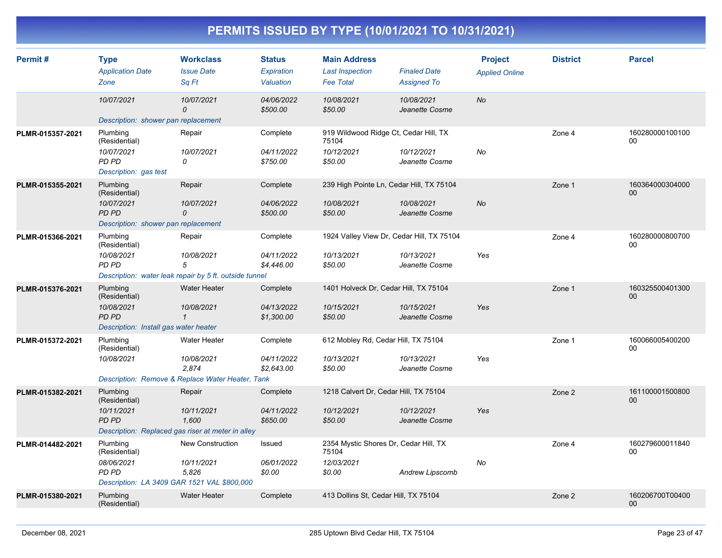| Permit#          | <b>Type</b><br><b>Application Date</b><br>Zone                                                 | <b>Workclass</b><br><b>Issue Date</b><br>Sq Ft                                                 | <b>Status</b><br>Expiration<br>Valuation | <b>Main Address</b><br><b>Last Inspection</b><br><b>Fee Total</b>       | <b>Finaled Date</b><br><b>Assigned To</b> | <b>Project</b><br><b>Applied Online</b> | <b>District</b> | <b>Parcel</b>             |
|------------------|------------------------------------------------------------------------------------------------|------------------------------------------------------------------------------------------------|------------------------------------------|-------------------------------------------------------------------------|-------------------------------------------|-----------------------------------------|-----------------|---------------------------|
|                  | 10/07/2021<br>Description: shower pan replacement                                              | 10/07/2021<br>$\mathcal{O}$                                                                    | 04/06/2022<br>\$500.00                   | 10/08/2021<br>\$50.00                                                   | 10/08/2021<br>Jeanette Cosme              | No                                      |                 |                           |
| PLMR-015357-2021 | Plumbing<br>(Residential)<br>10/07/2021<br>PD PD<br>Description: gas test                      | Repair<br>10/07/2021<br>0                                                                      | Complete<br>04/11/2022<br>\$750.00       | 919 Wildwood Ridge Ct, Cedar Hill, TX<br>75104<br>10/12/2021<br>\$50.00 | 10/12/2021<br>Jeanette Cosme              | No                                      | Zone 4          | 160280000100100<br>00     |
| PLMR-015355-2021 | Plumbing<br>(Residential)<br>10/07/2021<br><b>PD PD</b><br>Description: shower pan replacement | Repair<br>10/07/2021<br>$\mathcal{O}$                                                          | Complete<br>04/06/2022<br>\$500.00       | 239 High Pointe Ln, Cedar Hill, TX 75104<br>10/08/2021<br>\$50.00       | 10/08/2021<br>Jeanette Cosme              | No                                      | Zone 1          | 160364000304000<br>$00\,$ |
| PLMR-015366-2021 | Plumbing<br>(Residential)<br>10/08/2021<br>PD PD                                               | Repair<br>10/08/2021<br>5<br>Description: water leak repair by 5 ft. outside tunnel            | Complete<br>04/11/2022<br>\$4,446.00     | 1924 Valley View Dr, Cedar Hill, TX 75104<br>10/13/2021<br>\$50.00      | 10/13/2021<br>Jeanette Cosme              | Yes                                     | Zone 4          | 160280000800700<br>00     |
| PLMR-015376-2021 | Plumbing<br>(Residential)<br>10/08/2021<br>PD PD<br>Description: Install gas water heater      | Water Heater<br>10/08/2021<br>$\mathbf{1}$                                                     | Complete<br>04/13/2022<br>\$1,300.00     | 1401 Holveck Dr, Cedar Hill, TX 75104<br>10/15/2021<br>\$50.00          | 10/15/2021<br>Jeanette Cosme              | Yes                                     | Zone 1          | 160325500401300<br>00     |
| PLMR-015372-2021 | Plumbing<br>(Residential)<br>10/08/2021                                                        | <b>Water Heater</b><br>10/08/2021<br>2,874<br>Description: Remove & Replace Water Heater, Tank | Complete<br>04/11/2022<br>\$2,643.00     | 612 Mobley Rd, Cedar Hill, TX 75104<br>10/13/2021<br>\$50.00            | 10/13/2021<br>Jeanette Cosme              | Yes                                     | Zone 1          | 160066005400200<br>00     |
| PLMR-015382-2021 | Plumbing<br>(Residential)<br>10/11/2021<br><b>PD PD</b>                                        | Repair<br>10/11/2021<br>1,600<br>Description: Replaced gas riser at meter in alley             | Complete<br>04/11/2022<br>\$650.00       | 1218 Calvert Dr, Cedar Hill, TX 75104<br>10/12/2021<br>\$50.00          | 10/12/2021<br>Jeanette Cosme              | Yes                                     | Zone 2          | 161100001500800<br>00     |
| PLMR-014482-2021 | Plumbing<br>(Residential)<br>08/06/2021<br>PD PD                                               | <b>New Construction</b><br>10/11/2021<br>5,826<br>Description: LA 3409 GAR 1521 VAL \$800,000  | Issued<br>06/01/2022<br>\$0.00           | 2354 Mystic Shores Dr, Cedar Hill, TX<br>75104<br>12/03/2021<br>\$0.00  | <b>Andrew Lipscomb</b>                    | No                                      | Zone 4          | 160279600011840<br>00     |
| PLMR-015380-2021 | Plumbing<br>(Residential)                                                                      | <b>Water Heater</b>                                                                            | Complete                                 | 413 Dollins St. Cedar Hill, TX 75104                                    |                                           |                                         | Zone 2          | 160206700T00400<br>00     |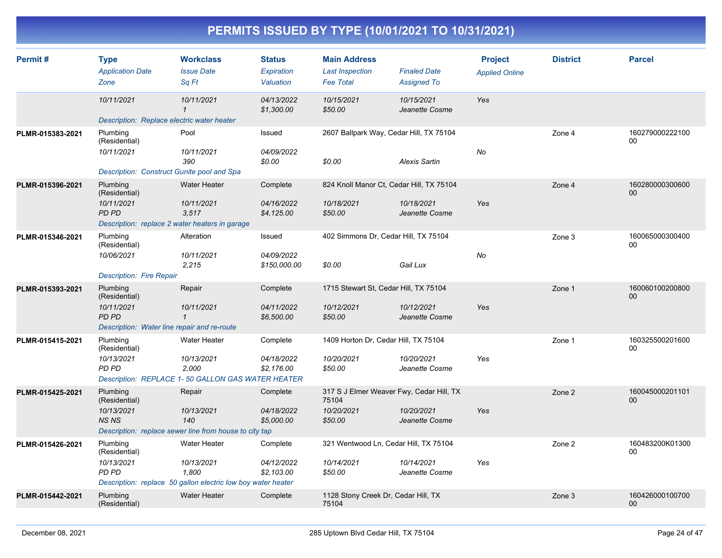| Permit#          | <b>Type</b><br><b>Application Date</b><br>Zone                                                            | <b>Workclass</b><br><b>Issue Date</b><br>Sq Ft                                                             | <b>Status</b><br>Expiration<br>Valuation | <b>Main Address</b><br><b>Last Inspection</b><br><b>Fee Total</b>          | <b>Finaled Date</b><br><b>Assigned To</b> | <b>Project</b><br><b>Applied Online</b> | <b>District</b> | <b>Parcel</b>             |
|------------------|-----------------------------------------------------------------------------------------------------------|------------------------------------------------------------------------------------------------------------|------------------------------------------|----------------------------------------------------------------------------|-------------------------------------------|-----------------------------------------|-----------------|---------------------------|
|                  | 10/11/2021<br>Description: Replace electric water heater                                                  | 10/11/2021<br>$\mathbf{1}$                                                                                 | 04/13/2022<br>\$1,300.00                 | 10/15/2021<br>\$50.00                                                      | 10/15/2021<br>Jeanette Cosme              | Yes                                     |                 |                           |
| PLMR-015383-2021 | Plumbing<br>(Residential)<br>10/11/2021<br>Description: Construct Gunite pool and Spa                     | Pool<br>10/11/2021<br>390                                                                                  | Issued<br>04/09/2022<br>\$0.00           | 2607 Ballpark Way, Cedar Hill, TX 75104<br>\$0.00                          | <b>Alexis Sartin</b>                      | No                                      | Zone 4          | 160279000222100<br>00     |
| PLMR-015396-2021 | Plumbing<br>(Residential)<br>10/11/2021<br><b>PD PD</b><br>Description: replace 2 water heaters in garage | <b>Water Heater</b><br>10/11/2021<br>3,517                                                                 | Complete<br>04/16/2022<br>\$4,125.00     | 824 Knoll Manor Ct, Cedar Hill, TX 75104<br>10/18/2021<br>\$50.00          | 10/18/2021<br>Jeanette Cosme              | Yes                                     | Zone 4          | 160280000300600<br>$00\,$ |
| PLMR-015346-2021 | Plumbing<br>(Residential)<br>10/06/2021<br><b>Description: Fire Repair</b>                                | Alteration<br>10/11/2021<br>2,215                                                                          | Issued<br>04/09/2022<br>\$150,000.00     | 402 Simmons Dr, Cedar Hill, TX 75104<br>\$0.00                             | Gail Lux                                  | No                                      | Zone 3          | 160065000300400<br>00     |
| PLMR-015393-2021 | Plumbing<br>(Residential)<br>10/11/2021<br><b>PD PD</b><br>Description: Water line repair and re-route    | Repair<br>10/11/2021<br>$\mathbf{1}$                                                                       | Complete<br>04/11/2022<br>\$6,500.00     | 1715 Stewart St, Cedar Hill, TX 75104<br>10/12/2021<br>\$50.00             | 10/12/2021<br>Jeanette Cosme              | Yes                                     | Zone 1          | 160060100200800<br>00     |
| PLMR-015415-2021 | Plumbing<br>(Residential)<br>10/13/2021<br>PD PD                                                          | <b>Water Heater</b><br>10/13/2021<br>2,000<br>Description: REPLACE 1-50 GALLON GAS WATER HEATER            | Complete<br>04/18/2022<br>\$2,176.00     | 1409 Horton Dr, Cedar Hill, TX 75104<br>10/20/2021<br>\$50.00              | 10/20/2021<br>Jeanette Cosme              | Yes                                     | Zone 1          | 160325500201600<br>00     |
| PLMR-015425-2021 | Plumbing<br>(Residential)<br>10/13/2021<br><b>NSNS</b>                                                    | Repair<br>10/13/2021<br>140<br>Description: replace sewer line from house to city tap                      | Complete<br>04/18/2022<br>\$5,000.00     | 317 S J Elmer Weaver Fwy, Cedar Hill, TX<br>75104<br>10/20/2021<br>\$50.00 | 10/20/2021<br>Jeanette Cosme              | Yes                                     | Zone 2          | 160045000201101<br>$00\,$ |
| PLMR-015426-2021 | Plumbing<br>(Residential)<br>10/13/2021<br>PD PD                                                          | <b>Water Heater</b><br>10/13/2021<br>1.800<br>Description: replace 50 gallon electric low boy water heater | Complete<br>04/12/2022<br>\$2,103.00     | 321 Wentwood Ln, Cedar Hill, TX 75104<br>10/14/2021<br>\$50.00             | 10/14/2021<br>Jeanette Cosme              | Yes                                     | Zone 2          | 160483200K01300<br>$00\,$ |
| PLMR-015442-2021 | Plumbing<br>(Residential)                                                                                 | <b>Water Heater</b>                                                                                        | Complete                                 | 1128 Stony Creek Dr, Cedar Hill, TX<br>75104                               |                                           |                                         | Zone 3          | 160426000100700<br>$00\,$ |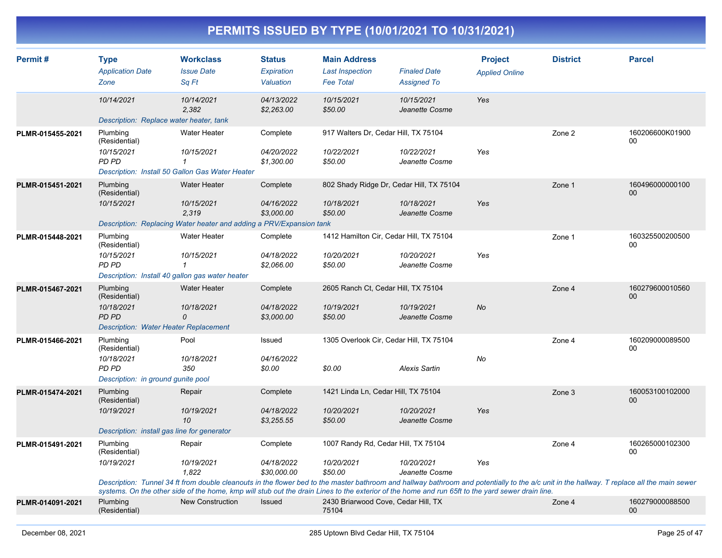| Permit#          | <b>Type</b><br><b>Application Date</b><br>Zone  | <b>Workclass</b><br><b>Issue Date</b><br>Sq Ft                                                                                                                                                                                                                                                                                                 | <b>Status</b><br>Expiration<br>Valuation | <b>Main Address</b><br><b>Last Inspection</b><br><b>Fee Total</b> | <b>Finaled Date</b><br><b>Assigned To</b> | <b>Project</b><br><b>Applied Online</b> | <b>District</b> | <b>Parcel</b>             |
|------------------|-------------------------------------------------|------------------------------------------------------------------------------------------------------------------------------------------------------------------------------------------------------------------------------------------------------------------------------------------------------------------------------------------------|------------------------------------------|-------------------------------------------------------------------|-------------------------------------------|-----------------------------------------|-----------------|---------------------------|
|                  | 10/14/2021                                      | 10/14/2021<br>2.382                                                                                                                                                                                                                                                                                                                            | 04/13/2022<br>\$2,263.00                 | 10/15/2021<br>\$50.00                                             | 10/15/2021<br>Jeanette Cosme              | Yes                                     |                 |                           |
|                  | Description: Replace water heater, tank         |                                                                                                                                                                                                                                                                                                                                                |                                          |                                                                   |                                           |                                         |                 |                           |
| PLMR-015455-2021 | Plumbing<br>(Residential)                       | Water Heater                                                                                                                                                                                                                                                                                                                                   | Complete                                 | 917 Walters Dr, Cedar Hill, TX 75104                              |                                           |                                         | Zone 2          | 160206600K01900<br>00     |
|                  | 10/15/2021<br>PD PD                             | 10/15/2021<br>$\mathcal I$                                                                                                                                                                                                                                                                                                                     | 04/20/2022<br>\$1,300.00                 | 10/22/2021<br>\$50.00                                             | 10/22/2021<br>Jeanette Cosme              | Yes                                     |                 |                           |
|                  |                                                 | Description: Install 50 Gallon Gas Water Heater                                                                                                                                                                                                                                                                                                |                                          |                                                                   |                                           |                                         |                 |                           |
| PLMR-015451-2021 | Plumbing<br>(Residential)                       | Water Heater                                                                                                                                                                                                                                                                                                                                   | Complete                                 | 802 Shady Ridge Dr, Cedar Hill, TX 75104                          |                                           |                                         | Zone 1          | 160496000000100<br>00     |
|                  | 10/15/2021                                      | 10/15/2021<br>2,319                                                                                                                                                                                                                                                                                                                            | 04/16/2022<br>\$3,000.00                 | 10/18/2021<br>\$50.00                                             | 10/18/2021<br>Jeanette Cosme              | Yes                                     |                 |                           |
|                  |                                                 | Description: Replacing Water heater and adding a PRV/Expansion tank                                                                                                                                                                                                                                                                            |                                          |                                                                   |                                           |                                         |                 |                           |
| PLMR-015448-2021 | Plumbing<br>(Residential)                       | Water Heater                                                                                                                                                                                                                                                                                                                                   | Complete                                 | 1412 Hamilton Cir, Cedar Hill, TX 75104                           |                                           |                                         | Zone 1          | 160325500200500<br>$00\,$ |
|                  | 10/15/2021<br><b>PD PD</b>                      | 10/15/2021<br>$\mathcal I$                                                                                                                                                                                                                                                                                                                     | 04/18/2022<br>\$2,066.00                 | 10/20/2021<br>\$50.00                                             | 10/20/2021<br>Jeanette Cosme              | Yes                                     |                 |                           |
|                  | Description: Install 40 gallon gas water heater |                                                                                                                                                                                                                                                                                                                                                |                                          |                                                                   |                                           |                                         |                 |                           |
| PLMR-015467-2021 | Plumbing<br>(Residential)                       | <b>Water Heater</b>                                                                                                                                                                                                                                                                                                                            | Complete                                 | 2605 Ranch Ct, Cedar Hill, TX 75104                               |                                           |                                         | Zone 4          | 160279600010560<br>$00\,$ |
|                  | 10/18/2021<br>PD PD                             | 10/18/2021<br>0                                                                                                                                                                                                                                                                                                                                | 04/18/2022<br>\$3,000.00                 | 10/19/2021<br>\$50.00                                             | 10/19/2021<br>Jeanette Cosme              | <b>No</b>                               |                 |                           |
|                  | Description: Water Heater Replacement           |                                                                                                                                                                                                                                                                                                                                                |                                          |                                                                   |                                           |                                         |                 |                           |
| PLMR-015466-2021 | Plumbing<br>(Residential)                       | Pool                                                                                                                                                                                                                                                                                                                                           | Issued                                   | 1305 Overlook Cir, Cedar Hill, TX 75104                           |                                           |                                         | Zone 4          | 160209000089500<br>00     |
|                  | 10/18/2021<br><b>PD PD</b>                      | 10/18/2021<br>350                                                                                                                                                                                                                                                                                                                              | 04/16/2022<br>\$0.00                     | \$0.00                                                            | <b>Alexis Sartin</b>                      | No                                      |                 |                           |
|                  | Description: in ground gunite pool              |                                                                                                                                                                                                                                                                                                                                                |                                          |                                                                   |                                           |                                         |                 |                           |
| PLMR-015474-2021 | Plumbing<br>(Residential)                       | Repair                                                                                                                                                                                                                                                                                                                                         | Complete                                 | 1421 Linda Ln, Cedar Hill, TX 75104                               |                                           |                                         | Zone 3          | 160053100102000<br>00     |
|                  | 10/19/2021                                      | 10/19/2021<br>10                                                                                                                                                                                                                                                                                                                               | 04/18/2022<br>\$3,255.55                 | 10/20/2021<br>\$50.00                                             | 10/20/2021<br>Jeanette Cosme              | Yes                                     |                 |                           |
|                  | Description: install gas line for generator     |                                                                                                                                                                                                                                                                                                                                                |                                          |                                                                   |                                           |                                         |                 |                           |
| PLMR-015491-2021 | Plumbing<br>(Residential)                       | Repair                                                                                                                                                                                                                                                                                                                                         | Complete                                 | 1007 Randy Rd, Cedar Hill, TX 75104                               |                                           |                                         | Zone 4          | 160265000102300<br>00     |
|                  | 10/19/2021                                      | 10/19/2021<br>1,822                                                                                                                                                                                                                                                                                                                            | 04/18/2022<br>\$30,000.00                | 10/20/2021<br>\$50.00                                             | 10/20/2021<br>Jeanette Cosme              | Yes                                     |                 |                           |
|                  |                                                 | Description: Tunnel 34 ft from double cleanouts in the flower bed to the master bathroom and hallway bathroom and potentially to the a/c unit in the hallway. T replace all the main sewer<br>systems. On the other side of the home, kmp will stub out the drain Lines to the exterior of the home and run 65ft to the yard sewer drain line. |                                          |                                                                   |                                           |                                         |                 |                           |
| PLMR-014091-2021 | Plumbing<br>(Residential)                       | <b>New Construction</b>                                                                                                                                                                                                                                                                                                                        | Issued                                   | 2430 Briarwood Cove, Cedar Hill, TX<br>75104                      |                                           |                                         | Zone 4          | 160279000088500<br>00     |
|                  |                                                 |                                                                                                                                                                                                                                                                                                                                                |                                          |                                                                   |                                           |                                         |                 |                           |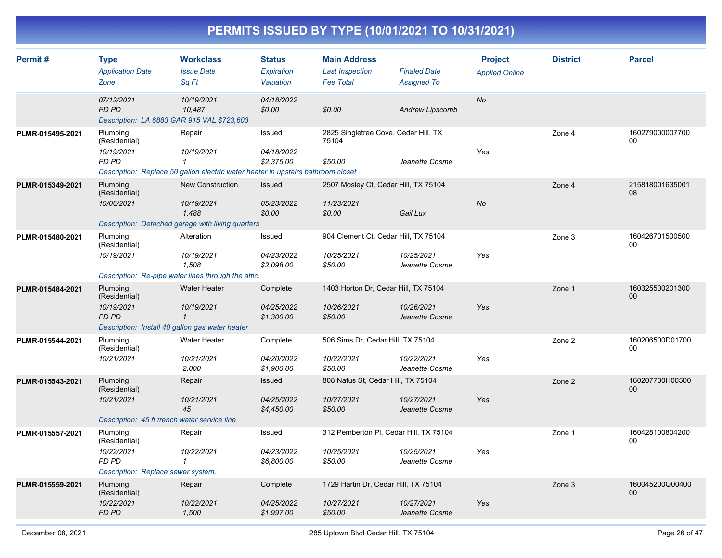| Permit#          | <b>Type</b><br><b>Application Date</b><br>Zone                                                             | <b>Workclass</b><br><b>Issue Date</b><br>Sq Ft                                                                           | <b>Status</b><br>Expiration<br>Valuation | <b>Main Address</b><br><b>Last Inspection</b><br><b>Fee Total</b> | <b>Finaled Date</b><br><b>Assigned To</b> | <b>Project</b><br><b>Applied Online</b> | <b>District</b> | <b>Parcel</b>         |
|------------------|------------------------------------------------------------------------------------------------------------|--------------------------------------------------------------------------------------------------------------------------|------------------------------------------|-------------------------------------------------------------------|-------------------------------------------|-----------------------------------------|-----------------|-----------------------|
|                  | 07/12/2021<br><b>PD PD</b><br>Description: LA 6883 GAR 915 VAL \$723,603                                   | 10/19/2021<br>10,487                                                                                                     | 04/18/2022<br>\$0.00                     | \$0.00                                                            | <b>Andrew Lipscomb</b>                    | <b>No</b>                               |                 |                       |
| PLMR-015495-2021 | Plumbing<br>(Residential)<br>10/19/2021<br>PD PD                                                           | Repair<br>10/19/2021<br>$\mathbf{1}$<br>Description: Replace 50 gallon electric water heater in upstairs bathroom closet | Issued<br>04/18/2022<br>\$2.375.00       | 2825 Singletree Cove, Cedar Hill, TX<br>75104<br>\$50.00          | Jeanette Cosme                            | Yes                                     | Zone 4          | 160279000007700<br>00 |
| PLMR-015349-2021 | Plumbing<br>(Residential)<br>10/06/2021                                                                    | <b>New Construction</b><br>10/19/2021<br>1,488<br>Description: Detached garage with living quarters                      | Issued<br>05/23/2022<br>\$0.00           | 2507 Mosley Ct, Cedar Hill, TX 75104<br>11/23/2021<br>\$0.00      | Gail Lux                                  | No                                      | Zone 4          | 215818001635001<br>08 |
| PLMR-015480-2021 | Plumbing<br>(Residential)<br>10/19/2021                                                                    | Alteration<br>10/19/2021<br>1,508<br>Description: Re-pipe water lines through the attic.                                 | Issued<br>04/23/2022<br>\$2,098.00       | 904 Clement Ct, Cedar Hill, TX 75104<br>10/25/2021<br>\$50.00     | 10/25/2021<br>Jeanette Cosme              | Yes                                     | Zone 3          | 160426701500500<br>00 |
| PLMR-015484-2021 | Plumbing<br>(Residential)<br>10/19/2021<br><b>PD PD</b><br>Description: Install 40 gallon gas water heater | <b>Water Heater</b><br>10/19/2021<br>$\overline{1}$                                                                      | Complete<br>04/25/2022<br>\$1,300.00     | 1403 Horton Dr, Cedar Hill, TX 75104<br>10/26/2021<br>\$50.00     | 10/26/2021<br>Jeanette Cosme              | Yes                                     | Zone 1          | 160325500201300<br>00 |
| PLMR-015544-2021 | Plumbing<br>(Residential)<br>10/21/2021                                                                    | <b>Water Heater</b><br>10/21/2021<br>2,000                                                                               | Complete<br>04/20/2022<br>\$1,900.00     | 506 Sims Dr, Cedar Hill, TX 75104<br>10/22/2021<br>\$50.00        | 10/22/2021<br>Jeanette Cosme              | Yes                                     | Zone 2          | 160206500D01700<br>00 |
| PLMR-015543-2021 | Plumbing<br>(Residential)<br>10/21/2021<br>Description: 45 ft trench water service line                    | Repair<br>10/21/2021<br>45                                                                                               | Issued<br>04/25/2022<br>\$4,450.00       | 808 Nafus St. Cedar Hill, TX 75104<br>10/27/2021<br>\$50.00       | 10/27/2021<br>Jeanette Cosme              | Yes                                     | Zone 2          | 160207700H00500<br>00 |
| PLMR-015557-2021 | Plumbing<br>(Residential)<br>10/22/2021<br>PD PD<br>Description: Replace sewer system.                     | Repair<br>10/22/2021<br>$\mathbf{1}$                                                                                     | Issued<br>04/23/2022<br>\$6,800.00       | 312 Pemberton PI, Cedar Hill, TX 75104<br>10/25/2021<br>\$50.00   | 10/25/2021<br>Jeanette Cosme              | Yes                                     | Zone 1          | 160428100804200<br>00 |
| PLMR-015559-2021 | Plumbing<br>(Residential)<br>10/22/2021<br><b>PD PD</b>                                                    | Repair<br>10/22/2021<br>1,500                                                                                            | Complete<br>04/25/2022<br>\$1,997.00     | 1729 Hartin Dr, Cedar Hill, TX 75104<br>10/27/2021<br>\$50.00     | 10/27/2021<br>Jeanette Cosme              | Yes                                     | Zone 3          | 160045200Q00400<br>00 |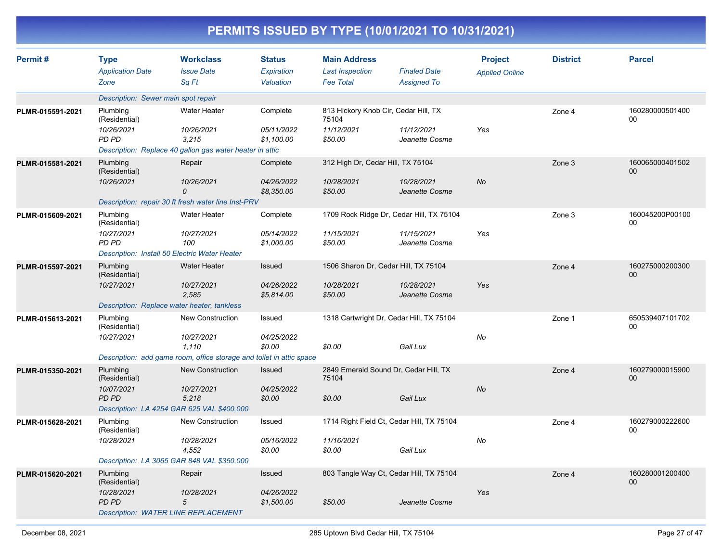|                  |                                                                                                   |                                                                                                                        |                                          |                                                                        | PERMITS ISSUED BY TYPE (10/01/2021 TO 10/31/2021)                        |                                         |                 |                       |
|------------------|---------------------------------------------------------------------------------------------------|------------------------------------------------------------------------------------------------------------------------|------------------------------------------|------------------------------------------------------------------------|--------------------------------------------------------------------------|-----------------------------------------|-----------------|-----------------------|
| Permit#          | <b>Type</b><br><b>Application Date</b><br>Zone                                                    | <b>Workclass</b><br><b>Issue Date</b><br>Sq Ft                                                                         | <b>Status</b><br>Expiration<br>Valuation | <b>Main Address</b><br><b>Last Inspection</b><br><b>Fee Total</b>      | <b>Finaled Date</b><br><b>Assigned To</b>                                | <b>Project</b><br><b>Applied Online</b> | <b>District</b> | <b>Parcel</b>         |
|                  | Description: Sewer main spot repair                                                               |                                                                                                                        |                                          |                                                                        |                                                                          |                                         |                 |                       |
| PLMR-015591-2021 | Plumbing<br>(Residential)<br>10/26/2021<br>PD PD                                                  | Water Heater<br>10/26/2021<br>3,215<br>Description: Replace 40 gallon gas water heater in attic                        | Complete<br>05/11/2022<br>\$1,100.00     | 813 Hickory Knob Cir, Cedar Hill, TX<br>75104<br>11/12/2021<br>\$50.00 | 11/12/2021<br>Jeanette Cosme                                             | Yes                                     | Zone 4          | 160280000501400<br>00 |
| PLMR-015581-2021 | Plumbing<br>(Residential)<br>10/26/2021                                                           | Repair<br>10/26/2021<br>$\Omega$<br>Description: repair 30 ft fresh water line Inst-PRV                                | Complete<br>04/26/2022<br>\$8,350.00     | 312 High Dr, Cedar Hill, TX 75104<br>10/28/2021<br>\$50.00             | 10/28/2021<br>Jeanette Cosme                                             | <b>No</b>                               | Zone 3          | 160065000401502<br>00 |
| PLMR-015609-2021 | Plumbing<br>(Residential)<br>10/27/2021<br>PD PD<br>Description: Install 50 Electric Water Heater | Water Heater<br>10/27/2021<br>100                                                                                      | Complete<br>05/14/2022<br>\$1,000.00     | 11/15/2021<br>\$50.00                                                  | 1709 Rock Ridge Dr, Cedar Hill, TX 75104<br>11/15/2021<br>Jeanette Cosme | Yes                                     | Zone 3          | 160045200P00100<br>00 |
| PLMR-015597-2021 | Plumbing<br>(Residential)<br>10/27/2021<br>Description: Replace water heater, tankless            | <b>Water Heater</b><br>10/27/2021<br>2.585                                                                             | Issued<br>04/26/2022<br>\$5,814.00       | 1506 Sharon Dr. Cedar Hill, TX 75104<br>10/28/2021<br>\$50.00          | 10/28/2021<br>Jeanette Cosme                                             | Yes                                     | Zone 4          | 160275000200300<br>00 |
| PLMR-015613-2021 | Plumbing<br>(Residential)<br>10/27/2021                                                           | <b>New Construction</b><br>10/27/2021<br>1.110<br>Description: add game room, office storage and toilet in attic space | Issued<br>04/25/2022<br>\$0.00           | \$0.00                                                                 | 1318 Cartwright Dr, Cedar Hill, TX 75104<br>Gail Lux                     | No                                      | Zone 1          | 650539407101702<br>00 |
| PLMR-015350-2021 | Plumbing<br>(Residential)<br>10/07/2021<br><b>PD PD</b>                                           | <b>New Construction</b><br>10/27/2021<br>5,218<br>Description: LA 4254 GAR 625 VAL \$400,000                           | <b>Issued</b><br>04/25/2022<br>\$0.00    | 2849 Emerald Sound Dr. Cedar Hill, TX<br>75104<br>\$0.00               | Gail Lux                                                                 | <b>No</b>                               | Zone 4          | 160279000015900<br>00 |
| PLMR-015628-2021 | Plumbing<br>(Residential)<br>10/28/2021                                                           | New Construction<br>10/28/2021<br>4.552<br>Description: LA 3065 GAR 848 VAL \$350,000                                  | Issued<br>05/16/2022<br>\$0.00           | 11/16/2021<br>\$0.00                                                   | 1714 Right Field Ct, Cedar Hill, TX 75104<br>Gail Lux                    | No                                      | Zone 4          | 160279000222600<br>00 |

#### Plumbing (Residential) Repair Issued 803 Tangle Way Ct, Cedar Hill, TX 75104 2002 2006 4 160280001200400<br>00 **PLMR-015620-2021** *10/28/2021 10/28/2021 04/26/2022 PD PD 5 \$1,500.00 \$50.00 Jeanette Cosme Yes Description: WATER LINE REPLACEMENT*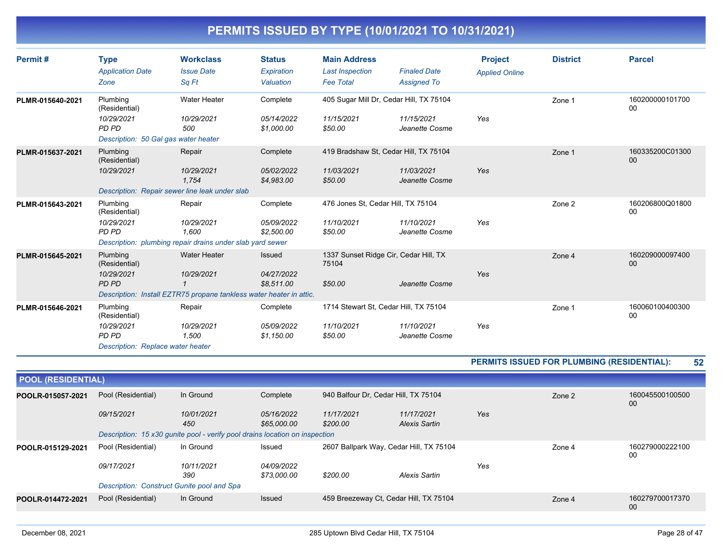| Permit#          | <b>Type</b><br><b>Application Date</b><br>Zone                                                  | <b>Workclass</b><br><b>Issue Date</b><br>Sq Ft                                                           | <b>Status</b><br>Expiration<br>Valuation | <b>Main Address</b><br><b>Last Inspection</b><br><b>Fee Total</b> | <b>Finaled Date</b><br><b>Assigned To</b> | <b>Project</b><br><b>Applied Online</b> | <b>District</b> | <b>Parcel</b>                      |
|------------------|-------------------------------------------------------------------------------------------------|----------------------------------------------------------------------------------------------------------|------------------------------------------|-------------------------------------------------------------------|-------------------------------------------|-----------------------------------------|-----------------|------------------------------------|
| PLMR-015640-2021 | Plumbing<br>(Residential)<br>10/29/2021<br><b>PD PD</b><br>Description: 50 Gal gas water heater | <b>Water Heater</b><br>10/29/2021<br>500                                                                 | Complete<br>05/14/2022<br>\$1,000.00     | 405 Sugar Mill Dr, Cedar Hill, TX 75104<br>11/15/2021<br>\$50.00  | 11/15/2021<br>Jeanette Cosme              | Yes                                     | Zone 1          | 160200000101700<br>00              |
| PLMR-015637-2021 | Plumbing<br>(Residential)<br>10/29/2021                                                         | Repair<br>10/29/2021<br>1.754<br>Description: Repair sewer line leak under slab                          | Complete<br>05/02/2022<br>\$4,983.00     | 419 Bradshaw St, Cedar Hill, TX 75104<br>11/03/2021<br>\$50.00    | 11/03/2021<br>Jeanette Cosme              | Yes                                     | Zone 1          | 160335200C01300<br>$00\,$          |
| PLMR-015643-2021 | Plumbing<br>(Residential)<br>10/29/2021<br>PD PD                                                | Repair<br>10/29/2021<br>1,600<br>Description: plumbing repair drains under slab yard sewer               | Complete<br>05/09/2022<br>\$2,500.00     | 476 Jones St. Cedar Hill, TX 75104<br>11/10/2021<br>\$50.00       | 11/10/2021<br>Jeanette Cosme              | Yes                                     | Zone 2          | 160206800Q01800<br>00              |
| PLMR-015645-2021 | Plumbing<br>(Residential)<br>10/29/2021<br>PD PD                                                | <b>Water Heater</b><br>10/29/2021<br>Description: Install EZTR75 propane tankless water heater in attic. | Issued<br>04/27/2022<br>\$8.511.00       | 1337 Sunset Ridge Cir, Cedar Hill, TX<br>75104<br>\$50.00         | Jeanette Cosme                            | Yes                                     | Zone 4          | 160209000097400<br>00 <sup>°</sup> |
| PLMR-015646-2021 | Plumbing<br>(Residential)<br>10/29/2021<br>PD PD<br>Description: Replace water heater           | Repair<br>10/29/2021<br>1,500                                                                            | Complete<br>05/09/2022<br>\$1,150.00     | 1714 Stewart St, Cedar Hill, TX 75104<br>11/10/2021<br>\$50.00    | 11/10/2021<br>Jeanette Cosme              | Yes                                     | Zone 1          | 160060100400300<br>00              |

**PERMITS ISSUED FOR PLUMBING (RESIDENTIAL): 52**

|                   | <b>POOL (RESIDENTIAL)</b>                  |                                                                             |                           |                                         |                                    |     |        |                       |  |  |
|-------------------|--------------------------------------------|-----------------------------------------------------------------------------|---------------------------|-----------------------------------------|------------------------------------|-----|--------|-----------------------|--|--|
| POOLR-015057-2021 | Pool (Residential)                         | In Ground                                                                   | Complete                  | 940 Balfour Dr. Cedar Hill, TX 75104    |                                    |     | Zone 2 | 160045500100500<br>00 |  |  |
|                   | 09/15/2021                                 | 10/01/2021<br>450                                                           | 05/16/2022<br>\$65,000.00 | 11/17/2021<br>\$200.00                  | 11/17/2021<br><b>Alexis Sartin</b> | Yes |        |                       |  |  |
|                   |                                            | Description: 15 x30 gunite pool - verify pool drains location on inspection |                           |                                         |                                    |     |        |                       |  |  |
| POOLR-015129-2021 | Pool (Residential)                         | In Ground                                                                   | Issued                    | 2607 Ballpark Way, Cedar Hill, TX 75104 |                                    |     | Zone 4 | 160279000222100<br>00 |  |  |
|                   | 09/17/2021                                 | 10/11/2021                                                                  | <i>04/09/2022</i>         |                                         |                                    | Yes |        |                       |  |  |
|                   |                                            | 390                                                                         | \$73.000.00               | \$200.00                                | Alexis Sartin                      |     |        |                       |  |  |
|                   | Description: Construct Gunite pool and Spa |                                                                             |                           |                                         |                                    |     |        |                       |  |  |
| POOLR-014472-2021 | Pool (Residential)                         | In Ground                                                                   | Issued                    | 459 Breezeway Ct. Cedar Hill, TX 75104  |                                    |     | Zone 4 | 160279700017370<br>00 |  |  |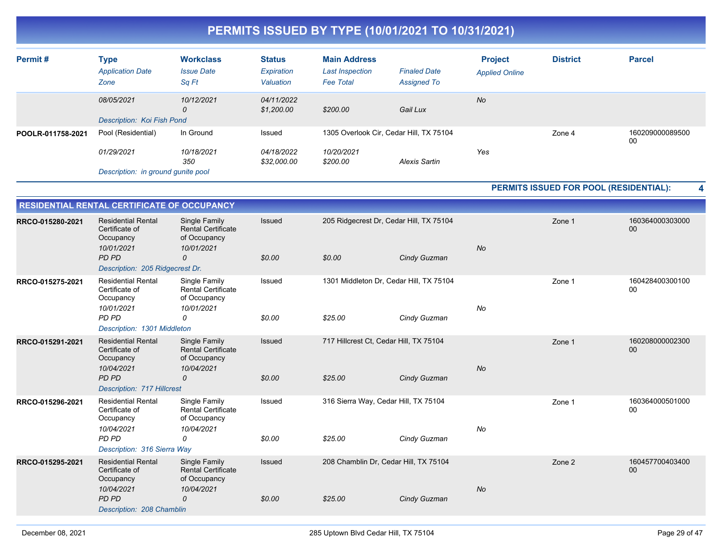|  | PERMITS ISSUED BY TYPE (10/01/2021 TO 10/31/2021) |  |  |
|--|---------------------------------------------------|--|--|
|--|---------------------------------------------------|--|--|

| Type<br><b>Application Date</b><br>Zone | <b>Workclass</b><br><b>Issue Date</b><br>Sq Ft | <b>Status</b><br>Expiration<br>Valuation                         | <b>Main Address</b><br><b>Last Inspection</b><br><b>Fee Total</b> | <b>Finaled Date</b><br><b>Assigned To</b> | <b>Project</b><br><b>Applied Online</b> | <b>District</b> | <b>Parcel</b>         |
|-----------------------------------------|------------------------------------------------|------------------------------------------------------------------|-------------------------------------------------------------------|-------------------------------------------|-----------------------------------------|-----------------|-----------------------|
| 08/05/2021                              | 10/12/2021<br>0                                | 04/11/2022<br>\$1,200.00                                         | \$200.00                                                          | Gail Lux                                  | <b>No</b>                               |                 |                       |
| Pool (Residential)<br>01/29/2021        | In Ground<br>10/18/2021<br>350                 | Issued<br>04/18/2022<br>\$32,000.00                              | 10/20/2021<br>\$200.00                                            | Alexis Sartin                             | Yes                                     | Zone 4          | 160209000089500<br>00 |
|                                         |                                                | Description: Koi Fish Pond<br>Description: in ground gunite pool |                                                                   |                                           | 1305 Overlook Cir, Cedar Hill, TX 75104 |                 |                       |

**PERMITS ISSUED FOR POOL (RESIDENTIAL): 4**

|                  | RESIDENTIAL RENTAL CERTIFICATE OF OCCUPANCY                                     |                                                                               |                  |                                                   |              |           |        |                           |
|------------------|---------------------------------------------------------------------------------|-------------------------------------------------------------------------------|------------------|---------------------------------------------------|--------------|-----------|--------|---------------------------|
| RRCO-015280-2021 | <b>Residential Rental</b><br>Certificate of<br>Occupancy<br>10/01/2021<br>PD PD | Single Family<br><b>Rental Certificate</b><br>of Occupancy<br>10/01/2021<br>0 | Issued<br>\$0.00 | 205 Ridgecrest Dr, Cedar Hill, TX 75104<br>\$0.00 | Cindy Guzman | <b>No</b> | Zone 1 | 160364000303000<br>00     |
|                  | Description: 205 Ridgecrest Dr.                                                 |                                                                               |                  |                                                   |              |           |        |                           |
| RRCO-015275-2021 | <b>Residential Rental</b><br>Certificate of<br>Occupancy                        | Single Family<br><b>Rental Certificate</b><br>of Occupancy                    | Issued           | 1301 Middleton Dr, Cedar Hill, TX 75104           |              |           | Zone 1 | 160428400300100<br>00     |
|                  | 10/01/2021<br>PD PD<br>Description: 1301 Middleton                              | 10/01/2021<br>0                                                               | \$0.00           | \$25.00                                           | Cindy Guzman | No        |        |                           |
| RRCO-015291-2021 | <b>Residential Rental</b><br>Certificate of<br>Occupancy<br>10/04/2021          | Single Family<br><b>Rental Certificate</b><br>of Occupancy<br>10/04/2021      | Issued           | 717 Hillcrest Ct, Cedar Hill, TX 75104            |              | <b>No</b> | Zone 1 | 160208000002300<br>00     |
|                  | <b>PD PD</b><br><b>Description: 717 Hillcrest</b>                               | 0                                                                             | \$0.00           | \$25.00                                           | Cindy Guzman |           |        |                           |
| RRCO-015296-2021 | <b>Residential Rental</b><br>Certificate of<br>Occupancy<br>10/04/2021          | Single Family<br><b>Rental Certificate</b><br>of Occupancy<br>10/04/2021      | Issued           | 316 Sierra Way, Cedar Hill, TX 75104              |              | No        | Zone 1 | 160364000501000<br>00     |
|                  | PD PD<br>Description: 316 Sierra Way                                            | $\Omega$                                                                      | \$0.00           | \$25.00                                           | Cindy Guzman |           |        |                           |
| RRCO-015295-2021 | <b>Residential Rental</b><br>Certificate of<br>Occupancy<br>10/04/2021<br>PD PD | Single Family<br><b>Rental Certificate</b><br>of Occupancy<br>10/04/2021<br>0 | Issued<br>\$0.00 | 208 Chamblin Dr, Cedar Hill, TX 75104<br>\$25.00  |              | <b>No</b> | Zone 2 | 160457700403400<br>$00\,$ |
|                  | Description: 208 Chamblin                                                       |                                                                               |                  |                                                   | Cindy Guzman |           |        |                           |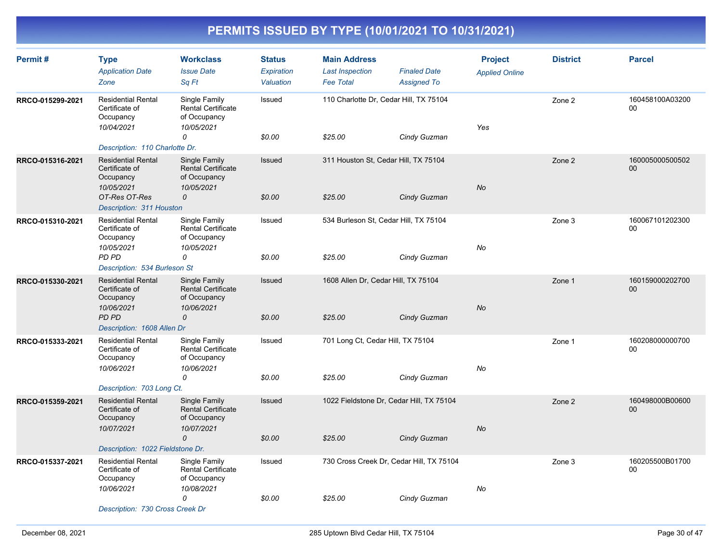| Permit#          | <b>Type</b><br><b>Application Date</b><br>Zone                         | <b>Workclass</b><br><b>Issue Date</b><br>Sq Ft                           | <b>Status</b><br><b>Expiration</b><br>Valuation | <b>Main Address</b><br><b>Last Inspection</b><br><b>Fee Total</b> | <b>Finaled Date</b><br><b>Assigned To</b> | <b>Project</b><br><b>Applied Online</b> | <b>District</b> | <b>Parcel</b>         |
|------------------|------------------------------------------------------------------------|--------------------------------------------------------------------------|-------------------------------------------------|-------------------------------------------------------------------|-------------------------------------------|-----------------------------------------|-----------------|-----------------------|
| RRCO-015299-2021 | <b>Residential Rental</b><br>Certificate of<br>Occupancy<br>10/04/2021 | Single Family<br><b>Rental Certificate</b><br>of Occupancy<br>10/05/2021 | Issued                                          | 110 Charlotte Dr, Cedar Hill, TX 75104                            |                                           | Yes                                     | Zone 2          | 160458100A03200<br>00 |
|                  | Description: 110 Charlotte Dr.                                         | 0                                                                        | \$0.00                                          | \$25.00                                                           | Cindy Guzman                              |                                         |                 |                       |
| RRCO-015316-2021 | <b>Residential Rental</b><br>Certificate of<br>Occupancy<br>10/05/2021 | Single Family<br><b>Rental Certificate</b><br>of Occupancy<br>10/05/2021 | Issued                                          | 311 Houston St, Cedar Hill, TX 75104                              |                                           | <b>No</b>                               | Zone 2          | 160005000500502<br>00 |
|                  | OT-Res OT-Res<br>Description: 311 Houston                              | 0                                                                        | \$0.00                                          | \$25.00                                                           | Cindy Guzman                              |                                         |                 |                       |
| RRCO-015310-2021 | <b>Residential Rental</b><br>Certificate of<br>Occupancy<br>10/05/2021 | Single Family<br><b>Rental Certificate</b><br>of Occupancy<br>10/05/2021 | Issued                                          | 534 Burleson St, Cedar Hill, TX 75104                             |                                           | No                                      | Zone 3          | 160067101202300<br>00 |
|                  | PD PD<br>Description: 534 Burleson St                                  | 0                                                                        | \$0.00                                          | \$25.00                                                           | Cindy Guzman                              |                                         |                 |                       |
| RRCO-015330-2021 | <b>Residential Rental</b><br>Certificate of<br>Occupancy<br>10/06/2021 | Single Family<br><b>Rental Certificate</b><br>of Occupancy<br>10/06/2021 | Issued                                          | 1608 Allen Dr, Cedar Hill, TX 75104                               |                                           | <b>No</b>                               | Zone 1          | 160159000202700<br>00 |
|                  | PD PD<br>Description: 1608 Allen Dr                                    | 0                                                                        | \$0.00                                          | \$25.00                                                           | Cindy Guzman                              |                                         |                 |                       |
| RRCO-015333-2021 | <b>Residential Rental</b><br>Certificate of<br>Occupancy               | Single Family<br><b>Rental Certificate</b><br>of Occupancy               | Issued                                          | 701 Long Ct, Cedar Hill, TX 75104                                 |                                           |                                         | Zone 1          | 160208000000700<br>00 |
|                  | 10/06/2021<br>Description: 703 Long Ct.                                | 10/06/2021<br>0                                                          | \$0.00                                          | \$25.00                                                           | Cindy Guzman                              | No                                      |                 |                       |
| RRCO-015359-2021 | <b>Residential Rental</b><br>Certificate of<br>Occupancy               | Single Family<br><b>Rental Certificate</b><br>of Occupancy               | Issued                                          | 1022 Fieldstone Dr, Cedar Hill, TX 75104                          |                                           |                                         | Zone 2          | 160498000B00600<br>00 |
|                  | 10/07/2021<br>Description: 1022 Fieldstone Dr.                         | 10/07/2021<br>$\mathcal{O}$                                              | \$0.00                                          | \$25.00                                                           | Cindy Guzman                              | <b>No</b>                               |                 |                       |
| RRCO-015337-2021 | <b>Residential Rental</b>                                              | Single Family                                                            | Issued                                          | 730 Cross Creek Dr, Cedar Hill, TX 75104                          |                                           |                                         | Zone 3          | 160205500B01700       |
|                  | Certificate of<br>Occupancy<br>10/06/2021                              | <b>Rental Certificate</b><br>of Occupancy<br>10/08/2021                  |                                                 |                                                                   |                                           | No                                      |                 | 00                    |
|                  | Description: 730 Cross Creek Dr                                        | $\Omega$                                                                 | \$0.00                                          | \$25.00                                                           | Cindy Guzman                              |                                         |                 |                       |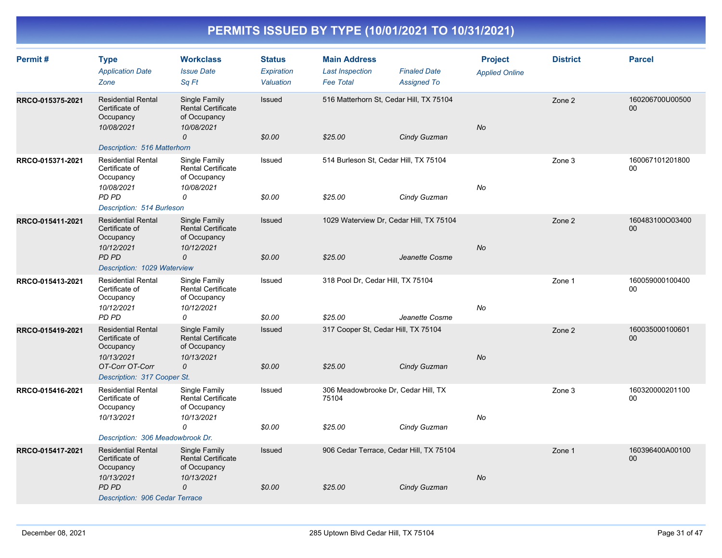| Permit#          | <b>Type</b><br><b>Application Date</b><br>Zone                         | <b>Workclass</b><br><b>Issue Date</b><br>Sq Ft                           | <b>Status</b><br>Expiration<br>Valuation | <b>Main Address</b><br><b>Last Inspection</b><br><b>Fee Total</b> | <b>Finaled Date</b><br><b>Assigned To</b> | <b>Project</b><br><b>Applied Online</b> | <b>District</b> | <b>Parcel</b>             |
|------------------|------------------------------------------------------------------------|--------------------------------------------------------------------------|------------------------------------------|-------------------------------------------------------------------|-------------------------------------------|-----------------------------------------|-----------------|---------------------------|
| RRCO-015375-2021 | <b>Residential Rental</b><br>Certificate of<br>Occupancy<br>10/08/2021 | Single Family<br><b>Rental Certificate</b><br>of Occupancy<br>10/08/2021 | Issued                                   | 516 Matterhorn St, Cedar Hill, TX 75104                           |                                           | <b>No</b>                               | Zone 2          | 160206700U00500<br>00     |
|                  | Description: 516 Matterhorn                                            | $\mathcal{O}$                                                            | \$0.00                                   | \$25.00                                                           | Cindy Guzman                              |                                         |                 |                           |
| RRCO-015371-2021 | <b>Residential Rental</b><br>Certificate of<br>Occupancy               | Single Family<br><b>Rental Certificate</b><br>of Occupancy               | Issued                                   | 514 Burleson St, Cedar Hill, TX 75104                             |                                           |                                         | Zone 3          | 160067101201800<br>$00\,$ |
|                  | 10/08/2021<br>PD PD<br>Description: 514 Burleson                       | 10/08/2021<br>0                                                          | \$0.00                                   | \$25.00                                                           | Cindy Guzman                              | No                                      |                 |                           |
| RRCO-015411-2021 | <b>Residential Rental</b><br>Certificate of<br>Occupancy               | Single Family<br><b>Rental Certificate</b><br>of Occupancy               | Issued                                   |                                                                   | 1029 Waterview Dr, Cedar Hill, TX 75104   |                                         | Zone 2          | 160483100O03400<br>00     |
|                  | 10/12/2021<br><b>PD PD</b><br>Description: 1029 Waterview              | 10/12/2021<br>0                                                          | \$0.00                                   | \$25.00                                                           | Jeanette Cosme                            | No                                      |                 |                           |
| RRCO-015413-2021 | <b>Residential Rental</b><br>Certificate of<br>Occupancy               | Single Family<br><b>Rental Certificate</b><br>of Occupancy               | Issued                                   | 318 Pool Dr, Cedar Hill, TX 75104                                 |                                           |                                         | Zone 1          | 160059000100400<br>$00\,$ |
|                  | 10/12/2021<br>PD PD                                                    | 10/12/2021<br>0                                                          | \$0.00                                   | \$25.00                                                           | Jeanette Cosme                            | No                                      |                 |                           |
| RRCO-015419-2021 | <b>Residential Rental</b><br>Certificate of<br>Occupancy<br>10/13/2021 | Single Family<br><b>Rental Certificate</b><br>of Occupancy<br>10/13/2021 | Issued                                   | 317 Cooper St, Cedar Hill, TX 75104                               |                                           | <b>No</b>                               | Zone 2          | 160035000100601<br>$00\,$ |
|                  | OT-Corr OT-Corr<br>Description: 317 Cooper St.                         | 0                                                                        | \$0.00                                   | \$25.00                                                           | Cindy Guzman                              |                                         |                 |                           |
| RRCO-015416-2021 | <b>Residential Rental</b><br>Certificate of<br>Occupancy               | Single Family<br><b>Rental Certificate</b><br>of Occupancy               | Issued                                   | 306 Meadowbrooke Dr, Cedar Hill, TX<br>75104                      |                                           |                                         | Zone 3          | 160320000201100<br>$00\,$ |
|                  | 10/13/2021<br>Description: 306 Meadowbrook Dr.                         | 10/13/2021<br>0                                                          | \$0.00                                   | \$25.00                                                           | Cindy Guzman                              | No                                      |                 |                           |
| RRCO-015417-2021 | <b>Residential Rental</b><br>Certificate of<br>Occupancy               | Single Family<br><b>Rental Certificate</b><br>of Occupancy               | Issued                                   | 906 Cedar Terrace, Cedar Hill, TX 75104                           |                                           |                                         | Zone 1          | 160396400A00100<br>00     |
|                  | 10/13/2021<br><b>PD PD</b><br><b>Description: 906 Cedar Terrace</b>    | 10/13/2021<br>0                                                          | \$0.00                                   | \$25.00                                                           | Cindy Guzman                              | No                                      |                 |                           |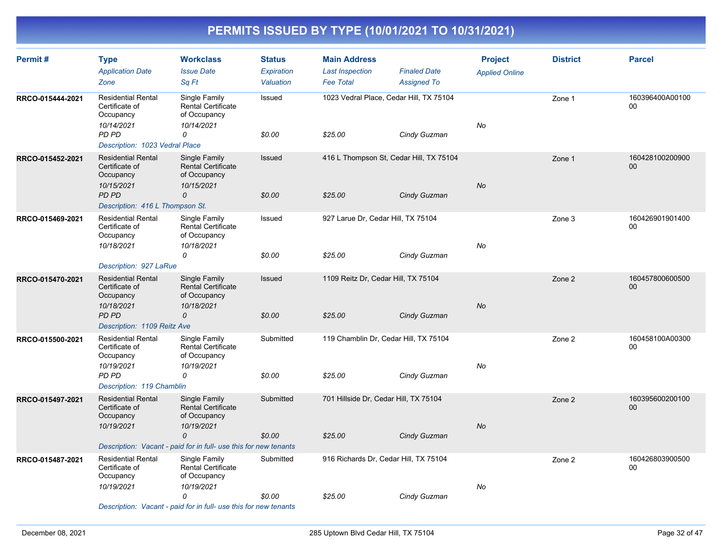| Permit#          | <b>Type</b><br><b>Application Date</b><br>Zone                                                                           | <b>Workclass</b><br><b>Issue Date</b><br>Sa Ft                                                                                                                                                                        | <b>Status</b><br>Expiration<br>Valuation | <b>Main Address</b><br><b>Last Inspection</b><br><b>Fee Total</b> | <b>Finaled Date</b><br><b>Assigned To</b> | <b>Project</b><br><b>Applied Online</b> | <b>District</b> | <b>Parcel</b>             |
|------------------|--------------------------------------------------------------------------------------------------------------------------|-----------------------------------------------------------------------------------------------------------------------------------------------------------------------------------------------------------------------|------------------------------------------|-------------------------------------------------------------------|-------------------------------------------|-----------------------------------------|-----------------|---------------------------|
| RRCO-015444-2021 | <b>Residential Rental</b><br>Certificate of<br>Occupancy<br>10/14/2021<br><b>PD PD</b><br>Description: 1023 Vedral Place | Single Family<br><b>Rental Certificate</b><br>of Occupancy<br>10/14/2021<br>0                                                                                                                                         | Issued<br>\$0.00                         | 1023 Vedral Place, Cedar Hill, TX 75104<br>\$25.00                | Cindy Guzman                              | No                                      | Zone 1          | 160396400A00100<br>$00\,$ |
| RRCO-015452-2021 | <b>Residential Rental</b><br>Certificate of<br>Occupancy<br>10/15/2021<br>PD PD<br>Description: 416 L Thompson St.       | Single Family<br><b>Rental Certificate</b><br>of Occupancy<br>10/15/2021<br>0                                                                                                                                         | Issued<br>\$0.00                         | 416 L Thompson St, Cedar Hill, TX 75104<br>\$25.00                | Cindy Guzman                              | <b>No</b>                               | Zone 1          | 160428100200900<br>00     |
| RRCO-015469-2021 | <b>Residential Rental</b><br>Certificate of<br>Occupancy<br>10/18/2021<br>Description: 927 LaRue                         | Single Family<br>Rental Certificate<br>of Occupancy<br>10/18/2021<br>0                                                                                                                                                | Issued<br>\$0.00                         | 927 Larue Dr, Cedar Hill, TX 75104<br>\$25.00                     | Cindy Guzman                              | No                                      | Zone 3          | 160426901901400<br>00     |
| RRCO-015470-2021 | <b>Residential Rental</b><br>Certificate of<br>Occupancy<br>10/18/2021<br>PD PD<br>Description: 1109 Reitz Ave           | Single Family<br><b>Rental Certificate</b><br>of Occupancy<br>10/18/2021<br>0                                                                                                                                         | Issued<br>\$0.00                         | 1109 Reitz Dr, Cedar Hill, TX 75104<br>\$25.00                    | Cindy Guzman                              | <b>No</b>                               | Zone 2          | 160457800600500<br>00     |
| RRCO-015500-2021 | <b>Residential Rental</b><br>Certificate of<br>Occupancy<br>10/19/2021<br>PD PD<br>Description: 119 Chamblin             | Single Family<br><b>Rental Certificate</b><br>of Occupancy<br>10/19/2021<br>0                                                                                                                                         | Submitted<br>\$0.00                      | 119 Chamblin Dr, Cedar Hill, TX 75104<br>\$25.00                  | Cindy Guzman                              | No                                      | Zone 2          | 160458100A00300<br>00     |
| RRCO-015497-2021 | <b>Residential Rental</b><br>Certificate of<br>Occupancy<br>10/19/2021                                                   | Single Family<br><b>Rental Certificate</b><br>of Occupancy<br>10/19/2021<br>$\Omega$                                                                                                                                  | Submitted<br>\$0.00                      | 701 Hillside Dr, Cedar Hill, TX 75104<br>\$25.00                  | Cindy Guzman                              | <b>No</b>                               | Zone 2          | 160395600200100<br>00     |
| RRCO-015487-2021 | <b>Residential Rental</b><br>Certificate of<br>Occupancy<br>10/19/2021                                                   | Description: Vacant - paid for in full- use this for new tenants<br>Single Family<br><b>Rental Certificate</b><br>of Occupancy<br>10/19/2021<br>0<br>Description: Vacant - paid for in full- use this for new tenants | Submitted<br>\$0.00                      | 916 Richards Dr, Cedar Hill, TX 75104<br>\$25.00                  | Cindy Guzman                              | No                                      | Zone 2          | 160426803900500<br>00     |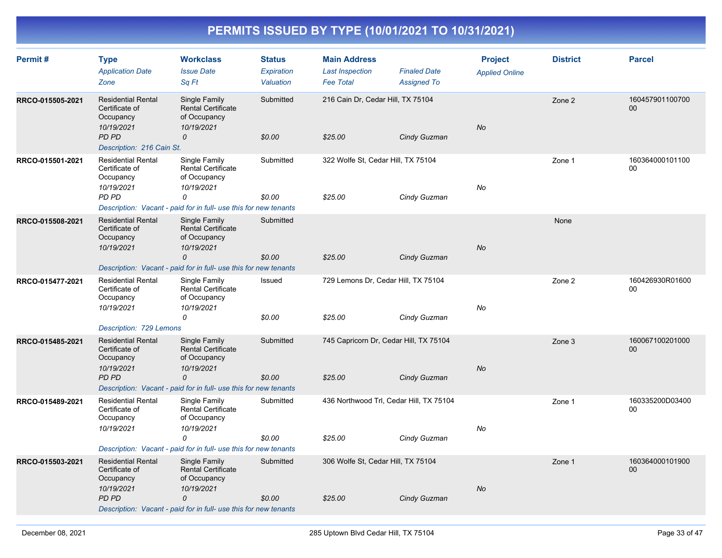| Permit#          | <b>Type</b><br><b>Application Date</b><br>Zone                                                               | <b>Workclass</b><br><b>Issue Date</b><br>Sq Ft                                                                                                                | <b>Status</b><br><b>Expiration</b><br>Valuation | <b>Main Address</b><br><b>Last Inspection</b><br><b>Fee Total</b> | <b>Finaled Date</b><br><b>Assigned To</b> | <b>Project</b><br><b>Applied Online</b> | <b>District</b> | <b>Parcel</b>             |
|------------------|--------------------------------------------------------------------------------------------------------------|---------------------------------------------------------------------------------------------------------------------------------------------------------------|-------------------------------------------------|-------------------------------------------------------------------|-------------------------------------------|-----------------------------------------|-----------------|---------------------------|
| RRCO-015505-2021 | <b>Residential Rental</b><br>Certificate of<br>Occupancy<br>10/19/2021<br>PD PD<br>Description: 216 Cain St. | Single Family<br><b>Rental Certificate</b><br>of Occupancy<br>10/19/2021<br>0                                                                                 | Submitted<br>\$0.00                             | 216 Cain Dr, Cedar Hill, TX 75104<br>\$25.00                      | Cindy Guzman                              | No                                      | Zone 2          | 160457901100700<br>00     |
| RRCO-015501-2021 | <b>Residential Rental</b><br>Certificate of<br>Occupancy<br>10/19/2021<br>PD PD                              | Single Family<br><b>Rental Certificate</b><br>of Occupancy<br>10/19/2021<br>$\Omega$<br>Description: Vacant - paid for in full- use this for new tenants      | Submitted<br>\$0.00                             | 322 Wolfe St, Cedar Hill, TX 75104<br>\$25.00                     | Cindy Guzman                              | No                                      | Zone 1          | 160364000101100<br>$00\,$ |
| RRCO-015508-2021 | <b>Residential Rental</b><br>Certificate of<br>Occupancy<br>10/19/2021                                       | Single Family<br><b>Rental Certificate</b><br>of Occupancy<br>10/19/2021<br>$\mathcal{O}$<br>Description: Vacant - paid for in full- use this for new tenants | Submitted<br>\$0.00                             | \$25.00                                                           | Cindy Guzman                              | <b>No</b>                               | None            |                           |
| RRCO-015477-2021 | <b>Residential Rental</b><br>Certificate of<br>Occupancy<br>10/19/2021<br>Description: 729 Lemons            | Single Family<br><b>Rental Certificate</b><br>of Occupancy<br>10/19/2021<br>0                                                                                 | Issued<br>\$0.00                                | 729 Lemons Dr, Cedar Hill, TX 75104<br>\$25.00                    | Cindy Guzman                              | No                                      | Zone 2          | 160426930R01600<br>00     |
| RRCO-015485-2021 | <b>Residential Rental</b><br>Certificate of<br>Occupancy<br>10/19/2021<br><b>PD PD</b>                       | Single Family<br><b>Rental Certificate</b><br>of Occupancy<br>10/19/2021<br>$\mathcal{O}$<br>Description: Vacant - paid for in full- use this for new tenants | Submitted<br>\$0.00                             | 745 Capricorn Dr, Cedar Hill, TX 75104<br>\$25.00                 | Cindy Guzman                              | <b>No</b>                               | Zone 3          | 160067100201000<br>00     |
| RRCO-015489-2021 | <b>Residential Rental</b><br>Certificate of<br>Occupancy<br>10/19/2021                                       | Single Family<br><b>Rental Certificate</b><br>of Occupancy<br>10/19/2021<br>0                                                                                 | Submitted<br>\$0.00                             | 436 Northwood Trl, Cedar Hill, TX 75104<br>\$25.00                | Cindy Guzman                              | No                                      | Zone 1          | 160335200D03400<br>00     |
|                  |                                                                                                              | Description: Vacant - paid for in full- use this for new tenants                                                                                              |                                                 |                                                                   |                                           |                                         |                 |                           |
| RRCO-015503-2021 | <b>Residential Rental</b><br>Certificate of<br>Occupancy<br>10/19/2021<br>PD PD                              | Single Family<br><b>Rental Certificate</b><br>of Occupancy<br>10/19/2021<br>0                                                                                 | Submitted<br>\$0.00                             | 306 Wolfe St, Cedar Hill, TX 75104<br>\$25.00                     |                                           | <b>No</b>                               | Zone 1          | 160364000101900<br>00     |
|                  |                                                                                                              | Description: Vacant - paid for in full- use this for new tenants                                                                                              |                                                 |                                                                   | Cindy Guzman                              |                                         |                 |                           |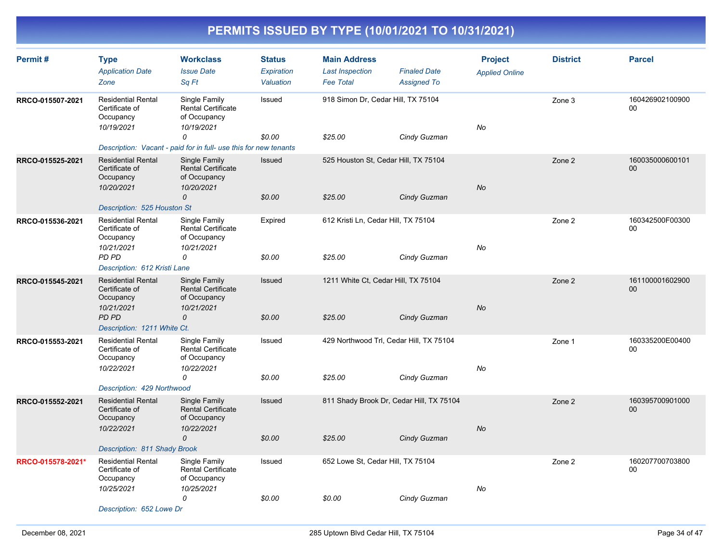| Permit#           | <b>Type</b><br><b>Application Date</b><br>Zone                         | <b>Workclass</b><br><b>Issue Date</b><br>Sq Ft                           | <b>Status</b><br>Expiration<br>Valuation | <b>Main Address</b><br><b>Last Inspection</b><br><b>Fee Total</b> | <b>Finaled Date</b><br><b>Assigned To</b> | <b>Project</b><br><b>Applied Online</b> | <b>District</b> | <b>Parcel</b>             |
|-------------------|------------------------------------------------------------------------|--------------------------------------------------------------------------|------------------------------------------|-------------------------------------------------------------------|-------------------------------------------|-----------------------------------------|-----------------|---------------------------|
| RRCO-015507-2021  | <b>Residential Rental</b><br>Certificate of<br>Occupancy<br>10/19/2021 | Single Family<br><b>Rental Certificate</b><br>of Occupancy<br>10/19/2021 | Issued                                   | 918 Simon Dr, Cedar Hill, TX 75104                                |                                           | No                                      | Zone 3          | 160426902100900<br>00     |
|                   | Description: Vacant - paid for in full- use this for new tenants       | $\Omega$                                                                 | \$0.00                                   | \$25.00                                                           | Cindy Guzman                              |                                         |                 |                           |
| RRCO-015525-2021  | <b>Residential Rental</b><br>Certificate of<br>Occupancy<br>10/20/2021 | Single Family<br><b>Rental Certificate</b><br>of Occupancy<br>10/20/2021 | Issued                                   | 525 Houston St, Cedar Hill, TX 75104                              |                                           | No                                      | Zone 2          | 160035000600101<br>00     |
|                   | Description: 525 Houston St                                            | $\mathcal{O}$                                                            | \$0.00                                   | \$25.00                                                           | Cindy Guzman                              |                                         |                 |                           |
| RRCO-015536-2021  | <b>Residential Rental</b><br>Certificate of<br>Occupancy<br>10/21/2021 | Single Family<br><b>Rental Certificate</b><br>of Occupancy<br>10/21/2021 | Expired                                  | 612 Kristi Ln, Cedar Hill, TX 75104                               |                                           | No                                      | Zone 2          | 160342500F00300<br>$00\,$ |
|                   | PD PD<br>Description: 612 Kristi Lane                                  | 0                                                                        | \$0.00                                   | \$25.00                                                           | Cindy Guzman                              |                                         |                 |                           |
| RRCO-015545-2021  | <b>Residential Rental</b><br>Certificate of<br>Occupancy<br>10/21/2021 | Single Family<br><b>Rental Certificate</b><br>of Occupancy<br>10/21/2021 | Issued                                   | 1211 White Ct, Cedar Hill, TX 75104                               |                                           | <b>No</b>                               | Zone 2          | 161100001602900<br>00     |
|                   | <b>PD PD</b><br>Description: 1211 White Ct.                            | 0                                                                        | \$0.00                                   | \$25.00                                                           | Cindy Guzman                              |                                         |                 |                           |
| RRCO-015553-2021  | <b>Residential Rental</b><br>Certificate of<br>Occupancy               | Single Family<br><b>Rental Certificate</b><br>of Occupancy               | Issued                                   | 429 Northwood Trl, Cedar Hill, TX 75104                           |                                           |                                         | Zone 1          | 160335200E00400<br>00     |
|                   | 10/22/2021<br>Description: 429 Northwood                               | 10/22/2021<br>0                                                          | \$0.00                                   | \$25.00                                                           | Cindy Guzman                              | No                                      |                 |                           |
| RRCO-015552-2021  | <b>Residential Rental</b><br>Certificate of<br>Occupancy               | Single Family<br><b>Rental Certificate</b><br>of Occupancy               | Issued                                   | 811 Shady Brook Dr, Cedar Hill, TX 75104                          |                                           |                                         | Zone 2          | 160395700901000<br>00     |
|                   | 10/22/2021<br>Description: 811 Shady Brook                             | 10/22/2021<br>$\Omega$                                                   | \$0.00                                   | \$25.00                                                           | Cindy Guzman                              | <b>No</b>                               |                 |                           |
| RRCO-015578-2021* | <b>Residential Rental</b><br>Certificate of<br>Occupancy               | Single Family<br><b>Rental Certificate</b><br>of Occupancy               | Issued                                   | 652 Lowe St, Cedar Hill, TX 75104                                 |                                           |                                         | Zone 2          | 160207700703800<br>00     |
|                   | 10/25/2021<br>Description: 652 Lowe Dr                                 | 10/25/2021<br>0                                                          | \$0.00                                   | \$0.00                                                            | Cindy Guzman                              | No                                      |                 |                           |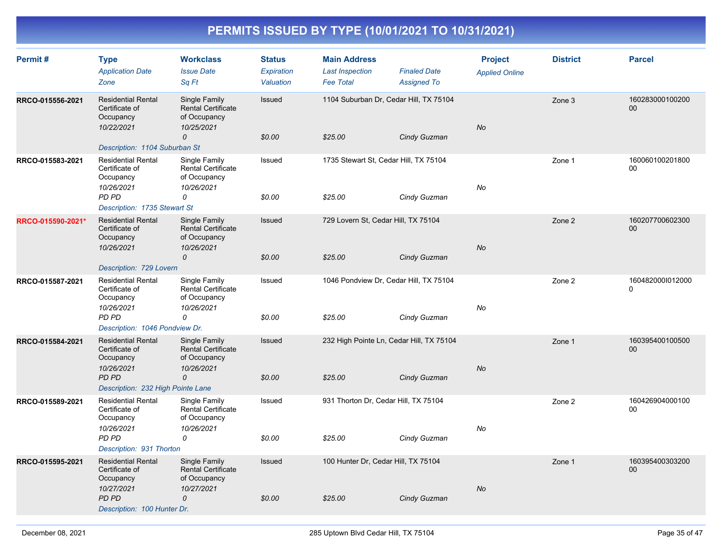| Permit#           | <b>Type</b><br><b>Application Date</b><br>Zone                                                                       | <b>Workclass</b><br><b>Issue Date</b><br>Sq Ft                                             | <b>Status</b><br>Expiration<br>Valuation | <b>Main Address</b><br><b>Last Inspection</b><br><b>Fee Total</b> | <b>Finaled Date</b><br><b>Assigned To</b> | <b>Project</b><br><b>Applied Online</b> | <b>District</b> | <b>Parcel</b>                |
|-------------------|----------------------------------------------------------------------------------------------------------------------|--------------------------------------------------------------------------------------------|------------------------------------------|-------------------------------------------------------------------|-------------------------------------------|-----------------------------------------|-----------------|------------------------------|
| RRCO-015556-2021  | <b>Residential Rental</b><br>Certificate of<br>Occupancy<br>10/22/2021<br>Description: 1104 Suburban St              | Single Family<br><b>Rental Certificate</b><br>of Occupancy<br>10/25/2021<br>0              | <b>Issued</b><br>\$0.00                  | 1104 Suburban Dr, Cedar Hill, TX 75104<br>\$25.00                 | Cindy Guzman                              | No                                      | Zone 3          | 160283000100200<br>$00\,$    |
| RRCO-015583-2021  | <b>Residential Rental</b><br>Certificate of<br>Occupancy<br>10/26/2021<br>PD PD<br>Description: 1735 Stewart St      | Single Family<br>Rental Certificate<br>of Occupancy<br>10/26/2021<br>0                     | Issued<br>\$0.00                         | 1735 Stewart St, Cedar Hill, TX 75104<br>\$25.00                  | Cindy Guzman                              | No                                      | Zone 1          | 160060100201800<br>$00\,$    |
| RRCO-015590-2021* | <b>Residential Rental</b><br>Certificate of<br>Occupancy<br>10/26/2021<br>Description: 729 Lovern                    | Single Family<br><b>Rental Certificate</b><br>of Occupancy<br>10/26/2021<br>$\mathcal{O}$  | Issued<br>\$0.00                         | 729 Lovern St, Cedar Hill, TX 75104<br>\$25.00                    | Cindy Guzman                              | <b>No</b>                               | Zone 2          | 160207700602300<br>00        |
| RRCO-015587-2021  | <b>Residential Rental</b><br>Certificate of<br>Occupancy<br>10/26/2021<br>PD PD<br>Description: 1046 Pondview Dr.    | Single Family<br>Rental Certificate<br>of Occupancy<br>10/26/2021<br>0                     | Issued<br>\$0.00                         | 1046 Pondview Dr, Cedar Hill, TX 75104<br>\$25.00                 | Cindy Guzman                              | No                                      | Zone 2          | 1604820001012000<br>$\Omega$ |
| RRCO-015584-2021  | <b>Residential Rental</b><br>Certificate of<br>Occupancy<br>10/26/2021<br>PD PD<br>Description: 232 High Pointe Lane | Single Family<br><b>Rental Certificate</b><br>of Occupancy<br>10/26/2021<br>$\mathcal{O}$  | Issued<br>\$0.00                         | 232 High Pointe Ln, Cedar Hill, TX 75104<br>\$25.00               | Cindy Guzman                              | No                                      | Zone 1          | 160395400100500<br>$00\,$    |
| RRCO-015589-2021  | <b>Residential Rental</b><br>Certificate of<br>Occupancy<br>10/26/2021<br>PD PD<br>Description: 931 Thorton          | Single Family<br><b>Rental Certificate</b><br>of Occupancy<br>10/26/2021<br>0              | Issued<br>\$0.00                         | 931 Thorton Dr, Cedar Hill, TX 75104<br>\$25.00                   | Cindy Guzman                              | No                                      | Zone 2          | 160426904000100<br>$00\,$    |
| RRCO-015595-2021  | <b>Residential Rental</b><br>Certificate of<br>Occupancy<br>10/27/2021<br>PD PD<br>Description: 100 Hunter Dr.       | Single Family<br><b>Rental Certificate</b><br>of Occupancy<br>10/27/2021<br>$\overline{O}$ | Issued<br>\$0.00                         | 100 Hunter Dr, Cedar Hill, TX 75104<br>\$25.00                    | Cindy Guzman                              | No                                      | Zone 1          | 160395400303200<br>$00\,$    |
|                   |                                                                                                                      |                                                                                            |                                          |                                                                   |                                           |                                         |                 |                              |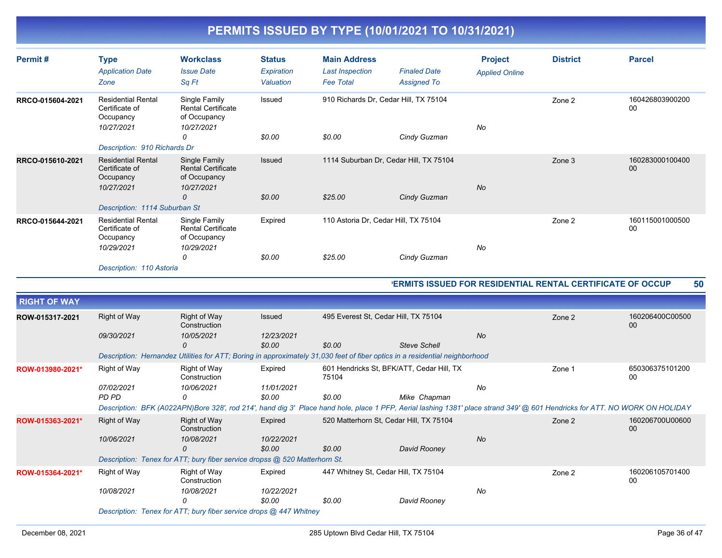| Permit#          | <b>Type</b><br><b>Application Date</b><br>Zone                                                          | <b>Workclass</b><br><b>Issue Date</b><br>Sq Ft                                | <b>Status</b><br>Expiration<br>Valuation | <b>Main Address</b><br><b>Last Inspection</b><br><b>Fee Total</b> | <b>Finaled Date</b><br><b>Assigned To</b>              | <b>Project</b><br><b>Applied Online</b> | <b>District</b> | <b>Parcel</b>         |
|------------------|---------------------------------------------------------------------------------------------------------|-------------------------------------------------------------------------------|------------------------------------------|-------------------------------------------------------------------|--------------------------------------------------------|-----------------------------------------|-----------------|-----------------------|
| RRCO-015604-2021 | <b>Residential Rental</b><br>Certificate of<br>Occupancy<br>10/27/2021<br>Description: 910 Richards Dr  | Single Family<br><b>Rental Certificate</b><br>of Occupancy<br>10/27/2021<br>0 | Issued<br>\$0.00                         | \$0.00                                                            | 910 Richards Dr, Cedar Hill, TX 75104<br>Cindy Guzman  | No                                      | Zone 2          | 160426803900200<br>00 |
| RRCO-015610-2021 | <b>Residential Rental</b><br>Certificate of<br>Occupancy<br>10/27/2021<br>Description: 1114 Suburban St | Single Family<br><b>Rental Certificate</b><br>of Occupancy<br>10/27/2021<br>0 | Issued<br>\$0.00                         | \$25.00                                                           | 1114 Suburban Dr, Cedar Hill, TX 75104<br>Cindy Guzman | <b>No</b>                               | Zone 3          | 160283000100400<br>00 |
| RRCO-015644-2021 | <b>Residential Rental</b><br>Certificate of<br>Occupancy<br>10/29/2021<br>Description: 110 Astoria      | Single Family<br><b>Rental Certificate</b><br>of Occupancy<br>10/29/2021<br>0 | Expired<br>\$0.00                        | 110 Astoria Dr, Cedar Hill, TX 75104<br>\$25.00                   | Cindy Guzman                                           | No                                      | Zone 2          | 160115001000500<br>00 |

#### **PERMITS ISSUED FOR RESIDENTIAL RENTAL CERTIFICATE OF OCCUP 50**

| <b>RIGHT OF WAY</b> |                     |                                                                                                                                                                             |                      |                                                    |                     |    |        |                       |
|---------------------|---------------------|-----------------------------------------------------------------------------------------------------------------------------------------------------------------------------|----------------------|----------------------------------------------------|---------------------|----|--------|-----------------------|
| ROW-015317-2021     | Right of Way        | Right of Way<br>Construction                                                                                                                                                | Issued               | 495 Everest St, Cedar Hill, TX 75104               |                     |    | Zone 2 | 160206400C00500<br>00 |
|                     | 09/30/2021          | 10/05/2021<br>0                                                                                                                                                             | 12/23/2021<br>\$0.00 | \$0.00                                             | <b>Steve Schell</b> | No |        |                       |
|                     |                     | Description: Hernandez Utilities for ATT; Boring in approximately 31,030 feet of fiber optics in a residential neighborhood                                                 |                      |                                                    |                     |    |        |                       |
| ROW-013980-2021*    | Right of Way        | Right of Way<br>Construction                                                                                                                                                | Expired              | 601 Hendricks St, BFK/ATT, Cedar Hill, TX<br>75104 |                     |    | Zone 1 | 650306375101200<br>00 |
|                     | 07/02/2021<br>PD PD | 10/06/2021                                                                                                                                                                  | 11/01/2021<br>\$0.00 | \$0.00                                             | Mike Chapman        | No |        |                       |
|                     |                     | Description: BFK (A022APN)Bore 328', rod 214', hand dig 3' Place hand hole, place 1 PFP, Aerial lashing 1381' place strand 349' @ 601 Hendricks for ATT. NO WORK ON HOLIDAY |                      |                                                    |                     |    |        |                       |
| ROW-015363-2021*    | Right of Way        | Right of Way<br>Construction                                                                                                                                                | Expired              | 520 Matterhorn St, Cedar Hill, TX 75104            |                     |    | Zone 2 | 160206700U00600<br>00 |
|                     | 10/06/2021          | 10/08/2021<br>$\Omega$                                                                                                                                                      | 10/22/2021<br>\$0.00 | \$0.00                                             | David Rooney        | No |        |                       |
|                     |                     | Description: Tenex for ATT; bury fiber service dropss @ 520 Matterhorn St.                                                                                                  |                      |                                                    |                     |    |        |                       |
| ROW-015364-2021*    | Right of Way        | Right of Way<br>Construction                                                                                                                                                | Expired              | 447 Whitney St, Cedar Hill, TX 75104               |                     |    | Zone 2 | 160206105701400<br>00 |
|                     | 10/08/2021          | 10/08/2021<br>O                                                                                                                                                             | 10/22/2021<br>\$0.00 | \$0.00                                             | David Rooney        | No |        |                       |
|                     |                     | Description: Tenex for ATT; bury fiber service drops @ 447 Whitney                                                                                                          |                      |                                                    |                     |    |        |                       |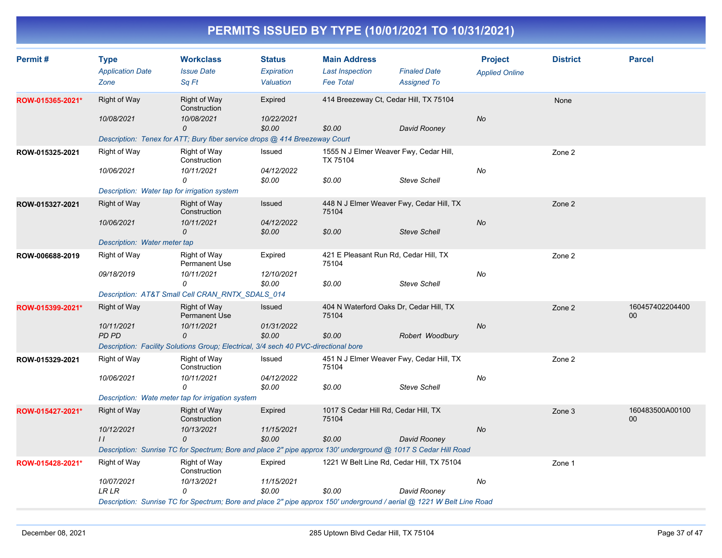| Permit#          | <b>Type</b><br><b>Application Date</b><br>Zone                             | <b>Workclass</b><br><b>Issue Date</b><br>Sa Ft                                                                                                                                  | <b>Status</b><br>Expiration<br>Valuation | <b>Main Address</b><br><b>Last Inspection</b><br><b>Fee Total</b> | <b>Finaled Date</b><br><b>Assigned To</b> | <b>Project</b><br><b>Applied Online</b> | <b>District</b> | <b>Parcel</b>         |
|------------------|----------------------------------------------------------------------------|---------------------------------------------------------------------------------------------------------------------------------------------------------------------------------|------------------------------------------|-------------------------------------------------------------------|-------------------------------------------|-----------------------------------------|-----------------|-----------------------|
| ROW-015365-2021* | <b>Right of Way</b><br>10/08/2021                                          | <b>Right of Way</b><br>Construction<br>10/08/2021<br>0<br>Description: Tenex for ATT; Bury fiber service drops @ 414 Breezeway Court                                            | Expired<br>10/22/2021<br>\$0.00          | 414 Breezeway Ct, Cedar Hill, TX 75104<br>\$0.00                  | David Rooney                              | No                                      | None            |                       |
| ROW-015325-2021  | Right of Way<br>10/06/2021<br>Description: Water tap for irrigation system | Right of Way<br>Construction<br>10/11/2021<br>0                                                                                                                                 | Issued<br>04/12/2022<br>\$0.00           | 1555 N J Elmer Weaver Fwy, Cedar Hill,<br>TX 75104<br>\$0.00      | <b>Steve Schell</b>                       | No                                      | Zone 2          |                       |
| ROW-015327-2021  | <b>Right of Way</b><br>10/06/2021<br>Description: Water meter tap          | Right of Way<br>Construction<br>10/11/2021<br>$\Omega$                                                                                                                          | Issued<br>04/12/2022<br>\$0.00           | 448 N J Elmer Weaver Fwy, Cedar Hill, TX<br>75104<br>\$0.00       | <b>Steve Schell</b>                       | No                                      | Zone 2          |                       |
| ROW-006688-2019  | Right of Way<br>09/18/2019                                                 | Right of Way<br>Permanent Use<br>10/11/2021<br>0<br>Description: AT&T Small Cell CRAN RNTX SDALS 014                                                                            | Expired<br>12/10/2021<br>\$0.00          | 421 E Pleasant Run Rd, Cedar Hill, TX<br>75104<br>\$0.00          | <b>Steve Schell</b>                       | No                                      | Zone 2          |                       |
| ROW-015399-2021* | <b>Right of Way</b><br>10/11/2021<br><b>PD PD</b>                          | Right of Way<br><b>Permanent Use</b><br>10/11/2021<br>0<br>Description: Facility Solutions Group; Electrical, 3/4 sech 40 PVC-directional bore                                  | Issued<br>01/31/2022<br>\$0.00           | 404 N Waterford Oaks Dr, Cedar Hill, TX<br>75104<br>\$0.00        | Robert Woodbury                           | No                                      | Zone 2          | 160457402204400<br>00 |
| ROW-015329-2021  | Right of Way<br>10/06/2021                                                 | Right of Way<br>Construction<br>10/11/2021<br>0<br>Description: Wate meter tap for irrigation system                                                                            | Issued<br>04/12/2022<br>\$0.00           | 451 N J Elmer Weaver Fwy, Cedar Hill, TX<br>75104<br>\$0.00       | <b>Steve Schell</b>                       | No                                      | Zone 2          |                       |
| ROW-015427-2021* | Right of Way<br>10/12/2021<br>$\frac{1}{2}$                                | Right of Way<br>Construction<br>10/13/2021<br>$\Omega$<br>Description: Sunrise TC for Spectrum; Bore and place 2" pipe approx 130' underground @ 1017 S Cedar Hill Road         | Expired<br>11/15/2021<br>\$0.00          | 1017 S Cedar Hill Rd, Cedar Hill, TX<br>75104<br>\$0.00           | David Rooney                              | <b>No</b>                               | Zone 3          | 160483500A00100<br>00 |
| ROW-015428-2021* | Right of Way<br>10/07/2021<br>LR LR                                        | Right of Way<br>Construction<br>10/13/2021<br>$\Omega$<br>Description: Sunrise TC for Spectrum; Bore and place 2" pipe approx 150' underground / aerial @ 1221 W Belt Line Road | Expired<br>11/15/2021<br>\$0.00          | 1221 W Belt Line Rd, Cedar Hill, TX 75104<br>\$0.00               | David Rooney                              | No                                      | Zone 1          |                       |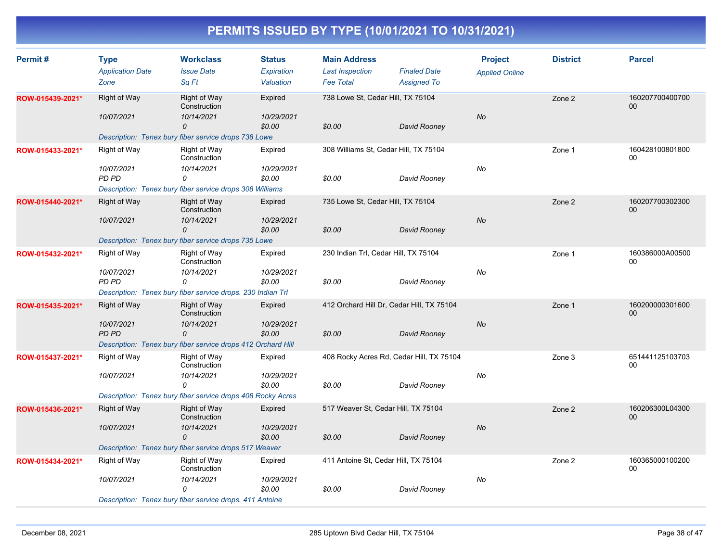| Permit#          | <b>Type</b><br><b>Application Date</b><br>Zone    | <b>Workclass</b><br><b>Issue Date</b><br>Sq Ft                                                                         | <b>Status</b><br>Expiration<br>Valuation | <b>Main Address</b><br><b>Last Inspection</b><br><b>Fee Total</b> | <b>Finaled Date</b><br><b>Assigned To</b> | <b>Project</b><br><b>Applied Online</b> | <b>District</b> | <b>Parcel</b>         |
|------------------|---------------------------------------------------|------------------------------------------------------------------------------------------------------------------------|------------------------------------------|-------------------------------------------------------------------|-------------------------------------------|-----------------------------------------|-----------------|-----------------------|
| ROW-015439-2021* | <b>Right of Way</b><br>10/07/2021                 | <b>Right of Way</b><br>Construction<br>10/14/2021<br>$\Omega$<br>Description: Tenex bury fiber service drops 738 Lowe  | Expired<br>10/29/2021<br>\$0.00          | 738 Lowe St, Cedar Hill, TX 75104<br>\$0.00                       | David Rooney                              | No                                      | Zone 2          | 160207700400700<br>00 |
| ROW-015433-2021* | Right of Way<br>10/07/2021<br><b>PD PD</b>        | <b>Right of Way</b><br>Construction<br>10/14/2021<br>0<br>Description: Tenex bury fiber service drops 308 Williams     | Expired<br>10/29/2021<br>\$0.00          | 308 Williams St, Cedar Hill, TX 75104<br>\$0.00                   | David Rooney                              | No                                      | Zone 1          | 160428100801800<br>00 |
| ROW-015440-2021* | Right of Way<br>10/07/2021                        | <b>Right of Way</b><br>Construction<br>10/14/2021<br>$\Omega$<br>Description: Tenex bury fiber service drops 735 Lowe  | Expired<br>10/29/2021<br>\$0.00          | 735 Lowe St, Cedar Hill, TX 75104<br>\$0.00                       | David Rooney                              | <b>No</b>                               | Zone 2          | 160207700302300<br>00 |
| ROW-015432-2021* | Right of Way<br>10/07/2021<br>PD PD               | Right of Way<br>Construction<br>10/14/2021<br>0<br>Description: Tenex bury fiber service drops. 230 Indian Trl         | Expired<br>10/29/2021<br>\$0.00          | 230 Indian Trl, Cedar Hill, TX 75104<br>\$0.00                    | David Rooney                              | No                                      | Zone 1          | 160386000A00500<br>00 |
| ROW-015435-2021* | <b>Right of Way</b><br>10/07/2021<br><b>PD PD</b> | <b>Right of Way</b><br>Construction<br>10/14/2021<br>0<br>Description: Tenex bury fiber service drops 412 Orchard Hill | Expired<br>10/29/2021<br>\$0.00          | 412 Orchard Hill Dr, Cedar Hill, TX 75104<br>\$0.00               | David Rooney                              | No                                      | Zone 1          | 160200000301600<br>00 |
| ROW-015437-2021* | Right of Way<br>10/07/2021                        | Right of Way<br>Construction<br>10/14/2021<br>$\Omega$<br>Description: Tenex bury fiber service drops 408 Rocky Acres  | Expired<br>10/29/2021<br>\$0.00          | 408 Rocky Acres Rd, Cedar Hill, TX 75104<br>\$0.00                | David Rooney                              | No                                      | Zone 3          | 651441125103703<br>00 |
| ROW-015436-2021* | <b>Right of Way</b><br>10/07/2021                 | <b>Right of Way</b><br>Construction<br>10/14/2021<br>0<br>Description: Tenex bury fiber service drops 517 Weaver       | Expired<br>10/29/2021<br>\$0.00          | 517 Weaver St, Cedar Hill, TX 75104<br>\$0.00                     | David Rooney                              | No                                      | Zone 2          | 160206300L04300<br>00 |
| ROW-015434-2021* | Right of Way<br>10/07/2021                        | Right of Way<br>Construction<br>10/14/2021<br>$\Omega$<br>Description: Tenex bury fiber service drops. 411 Antoine     | Expired<br>10/29/2021<br>\$0.00          | 411 Antoine St, Cedar Hill, TX 75104<br>\$0.00                    | David Rooney                              | No                                      | Zone 2          | 160365000100200<br>00 |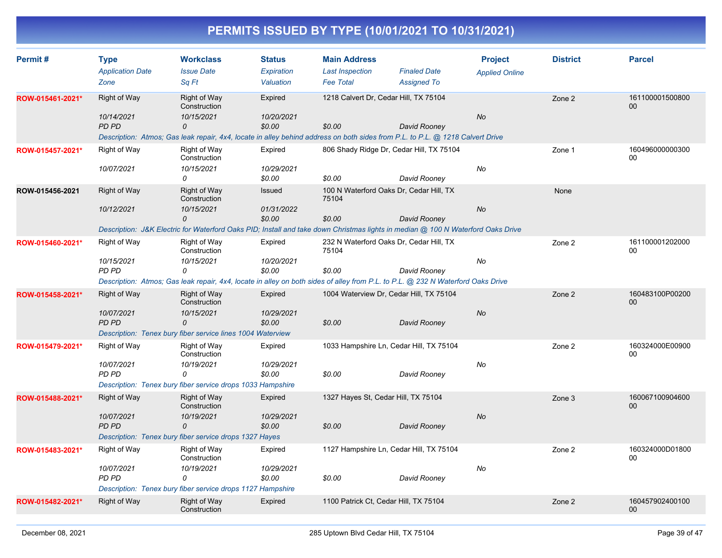| Permit#          | <b>Type</b><br><b>Application Date</b> | <b>Workclass</b><br><b>Issue Date</b>                      | <b>Status</b><br>Expiration | <b>Main Address</b><br><b>Last Inspection</b> | <b>Finaled Date</b>                                                                                                             | <b>Project</b>        | <b>District</b> | <b>Parcel</b>                     |
|------------------|----------------------------------------|------------------------------------------------------------|-----------------------------|-----------------------------------------------|---------------------------------------------------------------------------------------------------------------------------------|-----------------------|-----------------|-----------------------------------|
|                  | Zone                                   | Sq Ft                                                      | Valuation                   | <b>Fee Total</b>                              | <b>Assigned To</b>                                                                                                              | <b>Applied Online</b> |                 |                                   |
| ROW-015461-2021* | Right of Way                           | <b>Right of Way</b><br>Construction                        | Expired                     |                                               | 1218 Calvert Dr, Cedar Hill, TX 75104                                                                                           |                       | Zone 2          | 161100001500800<br>00             |
|                  | 10/14/2021<br><b>PD PD</b>             | 10/15/2021<br>$\Omega$                                     | 10/20/2021<br>\$0.00        | \$0.00                                        | David Rooney                                                                                                                    | <b>No</b>             |                 |                                   |
|                  |                                        |                                                            |                             |                                               | Description: Atmos; Gas leak repair, 4x4, locate in alley behind address on both sides from P.L. to P.L. @ 1218 Calvert Drive   |                       |                 |                                   |
| ROW-015457-2021* | <b>Right of Way</b>                    | Right of Way<br>Construction                               | Expired                     |                                               | 806 Shady Ridge Dr, Cedar Hill, TX 75104                                                                                        |                       | Zone 1          | 160496000000300<br>0 <sub>0</sub> |
|                  | 10/07/2021                             | 10/15/2021<br>$\Omega$                                     | 10/29/2021<br>\$0.00        | \$0.00                                        | David Rooney                                                                                                                    | No                    |                 |                                   |
| ROW-015456-2021  | <b>Right of Way</b>                    | <b>Right of Way</b><br>Construction                        | Issued                      | 75104                                         | 100 N Waterford Oaks Dr, Cedar Hill, TX                                                                                         |                       | None            |                                   |
|                  | 10/12/2021                             | 10/15/2021<br>$\mathcal{O}$                                | 01/31/2022<br>\$0.00        | \$0.00                                        | David Rooney                                                                                                                    | No                    |                 |                                   |
|                  |                                        |                                                            |                             |                                               | Description: J&K Electric for Waterford Oaks PID; Install and take down Christmas lights in median @ 100 N Waterford Oaks Drive |                       |                 |                                   |
| ROW-015460-2021* | Right of Way                           | <b>Right of Way</b><br>Construction                        | Expired                     | 75104                                         | 232 N Waterford Oaks Dr, Cedar Hill, TX                                                                                         |                       | Zone 2          | 161100001202000<br>00             |
|                  | 10/15/2021<br>PD PD                    | 10/15/2021<br>$\Omega$                                     | 10/20/2021<br>\$0.00        | \$0.00                                        | David Rooney                                                                                                                    | No                    |                 |                                   |
|                  |                                        |                                                            |                             |                                               | Description: Atmos; Gas leak repair, 4x4, locate in alley on both sides of alley from P.L. to P.L. @ 232 N Waterford Oaks Drive |                       |                 |                                   |
| ROW-015458-2021* | <b>Right of Way</b>                    | <b>Right of Way</b><br>Construction                        | Expired                     |                                               | 1004 Waterview Dr, Cedar Hill, TX 75104                                                                                         |                       | Zone 2          | 160483100P00200<br>00             |
|                  | 10/07/2021<br><b>PD PD</b>             | 10/15/2021<br>$\mathcal{O}$                                | 10/29/2021<br>\$0.00        | \$0.00                                        | David Rooney                                                                                                                    | No                    |                 |                                   |
|                  |                                        | Description: Tenex bury fiber service lines 1004 Waterview |                             |                                               |                                                                                                                                 |                       |                 |                                   |
| ROW-015479-2021* | Right of Way                           | <b>Right of Way</b><br>Construction                        | Expired                     |                                               | 1033 Hampshire Ln, Cedar Hill, TX 75104                                                                                         |                       | Zone 2          | 160324000E00900<br>00             |
|                  | 10/07/2021<br>PD PD                    | 10/19/2021<br>0                                            | 10/29/2021<br>\$0.00        | \$0.00                                        | David Rooney                                                                                                                    | No                    |                 |                                   |
|                  |                                        | Description: Tenex bury fiber service drops 1033 Hampshire |                             |                                               |                                                                                                                                 |                       |                 |                                   |
| ROW-015488-2021* | <b>Right of Way</b>                    | <b>Right of Way</b><br>Construction                        | Expired                     |                                               | 1327 Hayes St, Cedar Hill, TX 75104                                                                                             |                       | Zone 3          | 160067100904600<br>00             |
|                  | 10/07/2021<br><b>PD PD</b>             | 10/19/2021<br>0                                            | 10/29/2021<br>\$0.00        | \$0.00                                        | David Rooney                                                                                                                    | <b>No</b>             |                 |                                   |
|                  |                                        | Description: Tenex bury fiber service drops 1327 Hayes     |                             |                                               |                                                                                                                                 |                       |                 |                                   |
| ROW-015483-2021* | Right of Way                           | <b>Right of Way</b><br>Construction                        | Expired                     |                                               | 1127 Hampshire Ln, Cedar Hill, TX 75104                                                                                         |                       | Zone 2          | 160324000D01800<br>00             |
|                  | 10/07/2021<br><b>PD PD</b>             | 10/19/2021<br>0                                            | 10/29/2021<br>\$0.00        | \$0.00                                        | David Rooney                                                                                                                    | No                    |                 |                                   |
|                  |                                        | Description: Tenex bury fiber service drops 1127 Hampshire |                             |                                               |                                                                                                                                 |                       |                 |                                   |
| ROW-015482-2021* | <b>Right of Way</b>                    | <b>Right of Way</b><br>Construction                        | Expired                     |                                               | 1100 Patrick Ct, Cedar Hill, TX 75104                                                                                           |                       | Zone 2          | 160457902400100<br>00             |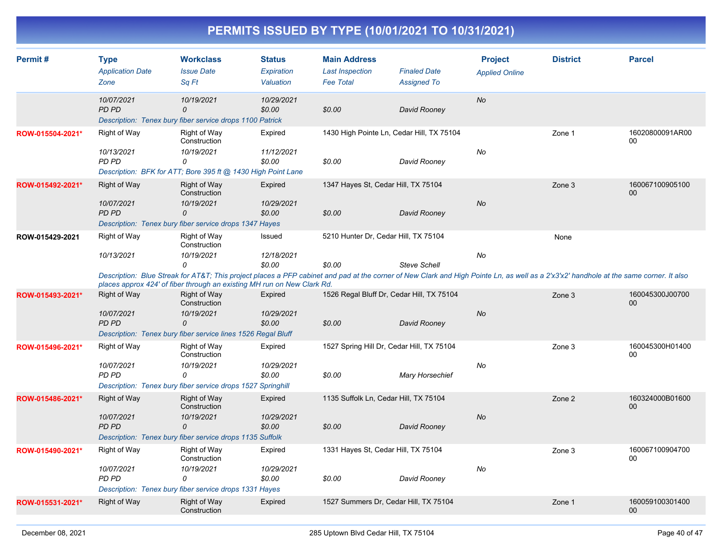| Permit#          | <b>Type</b><br><b>Application Date</b><br>Zone | <b>Workclass</b><br><b>Issue Date</b><br>Sq Ft                                                                                                                                                                                                                                                                             | <b>Status</b><br>Expiration<br>Valuation | <b>Main Address</b><br><b>Last Inspection</b><br><b>Fee Total</b> | <b>Finaled Date</b><br><b>Assigned To</b> | <b>Project</b><br><b>Applied Online</b> | <b>District</b> | <b>Parcel</b>             |
|------------------|------------------------------------------------|----------------------------------------------------------------------------------------------------------------------------------------------------------------------------------------------------------------------------------------------------------------------------------------------------------------------------|------------------------------------------|-------------------------------------------------------------------|-------------------------------------------|-----------------------------------------|-----------------|---------------------------|
|                  | 10/07/2021<br><b>PD PD</b>                     | 10/19/2021<br>$\Omega$<br>Description: Tenex bury fiber service drops 1100 Patrick                                                                                                                                                                                                                                         | 10/29/2021<br>\$0.00                     | \$0.00                                                            | David Rooney                              | No                                      |                 |                           |
| ROW-015504-2021* | Right of Way<br>10/13/2021<br>PD PD            | Right of Way<br>Construction<br>10/19/2021<br>0<br>Description: BFK for ATT; Bore 395 ft @ 1430 High Point Lane                                                                                                                                                                                                            | Expired<br>11/12/2021<br>\$0.00          | 1430 High Pointe Ln, Cedar Hill, TX 75104<br>\$0.00               | David Rooney                              | No                                      | Zone 1          | 16020800091AR00<br>00     |
| ROW-015492-2021* | Right of Way<br>10/07/2021<br><b>PD PD</b>     | <b>Right of Way</b><br>Construction<br>10/19/2021<br>0<br>Description: Tenex bury fiber service drops 1347 Hayes                                                                                                                                                                                                           | Expired<br>10/29/2021<br>\$0.00          | 1347 Hayes St, Cedar Hill, TX 75104<br>\$0.00                     | David Rooney                              | No                                      | Zone 3          | 160067100905100<br>$00\,$ |
| ROW-015429-2021  | Right of Way<br>10/13/2021                     | Right of Way<br>Construction<br>10/19/2021<br>$\Omega$<br>Description: Blue Streak for AT&T This project places a PFP cabinet and pad at the corner of New Clark and High Pointe Ln, as well as a 2'x3'x2' handhole at the same corner. It also<br>places approx 424' of fiber through an existing MH run on New Clark Rd. | Issued<br>12/18/2021<br>\$0.00           | 5210 Hunter Dr, Cedar Hill, TX 75104<br>\$0.00                    | <b>Steve Schell</b>                       | No                                      | None            |                           |
| ROW-015493-2021* | Right of Way<br>10/07/2021<br><b>PD PD</b>     | <b>Right of Way</b><br>Construction<br>10/19/2021<br>$\Omega$<br>Description: Tenex bury fiber service lines 1526 Regal Bluff                                                                                                                                                                                              | Expired<br>10/29/2021<br>\$0.00          | 1526 Regal Bluff Dr, Cedar Hill, TX 75104<br>\$0.00               | David Rooney                              | <b>No</b>                               | Zone 3          | 160045300J00700<br>$00\,$ |
| ROW-015496-2021* | Right of Way<br>10/07/2021<br>PD PD            | Right of Way<br>Construction<br>10/19/2021<br>0<br>Description: Tenex bury fiber service drops 1527 Springhill                                                                                                                                                                                                             | Expired<br>10/29/2021<br>\$0.00          | 1527 Spring Hill Dr, Cedar Hill, TX 75104<br>\$0.00               | <b>Mary Horsechief</b>                    | No                                      | Zone 3          | 160045300H01400<br>00     |
| ROW-015486-2021* | Right of Way<br>10/07/2021<br><b>PD PD</b>     | <b>Right of Way</b><br>Construction<br>10/19/2021<br>0<br>Description: Tenex bury fiber service drops 1135 Suffolk                                                                                                                                                                                                         | Expired<br>10/29/2021<br>\$0.00          | 1135 Suffolk Ln, Cedar Hill, TX 75104<br>\$0.00                   | David Rooney                              | <b>No</b>                               | Zone 2          | 160324000B01600<br>00     |
| ROW-015490-2021* | Right of Way<br>10/07/2021<br><b>PD PD</b>     | Right of Way<br>Construction<br>10/19/2021<br>$\Omega$<br>Description: Tenex bury fiber service drops 1331 Hayes                                                                                                                                                                                                           | Expired<br>10/29/2021<br>\$0.00          | 1331 Hayes St, Cedar Hill, TX 75104<br>\$0.00                     | David Rooney                              | No                                      | Zone 3          | 160067100904700<br>00     |
| ROW-015531-2021* | Right of Way                                   | <b>Right of Way</b><br>Construction                                                                                                                                                                                                                                                                                        | Expired                                  | 1527 Summers Dr. Cedar Hill, TX 75104                             |                                           |                                         | Zone 1          | 160059100301400<br>$00\,$ |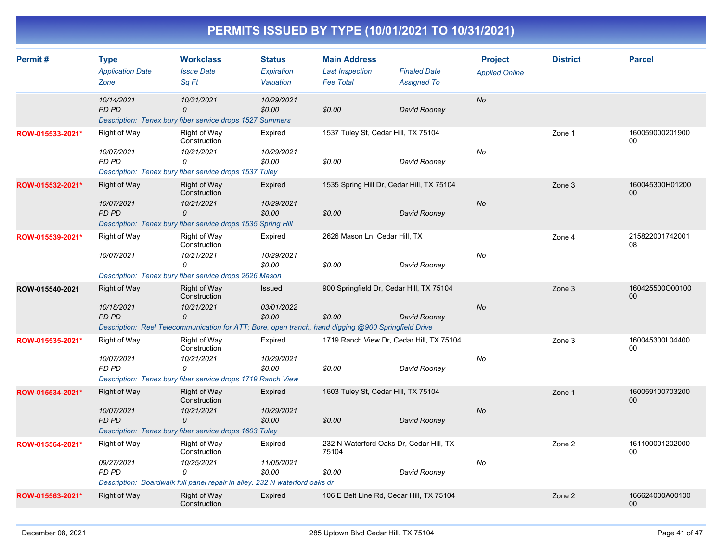| Permit#          | <b>Type</b><br><b>Application Date</b><br>Zone    | <b>Workclass</b><br><b>Issue Date</b><br>Sa Ft                                                                                                                | <b>Status</b><br>Expiration<br>Valuation | <b>Main Address</b><br><b>Last Inspection</b><br><b>Fee Total</b> | <b>Finaled Date</b><br><b>Assigned To</b> | <b>Project</b><br><b>Applied Online</b> | <b>District</b> | <b>Parcel</b>         |
|------------------|---------------------------------------------------|---------------------------------------------------------------------------------------------------------------------------------------------------------------|------------------------------------------|-------------------------------------------------------------------|-------------------------------------------|-----------------------------------------|-----------------|-----------------------|
|                  | 10/14/2021<br><b>PD PD</b>                        | 10/21/2021<br>$\mathcal{O}$<br>Description: Tenex bury fiber service drops 1527 Summers                                                                       | 10/29/2021<br>\$0.00                     | \$0.00                                                            | David Rooney                              | <b>No</b>                               |                 |                       |
| ROW-015533-2021* | Right of Way<br>10/07/2021<br>PD PD               | Right of Way<br>Construction<br>10/21/2021<br>0<br>Description: Tenex bury fiber service drops 1537 Tuley                                                     | Expired<br>10/29/2021<br>\$0.00          | 1537 Tuley St, Cedar Hill, TX 75104<br>\$0.00                     | David Rooney                              | No                                      | Zone 1          | 160059000201900<br>00 |
| ROW-015532-2021* | <b>Right of Way</b><br>10/07/2021<br><b>PD PD</b> | Right of Way<br>Construction<br>10/21/2021<br>$\mathcal{O}$<br>Description: Tenex bury fiber service drops 1535 Spring Hill                                   | Expired<br>10/29/2021<br>\$0.00          | 1535 Spring Hill Dr, Cedar Hill, TX 75104<br>\$0.00               | David Rooney                              | <b>No</b>                               | Zone 3          | 160045300H01200<br>00 |
| ROW-015539-2021* | Right of Way<br>10/07/2021                        | Right of Way<br>Construction<br>10/21/2021<br>$\Omega$<br>Description: Tenex bury fiber service drops 2626 Mason                                              | Expired<br>10/29/2021<br>\$0.00          | 2626 Mason Ln, Cedar Hill, TX<br>\$0.00                           | David Rooney                              | No                                      | Zone 4          | 215822001742001<br>08 |
| ROW-015540-2021  | Right of Way<br>10/18/2021<br><b>PD PD</b>        | <b>Right of Way</b><br>Construction<br>10/21/2021<br>0<br>Description: Reel Telecommunication for ATT; Bore, open tranch, hand digging @900 Springfield Drive | Issued<br>03/01/2022<br>\$0.00           | 900 Springfield Dr, Cedar Hill, TX 75104<br>\$0.00                | David Rooney                              | <b>No</b>                               | Zone 3          | 160425500O00100<br>00 |
| ROW-015535-2021* | Right of Way<br>10/07/2021<br>PD PD               | Right of Way<br>Construction<br>10/21/2021<br>$\Omega$<br>Description: Tenex bury fiber service drops 1719 Ranch View                                         | Expired<br>10/29/2021<br>\$0.00          | 1719 Ranch View Dr, Cedar Hill, TX 75104<br>\$0.00                | David Rooney                              | No                                      | Zone 3          | 160045300L04400<br>00 |
| ROW-015534-2021* | <b>Right of Way</b><br>10/07/2021<br>PD PD        | Right of Way<br>Construction<br>10/21/2021<br>$\mathcal{O}$<br>Description: Tenex bury fiber service drops 1603 Tuley                                         | Expired<br>10/29/2021<br>\$0.00          | 1603 Tuley St, Cedar Hill, TX 75104<br>\$0.00                     | David Rooney                              | <b>No</b>                               | Zone 1          | 160059100703200<br>00 |
| ROW-015564-2021* | Right of Way<br>09/27/2021<br><b>PD PD</b>        | Right of Way<br>Construction<br>10/25/2021<br>0<br>Description: Boardwalk full panel repair in alley. 232 N waterford oaks dr                                 | Expired<br>11/05/2021<br>\$0.00          | 232 N Waterford Oaks Dr, Cedar Hill, TX<br>75104<br>\$0.00        | David Rooney                              | No                                      | Zone 2          | 161100001202000<br>00 |
| ROW-015563-2021* | Right of Way                                      | Right of Way<br>Construction                                                                                                                                  | Expired                                  | 106 E Belt Line Rd, Cedar Hill, TX 75104                          |                                           |                                         | Zone 2          | 166624000A00100<br>00 |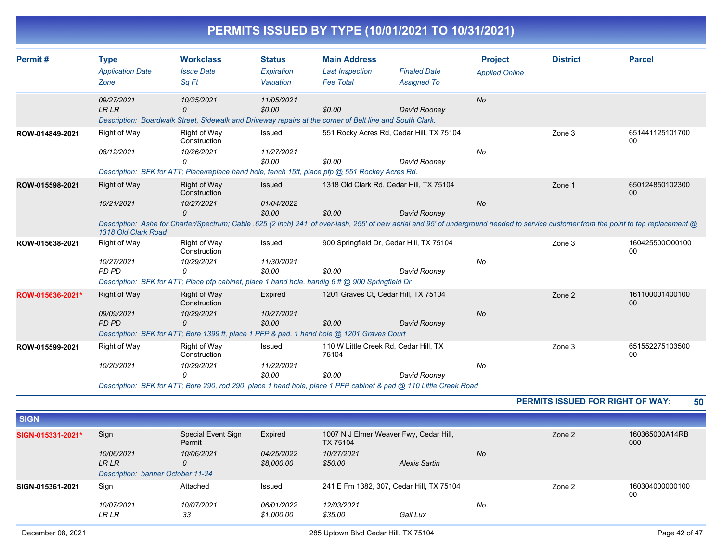|                  |                                              |                                                                                                          |                      |                        | <b>FERIVILLS ISSUED BT TIFE (TU/UT/ZUZT TUTIO/ST/ZUZT)</b> |                       |                 |                                                                                                                                                                                         |
|------------------|----------------------------------------------|----------------------------------------------------------------------------------------------------------|----------------------|------------------------|------------------------------------------------------------|-----------------------|-----------------|-----------------------------------------------------------------------------------------------------------------------------------------------------------------------------------------|
| Permit#          | <b>Type</b>                                  | <b>Workclass</b>                                                                                         | <b>Status</b>        | <b>Main Address</b>    |                                                            | <b>Project</b>        | <b>District</b> | <b>Parcel</b>                                                                                                                                                                           |
|                  | <b>Application Date</b>                      | <b>Issue Date</b>                                                                                        | Expiration           | <b>Last Inspection</b> | <b>Finaled Date</b>                                        | <b>Applied Online</b> |                 |                                                                                                                                                                                         |
|                  | Zone                                         | Sq Ft                                                                                                    | Valuation            | <b>Fee Total</b>       | <b>Assigned To</b>                                         |                       |                 |                                                                                                                                                                                         |
|                  | 09/27/2021                                   | 10/25/2021                                                                                               | 11/05/2021           |                        |                                                            | <b>No</b>             |                 |                                                                                                                                                                                         |
|                  | <b>LRLR</b>                                  | 0                                                                                                        | \$0.00               | \$0.00                 | David Rooney                                               |                       |                 |                                                                                                                                                                                         |
|                  |                                              | Description: Boardwalk Street, Sidewalk and Driveway repairs at the corner of Belt line and South Clark. |                      |                        |                                                            |                       |                 |                                                                                                                                                                                         |
| ROW-014849-2021  | Right of Way                                 | Right of Way<br>Construction                                                                             | Issued               |                        | 551 Rocky Acres Rd, Cedar Hill, TX 75104                   |                       | Zone 3          | 651441125101700<br>00                                                                                                                                                                   |
|                  | 08/12/2021                                   | 10/26/2021                                                                                               | 11/27/2021<br>\$0.00 | \$0.00                 | David Rooney                                               | No                    |                 |                                                                                                                                                                                         |
|                  |                                              | Description: BFK for ATT; Place/replace hand hole, tench 15ft, place pfp @ 551 Rockey Acres Rd.          |                      |                        |                                                            |                       |                 |                                                                                                                                                                                         |
| ROW-015598-2021  | Right of Way                                 | Right of Way<br>Construction                                                                             | <b>Issued</b>        |                        | 1318 Old Clark Rd, Cedar Hill, TX 75104                    |                       | Zone 1          | 650124850102300<br>00                                                                                                                                                                   |
|                  | 10/21/2021                                   | 10/27/2021                                                                                               | 01/04/2022           |                        |                                                            | No                    |                 |                                                                                                                                                                                         |
|                  |                                              | $\Omega$                                                                                                 | \$0.00               | \$0.00                 | David Rooney                                               |                       |                 |                                                                                                                                                                                         |
|                  | 1318 Old Clark Road                          |                                                                                                          |                      |                        |                                                            |                       |                 | Description: Ashe for Charter/Spectrum; Cable .625 (2 inch) 241' of over-lash, 255' of new aerial and 95' of underground needed to service customer from the point to tap replacement @ |
| ROW-015638-2021  | Right of Way                                 | Right of Way<br>Construction                                                                             | Issued               |                        | 900 Springfield Dr, Cedar Hill, TX 75104                   |                       | Zone 3          | 160425500O00100<br>00                                                                                                                                                                   |
|                  | 10/27/2021                                   | 10/29/2021                                                                                               | 11/30/2021           |                        |                                                            | No                    |                 |                                                                                                                                                                                         |
|                  | PD PD                                        | $\Omega$                                                                                                 | \$0.00               | \$0.00                 | David Rooney                                               |                       |                 |                                                                                                                                                                                         |
|                  |                                              | Description: BFK for ATT; Place pfp cabinet, place 1 hand hole, handig 6 ft @ 900 Springfield Dr         |                      |                        |                                                            |                       |                 |                                                                                                                                                                                         |
| ROW-015636-2021* | Right of Way                                 | Right of Way<br>Construction                                                                             | Expired              |                        | 1201 Graves Ct, Cedar Hill, TX 75104                       |                       | Zone 2          | 161100001400100<br>00                                                                                                                                                                   |
|                  | 09/09/2021                                   | 10/29/2021                                                                                               | 10/27/2021           |                        |                                                            | <b>No</b>             |                 |                                                                                                                                                                                         |
|                  | PD PD                                        | 0                                                                                                        | \$0.00               | \$0.00                 | David Rooney                                               |                       |                 |                                                                                                                                                                                         |
|                  |                                              | Description: BFK for ATT; Bore 1399 ft, place 1 PFP & pad, 1 hand hole @ 1201 Graves Court               |                      |                        |                                                            |                       |                 |                                                                                                                                                                                         |
| ROW-015599-2021  | Right of Way                                 | Right of Way<br>Construction                                                                             | Issued               | 75104                  | 110 W Little Creek Rd, Cedar Hill, TX                      |                       | Zone 3          | 651552275103500<br>00                                                                                                                                                                   |
|                  | 10/20/2021                                   | 10/29/2021<br>0                                                                                          | 11/22/2021<br>\$0.00 | \$0.00                 | David Rooney                                               | No                    |                 |                                                                                                                                                                                         |
|                  | $D = -x^2 + 4x + 6$ $D = 1$ $L = -4$ $T = 0$ | 000                                                                                                      |                      |                        | DED sakingt Bused @ 440 Little Open L Dead                 |                       |                 |                                                                                                                                                                                         |

#### *Description: BFK for ATT; Bore 290, rod 290, place 1 hand hole, place 1 PFP cabinet & pad @ 110 Little Creek Road*

#### **PERMITS ISSUED FOR RIGHT OF WAY: 50**

| <b>SIGN</b>       |                                   |                              |            |                                                    |                      |           |        |                       |
|-------------------|-----------------------------------|------------------------------|------------|----------------------------------------------------|----------------------|-----------|--------|-----------------------|
| SIGN-015331-2021* | Sign                              | Special Event Sign<br>Permit | Expired    | 1007 N J Elmer Weaver Fwy, Cedar Hill,<br>TX 75104 |                      |           | Zone 2 | 160365000A14RB<br>000 |
|                   | 10/06/2021                        | 10/06/2021                   | 04/25/2022 | 10/27/2021                                         |                      | <b>No</b> |        |                       |
|                   | <b>LRLR</b>                       | 0                            | \$8,000.00 | \$50.00                                            | <b>Alexis Sartin</b> |           |        |                       |
|                   | Description: banner October 11-24 |                              |            |                                                    |                      |           |        |                       |
| SIGN-015361-2021  | Sign                              | Attached                     | Issued     | 241 E Fm 1382, 307, Cedar Hill, TX 75104           |                      |           | Zone 2 | 160304000000100<br>00 |
|                   | 10/07/2021                        | 10/07/2021                   | 06/01/2022 | 12/03/2021                                         |                      | No        |        |                       |
|                   | LR LR                             | 33                           | \$1.000.00 | \$35.00                                            | Gail Lux             |           |        |                       |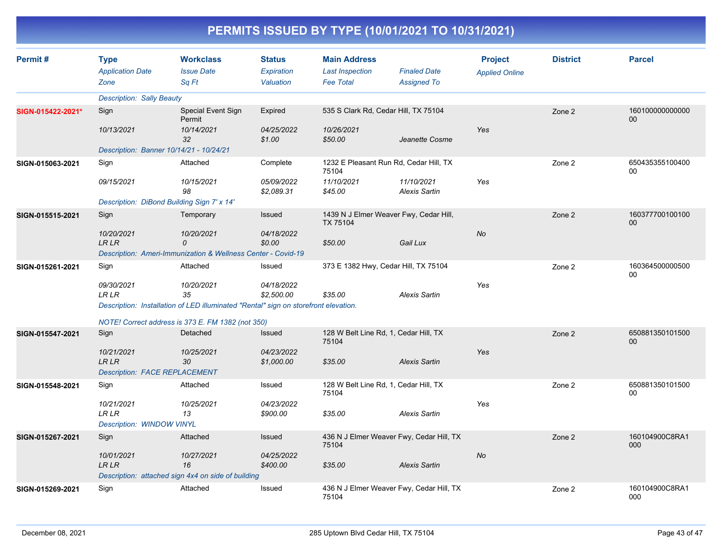| Permit#           | <b>Type</b><br><b>Application Date</b><br>Zone   | <b>Workclass</b><br><b>Issue Date</b><br>Sq Ft                                      | <b>Status</b><br>Expiration<br>Valuation | <b>Main Address</b><br><b>Last Inspection</b><br><b>Fee Total</b> | <b>Finaled Date</b><br><b>Assigned To</b> | <b>Project</b><br><b>Applied Online</b> | <b>District</b> | <b>Parcel</b>             |
|-------------------|--------------------------------------------------|-------------------------------------------------------------------------------------|------------------------------------------|-------------------------------------------------------------------|-------------------------------------------|-----------------------------------------|-----------------|---------------------------|
|                   | <b>Description: Sally Beauty</b>                 |                                                                                     |                                          |                                                                   |                                           |                                         |                 |                           |
| SIGN-015422-2021* | Sign                                             | Special Event Sign<br>Permit                                                        | Expired                                  | 535 S Clark Rd, Cedar Hill, TX 75104                              |                                           |                                         | Zone 2          | 160100000000000<br>$00\,$ |
|                   | 10/13/2021                                       | 10/14/2021<br>32                                                                    | 04/25/2022<br>\$1.00                     | 10/26/2021<br>\$50.00                                             | Jeanette Cosme                            | Yes                                     |                 |                           |
|                   | Description: Banner 10/14/21 - 10/24/21          |                                                                                     |                                          |                                                                   |                                           |                                         |                 |                           |
| SIGN-015063-2021  | Sign                                             | Attached                                                                            | Complete                                 | 1232 E Pleasant Run Rd, Cedar Hill, TX<br>75104                   |                                           |                                         | Zone 2          | 650435355100400<br>$00\,$ |
|                   | 09/15/2021                                       | 10/15/2021<br>98                                                                    | 05/09/2022<br>\$2,089.31                 | 11/10/2021<br>\$45.00                                             | 11/10/2021<br><b>Alexis Sartin</b>        | Yes                                     |                 |                           |
|                   | Description: DiBond Building Sign 7' x 14'       |                                                                                     |                                          |                                                                   |                                           |                                         |                 |                           |
| SIGN-015515-2021  | Sign                                             | Temporary                                                                           | Issued                                   | 1439 N J Elmer Weaver Fwy, Cedar Hill,<br>TX 75104                |                                           |                                         | Zone 2          | 160377700100100<br>$00\,$ |
|                   | 10/20/2021<br><b>LRLR</b>                        | 10/20/2021<br>0                                                                     | 04/18/2022<br>\$0.00                     | \$50.00                                                           | Gail Lux                                  | <b>No</b>                               |                 |                           |
|                   |                                                  | Description: Ameri-Immunization & Wellness Center - Covid-19                        |                                          |                                                                   |                                           |                                         |                 |                           |
| SIGN-015261-2021  | Sign                                             | Attached                                                                            | Issued                                   | 373 E 1382 Hwy, Cedar Hill, TX 75104                              |                                           |                                         | Zone 2          | 160364500000500<br>$00\,$ |
|                   | 09/30/2021<br><b>LR LR</b>                       | 10/20/2021<br>35                                                                    | 04/18/2022<br>\$2,500.00                 | \$35.00                                                           | <b>Alexis Sartin</b>                      | Yes                                     |                 |                           |
|                   |                                                  | Description: Installation of LED illuminated "Rental" sign on storefront elevation. |                                          |                                                                   |                                           |                                         |                 |                           |
|                   |                                                  | NOTE! Correct address is 373 E. FM 1382 (not 350)                                   |                                          |                                                                   |                                           |                                         |                 |                           |
| SIGN-015547-2021  | Sign                                             | Detached                                                                            | <b>Issued</b>                            | 128 W Belt Line Rd, 1, Cedar Hill, TX                             |                                           |                                         | Zone 2          | 650881350101500           |
|                   |                                                  |                                                                                     |                                          | 75104                                                             |                                           |                                         |                 | 00                        |
|                   | 10/21/2021<br><b>LRLR</b>                        | 10/25/2021<br>30                                                                    | 04/23/2022<br>\$1,000.00                 | \$35.00                                                           | <b>Alexis Sartin</b>                      | Yes                                     |                 |                           |
|                   | <b>Description: FACE REPLACEMENT</b>             |                                                                                     |                                          |                                                                   |                                           |                                         |                 |                           |
| SIGN-015548-2021  | Sign                                             | Attached                                                                            | Issued                                   | 128 W Belt Line Rd, 1, Cedar Hill, TX<br>75104                    |                                           |                                         | Zone 2          | 650881350101500<br>00     |
|                   | 10/21/2021                                       | 10/25/2021                                                                          | 04/23/2022                               |                                                                   |                                           | Yes                                     |                 |                           |
|                   | <b>LR LR</b><br><b>Description: WINDOW VINYL</b> | 13                                                                                  | \$900.00                                 | \$35.00                                                           | <b>Alexis Sartin</b>                      |                                         |                 |                           |
| SIGN-015267-2021  | Sign                                             | Attached                                                                            | <b>Issued</b>                            | 75104                                                             | 436 N J Elmer Weaver Fwy, Cedar Hill, TX  |                                         | Zone 2          | 160104900C8RA1<br>000     |
|                   | 10/01/2021                                       | 10/27/2021                                                                          | 04/25/2022                               |                                                                   |                                           | No                                      |                 |                           |
|                   | <b>LRLR</b>                                      | 16<br>Description: attached sign 4x4 on side of building                            | \$400.00                                 | \$35.00                                                           | <b>Alexis Sartin</b>                      |                                         |                 |                           |
| SIGN-015269-2021  | Sign                                             | Attached                                                                            | Issued                                   |                                                                   | 436 N J Elmer Weaver Fwy, Cedar Hill, TX  |                                         | Zone 2          | 160104900C8RA1            |
|                   |                                                  |                                                                                     |                                          | 75104                                                             |                                           |                                         |                 | 000                       |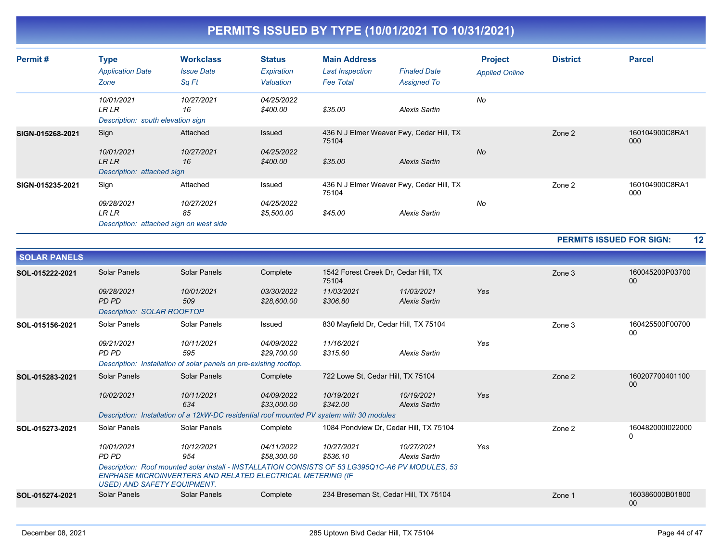| Permit#          | Type<br><b>Application Date</b><br>Zone                                       | <b>Workclass</b><br><b>Issue Date</b><br>Sq Ft | <b>Status</b><br>Expiration<br>Valuation | <b>Main Address</b><br><b>Last Inspection</b><br><b>Fee Total</b> | <b>Finaled Date</b><br><b>Assigned To</b>                        | <b>Project</b><br><b>Applied Online</b> | <b>District</b> | <b>Parcel</b>         |
|------------------|-------------------------------------------------------------------------------|------------------------------------------------|------------------------------------------|-------------------------------------------------------------------|------------------------------------------------------------------|-----------------------------------------|-----------------|-----------------------|
|                  | 10/01/2021<br><b>LR LR</b><br>Description: south elevation sign               | 10/27/2021<br>16                               | <i>04/25/2022</i><br>\$400.00            | \$35.00                                                           | Alexis Sartin                                                    | No                                      |                 |                       |
| SIGN-015268-2021 | Sign<br>10/01/2021<br><b>LR LR</b><br>Description: attached sign              | Attached<br>10/27/2021<br>16                   | Issued<br>04/25/2022<br>\$400.00         | 75104<br>\$35.00                                                  | 436 N J Elmer Weaver Fwy, Cedar Hill, TX<br>Alexis Sartin        | No                                      | Zone 2          | 160104900C8RA1<br>000 |
| SIGN-015235-2021 | Sign<br>09/28/2021<br><b>LR LR</b><br>Description: attached sign on west side | Attached<br>10/27/2021<br>85                   | Issued<br>04/25/2022<br>\$5,500.00       | 75104<br>\$45.00                                                  | 436 N J Elmer Weaver Fwy, Cedar Hill, TX<br><b>Alexis Sartin</b> | No                                      | Zone 2          | 160104900C8RA1<br>000 |

**PERMITS ISSUED FOR SIGN: 12**

| <b>SOLAR PANELS</b> |                                                          |                                                                                                                                                                       |                           |                                               |                                    |            |        |                       |
|---------------------|----------------------------------------------------------|-----------------------------------------------------------------------------------------------------------------------------------------------------------------------|---------------------------|-----------------------------------------------|------------------------------------|------------|--------|-----------------------|
| SOL-015222-2021     | Solar Panels                                             | <b>Solar Panels</b>                                                                                                                                                   | Complete                  | 1542 Forest Creek Dr, Cedar Hill, TX<br>75104 |                                    |            | Zone 3 | 160045200P03700<br>00 |
|                     | 09/28/2021<br>PD PD<br><b>Description: SOLAR ROOFTOP</b> | 10/01/2021<br>509                                                                                                                                                     | 03/30/2022<br>\$28,600.00 | 11/03/2021<br>\$306.80                        | 11/03/2021<br><b>Alexis Sartin</b> | <b>Yes</b> |        |                       |
| SOL-015156-2021     | Solar Panels                                             | Solar Panels                                                                                                                                                          | Issued                    | 830 Mayfield Dr, Cedar Hill, TX 75104         |                                    |            | Zone 3 | 160425500F00700<br>00 |
|                     | 09/21/2021<br>PD PD                                      | 10/11/2021<br>595<br>Description: Installation of solar panels on pre-existing rooftop.                                                                               | 04/09/2022<br>\$29,700.00 | 11/16/2021<br>\$315.60                        | <b>Alexis Sartin</b>               | Yes        |        |                       |
| SOL-015283-2021     | Solar Panels                                             | <b>Solar Panels</b>                                                                                                                                                   | Complete                  | 722 Lowe St, Cedar Hill, TX 75104             |                                    |            | Zone 2 | 160207700401100<br>00 |
|                     | 10/02/2021                                               | 10/11/2021<br>634                                                                                                                                                     | 04/09/2022<br>\$33,000.00 | 10/19/2021<br>\$342.00                        | 10/19/2021<br>Alexis Sartin        | Yes        |        |                       |
|                     |                                                          | Description: Installation of a 12kW-DC residential roof mounted PV system with 30 modules                                                                             |                           |                                               |                                    |            |        |                       |
| SOL-015273-2021     | Solar Panels                                             | Solar Panels                                                                                                                                                          | Complete                  | 1084 Pondview Dr, Cedar Hill, TX 75104        |                                    |            | Zone 2 | 1604820001022000      |
|                     | 10/01/2021<br>PD PD                                      | 10/12/2021<br>954                                                                                                                                                     | 04/11/2022<br>\$58,300.00 | 10/27/2021<br>\$536.10                        | 10/27/2021<br>Alexis Sartin        | Yes        |        |                       |
|                     | <b>USED) AND SAFETY EQUIPMENT.</b>                       | Description: Roof mounted solar install - INSTALLATION CONSISTS OF 53 LG395Q1C-A6 PV MODULES, 53<br><b>ENPHASE MICROINVERTERS AND RELATED ELECTRICAL METERING (IF</b> |                           |                                               |                                    |            |        |                       |
| SOL-015274-2021     | Solar Panels                                             | <b>Solar Panels</b>                                                                                                                                                   | Complete                  | 234 Breseman St, Cedar Hill, TX 75104         |                                    |            | Zone 1 | 160386000B01800<br>00 |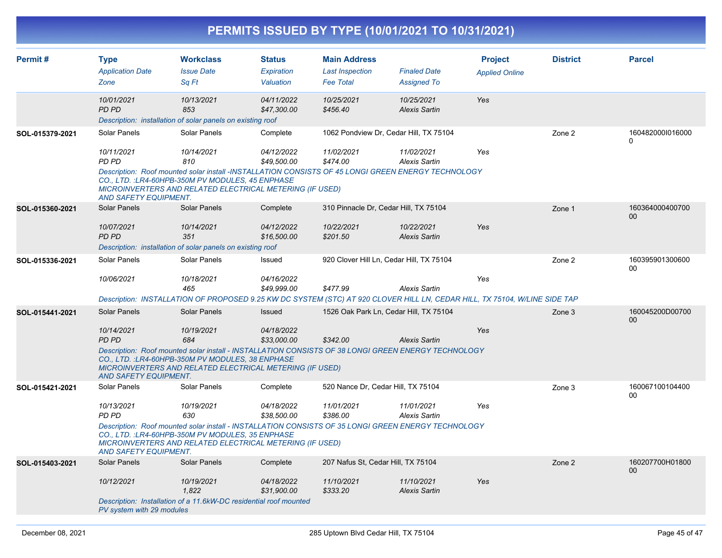|                 |                                                                            |                                                                                                                                                                    |                                            |                                                                   | PERMITS ISSUED BY TYPE (10/01/2021 TO 10/31/2021)                                                                                                                                              |                                         |                 |                                  |
|-----------------|----------------------------------------------------------------------------|--------------------------------------------------------------------------------------------------------------------------------------------------------------------|--------------------------------------------|-------------------------------------------------------------------|------------------------------------------------------------------------------------------------------------------------------------------------------------------------------------------------|-----------------------------------------|-----------------|----------------------------------|
| Permit#         | <b>Type</b><br><b>Application Date</b><br>Zone                             | <b>Workclass</b><br><b>Issue Date</b><br>Sq Ft                                                                                                                     | <b>Status</b><br>Expiration<br>Valuation   | <b>Main Address</b><br><b>Last Inspection</b><br><b>Fee Total</b> | <b>Finaled Date</b><br><b>Assigned To</b>                                                                                                                                                      | <b>Project</b><br><b>Applied Online</b> | <b>District</b> | <b>Parcel</b>                    |
|                 | 10/01/2021<br>PD PD                                                        | 10/13/2021<br>853<br>Description: installation of solar panels on existing roof                                                                                    | 04/11/2022<br>\$47,300.00                  | 10/25/2021<br>\$456.40                                            | 10/25/2021<br><b>Alexis Sartin</b>                                                                                                                                                             | Yes                                     |                 |                                  |
| SOL-015379-2021 | Solar Panels<br>10/11/2021<br>PD PD                                        | Solar Panels<br>10/14/2021<br>810<br>CO., LTD.: LR4-60HPB-350M PV MODULES, 45 ENPHASE                                                                              | Complete<br>04/12/2022<br>\$49,500.00      | 11/02/2021<br>\$474.00                                            | 1062 Pondview Dr, Cedar Hill, TX 75104<br>11/02/2021<br><b>Alexis Sartin</b><br>Description: Roof mounted solar install -INSTALLATION CONSISTS OF 45 LONGI GREEN ENERGY TECHNOLOGY             | Yes                                     | Zone 2          | 1604820001016000<br><sup>0</sup> |
| SOL-015360-2021 | <b>AND SAFETY EQUIPMENT.</b><br>Solar Panels<br>10/07/2021<br><b>PD PD</b> | MICROINVERTERS AND RELATED ELECTRICAL METERING (IF USED)<br><b>Solar Panels</b><br>10/14/2021<br>351<br>Description: installation of solar panels on existing roof | Complete<br>04/12/2022<br>\$16,500.00      | 10/22/2021<br>\$201.50                                            | 310 Pinnacle Dr, Cedar Hill, TX 75104<br>10/22/2021<br><b>Alexis Sartin</b>                                                                                                                    | Yes                                     | Zone 1          | 160364000400700<br>00            |
| SOL-015336-2021 | Solar Panels<br>10/06/2021                                                 | Solar Panels<br>10/18/2021<br>465                                                                                                                                  | Issued<br>04/16/2022<br>\$49,999.00        | \$477.99                                                          | 920 Clover Hill Ln, Cedar Hill, TX 75104<br><b>Alexis Sartin</b><br>Description: INSTALLATION OF PROPOSED 9.25 KW DC SYSTEM (STC) AT 920 CLOVER HILL LN, CEDAR HILL, TX 75104, W/LINE SIDE TAP | Yes                                     | Zone 2          | 160395901300600<br>00            |
| SOL-015441-2021 | <b>Solar Panels</b><br>10/14/2021<br>PD PD<br>AND SAFETY EQUIPMENT.        | <b>Solar Panels</b><br>10/19/2021<br>684<br>CO., LTD.: LR4-60HPB-350M PV MODULES, 38 ENPHASE<br>MICROINVERTERS AND RELATED ELECTRICAL METERING (IF USED)           | <b>Issued</b><br>04/18/2022<br>\$33,000.00 | \$342.00                                                          | 1526 Oak Park Ln, Cedar Hill, TX 75104<br><b>Alexis Sartin</b><br>Description: Roof mounted solar install - INSTALLATION CONSISTS OF 38 LONGI GREEN ENERGY TECHNOLOGY                          | Yes                                     | Zone 3          | 160045200D00700<br>00            |
| SOL-015421-2021 | <b>Solar Panels</b><br>10/13/2021<br>PD PD<br><b>AND SAFETY EQUIPMENT.</b> | Solar Panels<br>10/19/2021<br>630<br>CO., LTD. :LR4-60HPB-350M PV MODULES, 35 ENPHASE<br>MICROINVERTERS AND RELATED ELECTRICAL METERING (IF USED)                  | Complete<br>04/18/2022<br>\$38,500.00      | 11/01/2021<br>\$386.00                                            | 520 Nance Dr, Cedar Hill, TX 75104<br>11/01/2021<br><b>Alexis Sartin</b><br>Description: Roof mounted solar install - INSTALLATION CONSISTS OF 35 LONGI GREEN ENERGY TECHNOLOGY                | Yes                                     | Zone 3          | 160067100104400<br>00            |
| SOL-015403-2021 | Solar Panels<br>10/12/2021<br>PV system with 29 modules                    | Solar Panels<br>10/19/2021<br>1,822<br>Description: Installation of a 11.6kW-DC residential roof mounted                                                           | Complete<br>04/18/2022<br>\$31,900.00      | 207 Nafus St, Cedar Hill, TX 75104<br>11/10/2021<br>\$333.20      | 11/10/2021<br><b>Alexis Sartin</b>                                                                                                                                                             | Yes                                     | Zone 2          | 160207700H01800<br>00            |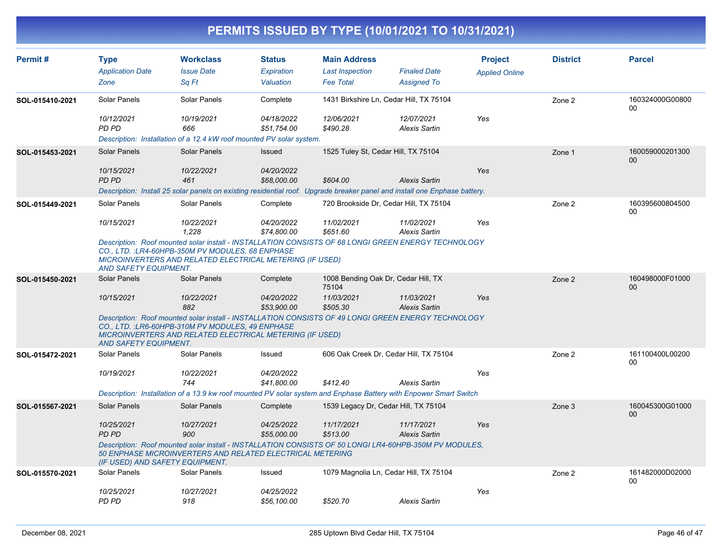| Permit#         | <b>Type</b><br><b>Application Date</b><br>Zone  | <b>Workclass</b><br><b>Issue Date</b><br>Sq Ft                                                                                                                                                                              | <b>Status</b><br>Expiration<br>Valuation | <b>Main Address</b><br><b>Last Inspection</b><br><b>Fee Total</b> | <b>Finaled Date</b><br><b>Assigned To</b> | <b>Project</b><br><b>Applied Online</b> | <b>District</b> | <b>Parcel</b>         |
|-----------------|-------------------------------------------------|-----------------------------------------------------------------------------------------------------------------------------------------------------------------------------------------------------------------------------|------------------------------------------|-------------------------------------------------------------------|-------------------------------------------|-----------------------------------------|-----------------|-----------------------|
| SOL-015410-2021 | <b>Solar Panels</b>                             | Solar Panels                                                                                                                                                                                                                | Complete                                 | 1431 Birkshire Ln, Cedar Hill, TX 75104                           |                                           |                                         | Zone 2          | 160324000G00800<br>00 |
|                 | 10/12/2021<br><b>PD PD</b>                      | 10/19/2021<br>666<br>Description: Installation of a 12.4 kW roof mounted PV solar system.                                                                                                                                   | 04/18/2022<br>\$51,754.00                | 12/06/2021<br>\$490.28                                            | 12/07/2021<br><b>Alexis Sartin</b>        | Yes                                     |                 |                       |
| SOL-015453-2021 | Solar Panels                                    | <b>Solar Panels</b>                                                                                                                                                                                                         | Issued                                   | 1525 Tuley St, Cedar Hill, TX 75104                               |                                           |                                         | Zone 1          | 160059000201300       |
|                 | 10/15/2021<br><b>PD PD</b>                      | 10/22/2021<br>461<br>Description: Install 25 solar panels on existing residential roof. Upgrade breaker panel and install one Enphase battery.                                                                              | 04/20/2022<br>\$68,000.00                | \$604.00                                                          | <b>Alexis Sartin</b>                      | Yes                                     |                 | 00                    |
| SOL-015449-2021 | Solar Panels                                    | Solar Panels                                                                                                                                                                                                                | Complete                                 | 720 Brookside Dr, Cedar Hill, TX 75104                            |                                           |                                         | Zone 2          | 160395600804500       |
|                 | 10/15/2021                                      | 10/22/2021<br>1,228                                                                                                                                                                                                         | 04/20/2022<br>\$74,800.00                | 11/02/2021<br>\$651.60                                            | 11/02/2021<br><b>Alexis Sartin</b>        | Yes                                     |                 | 00                    |
|                 | <b>AND SAFETY EQUIPMENT.</b>                    | Description: Roof mounted solar install - INSTALLATION CONSISTS OF 68 LONGI GREEN ENERGY TECHNOLOGY<br>CO., LTD. : LR4-60HPB-350M PV MODULES, 68 ENPHASE<br>MICROINVERTERS AND RELATED ELECTRICAL METERING (IF USED)        |                                          |                                                                   |                                           |                                         |                 |                       |
| SOL-015450-2021 | Solar Panels                                    | Solar Panels                                                                                                                                                                                                                | Complete                                 | 1008 Bending Oak Dr, Cedar Hill, TX<br>75104                      |                                           |                                         | Zone 2          | 160498000F01000<br>00 |
|                 | 10/15/2021                                      | 10/22/2021<br>882                                                                                                                                                                                                           | 04/20/2022<br>\$53,900.00                | 11/03/2021<br>\$505.30                                            | 11/03/2021<br><b>Alexis Sartin</b>        | Yes                                     |                 |                       |
|                 | <b>AND SAFETY EQUIPMENT.</b>                    | Description: Roof mounted solar install - INSTALLATION CONSISTS OF 49 LONGI GREEN ENERGY TECHNOLOGY<br>CO., LTD. : LR6-60HPB-310M PV MODULES, 49 ENPHASE<br><b>MICROINVERTERS AND RELATED ELECTRICAL METERING (IF USED)</b> |                                          |                                                                   |                                           |                                         |                 |                       |
| SOL-015472-2021 | Solar Panels                                    | Solar Panels                                                                                                                                                                                                                | Issued                                   | 606 Oak Creek Dr. Cedar Hill, TX 75104                            |                                           |                                         | Zone 2          | 161100400L00200<br>00 |
|                 | 10/19/2021                                      | 10/22/2021<br>744                                                                                                                                                                                                           | 04/20/2022<br>\$41,800.00                | \$412.40                                                          | <b>Alexis Sartin</b>                      | Yes                                     |                 |                       |
|                 |                                                 | Description: Installation of a 13.9 kw roof mounted PV solar system and Enphase Battery with Enpower Smart Switch                                                                                                           |                                          |                                                                   |                                           |                                         |                 |                       |
| SOL-015567-2021 | <b>Solar Panels</b>                             | Solar Panels                                                                                                                                                                                                                | Complete                                 | 1539 Legacy Dr, Cedar Hill, TX 75104                              |                                           |                                         | Zone 3          | 160045300G01000<br>00 |
|                 | 10/25/2021<br><b>PD PD</b>                      | 10/27/2021<br>900<br>Description: Roof mounted solar install - INSTALLATION CONSISTS OF 50 LONGI LR4-60HPB-350M PV MODULES.<br>50 ENPHASE MICROINVERTERS AND RELATED ELECTRICAL METERING                                    | 04/25/2022<br>\$55,000.00                | 11/17/2021<br>\$513.00                                            | 11/17/2021<br><b>Alexis Sartin</b>        | Yes                                     |                 |                       |
| SOL-015570-2021 | (IF USED) AND SAFETY EQUIPMENT.<br>Solar Panels | Solar Panels                                                                                                                                                                                                                | Issued                                   | 1079 Magnolia Ln, Cedar Hill, TX 75104                            |                                           |                                         | Zone 2          | 161482000D02000       |
|                 | 10/25/2021<br>PD PD                             | 10/27/2021<br>918                                                                                                                                                                                                           | 04/25/2022<br>\$56.100.00                | \$520.70                                                          | <b>Alexis Sartin</b>                      | Yes                                     |                 | 00                    |